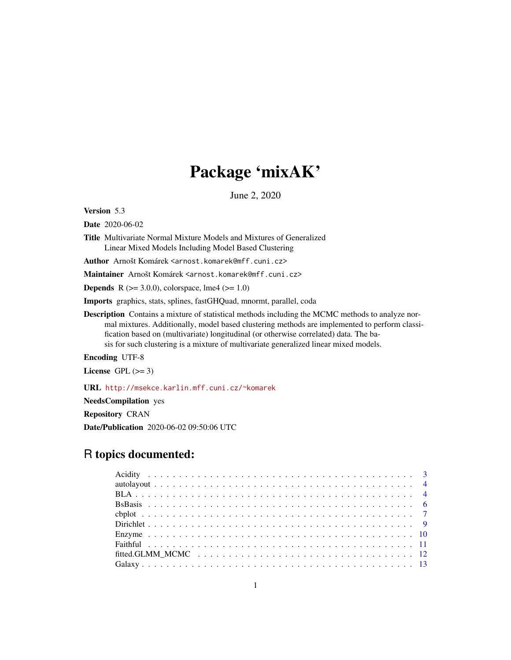# Package 'mixAK'

June 2, 2020

<span id="page-0-0"></span>Version 5.3

Date 2020-06-02

Title Multivariate Normal Mixture Models and Mixtures of Generalized Linear Mixed Models Including Model Based Clustering

Author Arnošt Komárek <arnost.komarek@mff.cuni.cz>

Maintainer Arnošt Komárek <arnost.komarek@mff.cuni.cz>

**Depends** R ( $>= 3.0.0$ ), colorspace, lme4 ( $>= 1.0$ )

Imports graphics, stats, splines, fastGHQuad, mnormt, parallel, coda

Description Contains a mixture of statistical methods including the MCMC methods to analyze normal mixtures. Additionally, model based clustering methods are implemented to perform classification based on (multivariate) longitudinal (or otherwise correlated) data. The basis for such clustering is a mixture of multivariate generalized linear mixed models.

Encoding UTF-8

License GPL  $(>= 3)$ 

URL <http://msekce.karlin.mff.cuni.cz/~komarek>

NeedsCompilation yes

Repository CRAN

Date/Publication 2020-06-02 09:50:06 UTC

# R topics documented: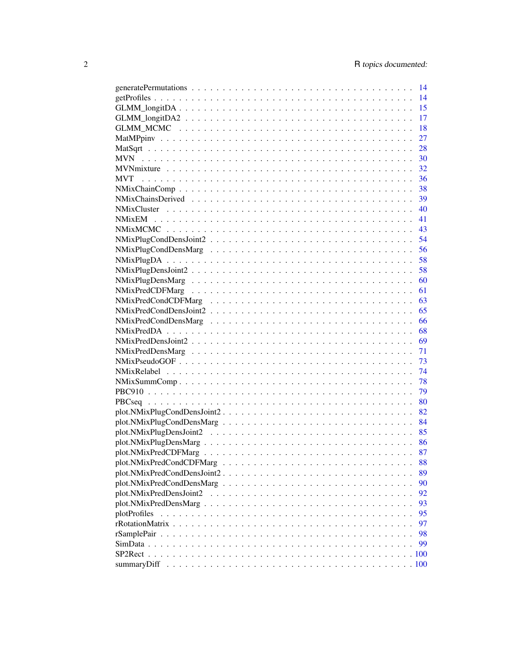|                           | 14   |
|---------------------------|------|
|                           | 15   |
|                           | 17   |
|                           | 18   |
|                           | 27   |
|                           | 28   |
|                           | 30   |
|                           | 32   |
| <b>MVT</b>                | 36   |
|                           | 38   |
|                           | - 39 |
|                           | 40   |
|                           | 41   |
|                           | 43   |
|                           | 54   |
|                           | 56   |
|                           | 58   |
|                           | 58   |
|                           | 60   |
|                           | 61   |
|                           | 63   |
|                           | 65   |
|                           | 66   |
|                           | 68   |
|                           |      |
|                           |      |
|                           | 73   |
|                           |      |
|                           | 78   |
|                           | 79   |
|                           |      |
|                           |      |
|                           |      |
|                           |      |
|                           |      |
|                           | 87   |
|                           | 88   |
|                           | 89   |
| plot.NMixPredCondDensMarg | 90   |
| plot.NMixPredDensJoint2   | 92   |
|                           | 93   |
| plotProfiles              | 95   |
|                           | 97   |
|                           | 98   |
|                           | 99   |
|                           |      |
|                           |      |
|                           |      |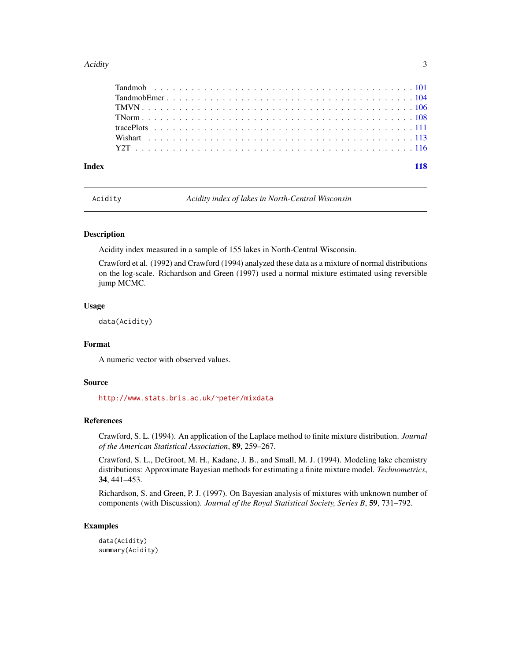#### <span id="page-2-0"></span>Acidity 3

Acidity *Acidity index of lakes in North-Central Wisconsin*

# Description

Acidity index measured in a sample of 155 lakes in North-Central Wisconsin.

Crawford et al. (1992) and Crawford (1994) analyzed these data as a mixture of normal distributions on the log-scale. Richardson and Green (1997) used a normal mixture estimated using reversible jump MCMC.

# Usage

data(Acidity)

# Format

A numeric vector with observed values.

#### Source

<http://www.stats.bris.ac.uk/~peter/mixdata>

#### References

Crawford, S. L. (1994). An application of the Laplace method to finite mixture distribution. *Journal of the American Statistical Association*, 89, 259–267.

Crawford, S. L., DeGroot, M. H., Kadane, J. B., and Small, M. J. (1994). Modeling lake chemistry distributions: Approximate Bayesian methods for estimating a finite mixture model. *Technometrics*, 34, 441–453.

Richardson, S. and Green, P. J. (1997). On Bayesian analysis of mixtures with unknown number of components (with Discussion). *Journal of the Royal Statistical Society, Series B*, 59, 731–792.

#### Examples

data(Acidity) summary(Acidity)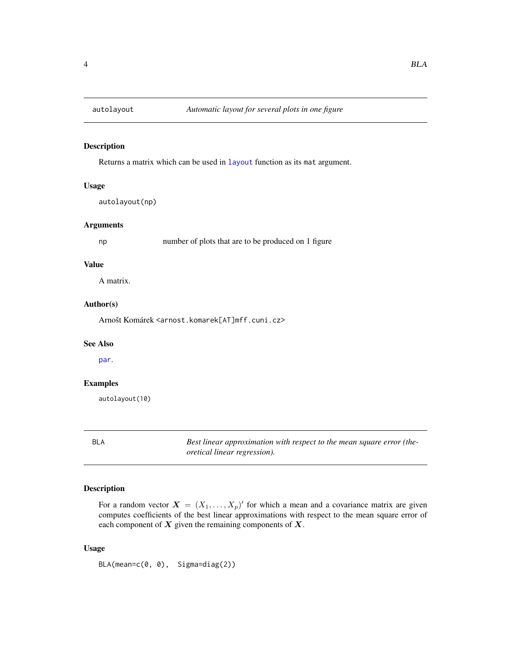<span id="page-3-0"></span>

# Description

Returns a matrix which can be used in [layout](#page-0-0) function as its mat argument.

# Usage

autolayout(np)

#### Arguments

np number of plots that are to be produced on 1 figure

#### Value

A matrix.

# Author(s)

Arnošt Komárek <arnost.komarek[AT]mff.cuni.cz>

# See Also

[par](#page-0-0).

## Examples

autolayout(10)

BLA *Best linear approximation with respect to the mean square error (theoretical linear regression).*

#### Description

For a random vector  $\mathbf{X} = (X_1, \dots, X_p)'$  for which a mean and a covariance matrix are given computes coefficients of the best linear approximations with respect to the mean square error of each component of  $X$  given the remaining components of  $X$ .

#### Usage

BLA(mean=c(0, 0), Sigma=diag(2))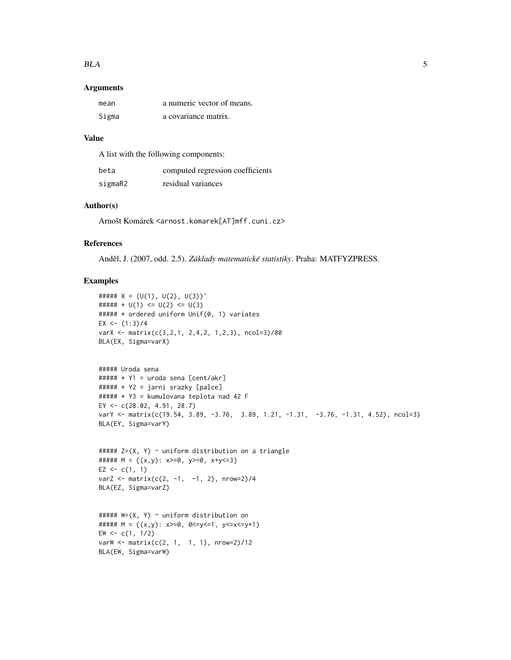#### BLA 5

#### Arguments

| mean  | a numeric vector of means. |
|-------|----------------------------|
| Sigma | a covariance matrix.       |

#### Value

A list with the following components:

| beta    | computed regression coefficients |
|---------|----------------------------------|
| sigmaR2 | residual variances               |

# Author(s)

Arnošt Komárek <arnost.komarek[AT]mff.cuni.cz>

# References

Anděl, J. (2007, odd. 2.5). Základy matematické statistiky. Praha: MATFYZPRESS.

# Examples

```
##### X = (U(1), U(2), U(3))'##### * U(1) <= U(2) <= U(3)##### * ordered uniform Unif(0, 1) variates
EX \leftarrow (1:3)/4
varX <- matrix(c(3,2,1, 2,4,2, 1,2,3), ncol=3)/80
BLA(EX, Sigma=varX)
##### Uroda sena
\# \# \# \# \times \ Y1 = uroda sena [cent/akr]
##### * Y2 = jarni srazky [palce]
##### * Y3 = kumulovana teplota nad 42 F
EY <- c(28.02, 4.91, 28.7)
varY <- matrix(c(19.54, 3.89, -3.76, 3.89, 1.21, -1.31, -3.76, -1.31, 4.52), ncol=3)
BLA(EY, Sigma=varY)
```

```
##### Z=(X, Y) ~ uniform distribution on a triangle
##### M = \{(x,y): x>=0, y>=0, x+y<=3\}EZ <-c(1, 1)varZ <- matrix(c(2, -1, -1, 2), nrow=2)/4
BLA(EZ, Sigma=varZ)
```

```
##### W=(X, Y) ~ uniform distribution on
##### M = {(x,y): x>=0, 0<=y<=1, y<=x<=y+1}
EW < -c(1, 1/2)varW <- matrix(c(2, 1, 1, 1), nrow=2)/12
BLA(EW, Sigma=varW)
```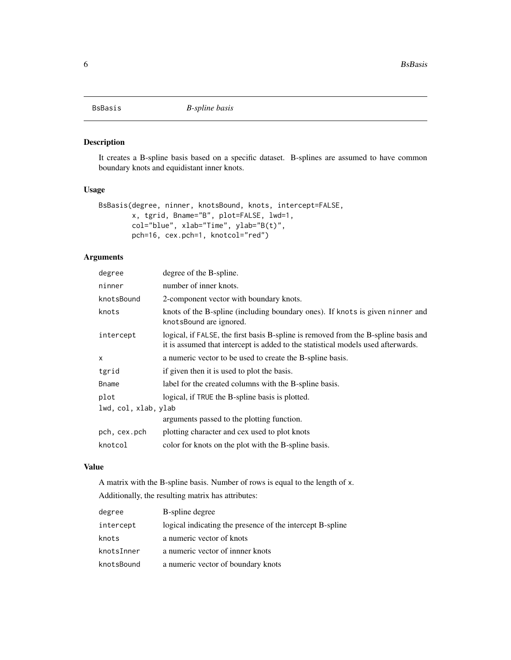# <span id="page-5-0"></span>Description

It creates a B-spline basis based on a specific dataset. B-splines are assumed to have common boundary knots and equidistant inner knots.

# Usage

```
BsBasis(degree, ninner, knotsBound, knots, intercept=FALSE,
        x, tgrid, Bname="B", plot=FALSE, lwd=1,
        col="blue", xlab="Time", ylab="B(t)",
        pch=16, cex.pch=1, knotcol="red")
```
# Arguments

| degree               | degree of the B-spline.                                                                                                                                                |
|----------------------|------------------------------------------------------------------------------------------------------------------------------------------------------------------------|
| ninner               | number of inner knots.                                                                                                                                                 |
| knotsBound           | 2-component vector with boundary knots.                                                                                                                                |
| knots                | knots of the B-spline (including boundary ones). If knots is given ninner and<br>knotsBound are ignored.                                                               |
| intercept            | logical, if FALSE, the first basis B-spline is removed from the B-spline basis and<br>it is assumed that intercept is added to the statistical models used afterwards. |
| $\mathsf{x}$         | a numeric vector to be used to create the B-spline basis.                                                                                                              |
| tgrid                | if given then it is used to plot the basis.                                                                                                                            |
| <b>B</b> name        | label for the created columns with the B-spline basis.                                                                                                                 |
| plot                 | logical, if TRUE the B-spline basis is plotted.                                                                                                                        |
| lwd, col, xlab, ylab |                                                                                                                                                                        |
|                      | arguments passed to the plotting function.                                                                                                                             |
| pch, cex.pch         | plotting character and cex used to plot knots                                                                                                                          |
| knotcol              | color for knots on the plot with the B-spline basis.                                                                                                                   |

# Value

A matrix with the B-spline basis. Number of rows is equal to the length of x. Additionally, the resulting matrix has attributes:

| degree     | B-spline degree                                           |
|------------|-----------------------------------------------------------|
| intercept  | logical indicating the presence of the intercept B-spline |
| knots      | a numeric vector of knots                                 |
| knotsInner | a numeric vector of inner knots                           |
| knotsBound | a numeric vector of boundary knots                        |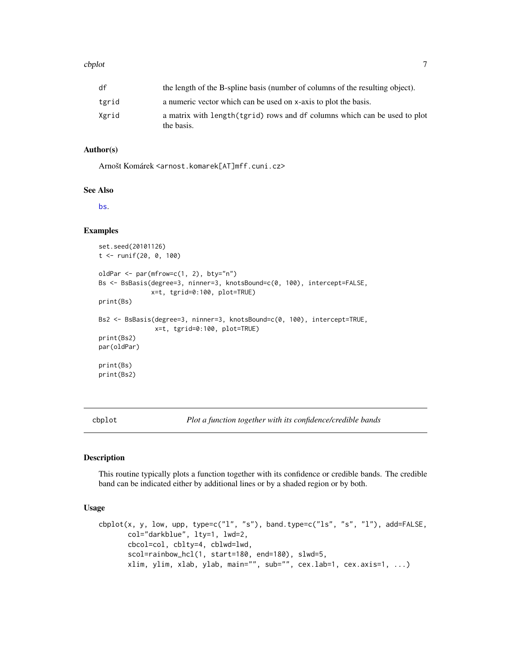#### <span id="page-6-0"></span>cbplot  $\sim$  7

#### Author(s)

Arnošt Komárek <arnost.komarek[AT]mff.cuni.cz>

#### See Also

[bs](#page-0-0).

# Examples

```
set.seed(20101126)
t <- runif(20, 0, 100)
oldPar <- par(mfrow=c(1, 2), bty="n")
Bs <- BsBasis(degree=3, ninner=3, knotsBound=c(0, 100), intercept=FALSE,
              x=t, tgrid=0:100, plot=TRUE)
print(Bs)
Bs2 <- BsBasis(degree=3, ninner=3, knotsBound=c(0, 100), intercept=TRUE,
               x=t, tgrid=0:100, plot=TRUE)
print(Bs2)
par(oldPar)
print(Bs)
print(Bs2)
```
cbplot *Plot a function together with its confidence/credible bands*

# Description

This routine typically plots a function together with its confidence or credible bands. The credible band can be indicated either by additional lines or by a shaded region or by both.

#### Usage

```
cbplot(x, y, low, upp, type=c("l", "s"), band.type=c("ls", "s", "l"), add=FALSE,
       col="darkblue", lty=1, lwd=2,
       cbcol=col, cblty=4, cblwd=lwd,
       scol=rainbow_hcl(1, start=180, end=180), slwd=5,
       xlim, ylim, xlab, ylab, main="", sub="", cex.lab=1, cex.axis=1, ...)
```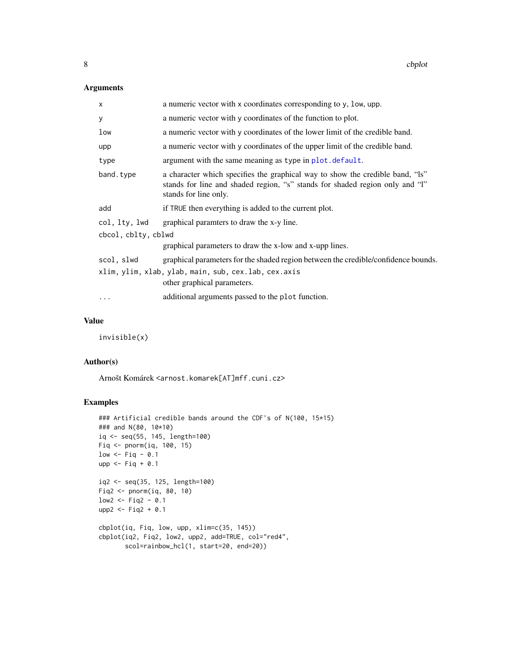# Arguments

| x                   | a numeric vector with x coordinates corresponding to y, low, upp.                                                                                                                      |
|---------------------|----------------------------------------------------------------------------------------------------------------------------------------------------------------------------------------|
| У                   | a numeric vector with y coordinates of the function to plot.                                                                                                                           |
| low                 | a numeric vector with y coordinates of the lower limit of the credible band.                                                                                                           |
| upp                 | a numeric vector with y coordinates of the upper limit of the credible band.                                                                                                           |
| type                | argument with the same meaning as type in plot. default.                                                                                                                               |
| band.type           | a character which specifies the graphical way to show the credible band, "ls"<br>stands for line and shaded region, "s" stands for shaded region only and "l"<br>stands for line only. |
| add                 | if TRUE then everything is added to the current plot.                                                                                                                                  |
| col, lty, lwd       | graphical paramters to draw the x-y line.                                                                                                                                              |
| cbcol, cblty, cblwd |                                                                                                                                                                                        |
|                     | graphical parameters to draw the x-low and x-upp lines.                                                                                                                                |
| scol, slwd          | graphical parameters for the shaded region between the credible/confidence bounds.                                                                                                     |
|                     | xlim, ylim, xlab, ylab, main, sub, cex.lab, cex.axis<br>other graphical parameters.                                                                                                    |
| $\cdots$            | additional arguments passed to the plot function.                                                                                                                                      |

# Value

invisible(x)

# Author(s)

Arnošt Komárek <arnost.komarek[AT]mff.cuni.cz>

#### Examples

```
### Artificial credible bands around the CDF's of N(100, 15*15)
### and N(80, 10*10)
iq <- seq(55, 145, length=100)
Fiq <- pnorm(iq, 100, 15)
low \le- Fiq - 0.1
upp \le- Fiq + 0.1
iq2 <- seq(35, 125, length=100)
Fiq2 <- pnorm(iq, 80, 10)
low2 < - Fig2 - 0.1
upp2 <- Fiq2 + 0.1
cbplot(iq, Fiq, low, upp, xlim=c(35, 145))
cbplot(iq2, Fiq2, low2, upp2, add=TRUE, col="red4",
       scol=rainbow_hcl(1, start=20, end=20))
```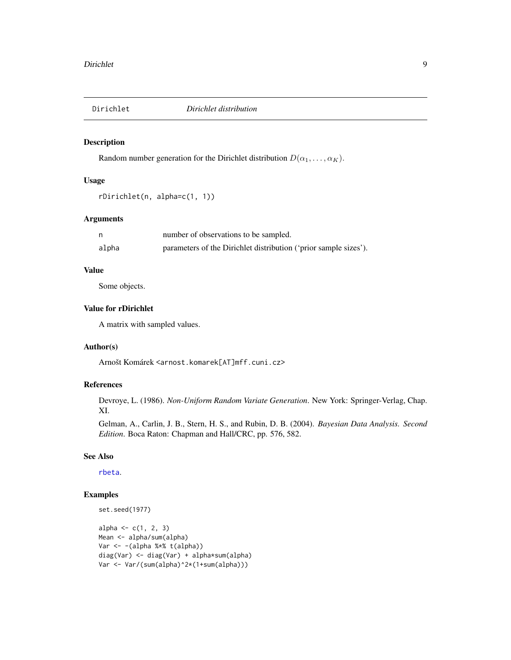<span id="page-8-0"></span>

# Description

Random number generation for the Dirichlet distribution  $D(\alpha_1, \ldots, \alpha_K)$ .

#### Usage

```
rDirichlet(n, alpha=c(1, 1))
```
## Arguments

|       | number of observations to be sampled.                            |
|-------|------------------------------------------------------------------|
| alpha | parameters of the Dirichlet distribution ('prior sample sizes'). |

# Value

Some objects.

# Value for rDirichlet

A matrix with sampled values.

#### Author(s)

Arnošt Komárek <arnost.komarek[AT]mff.cuni.cz>

#### References

Devroye, L. (1986). *Non-Uniform Random Variate Generation*. New York: Springer-Verlag, Chap. XI.

Gelman, A., Carlin, J. B., Stern, H. S., and Rubin, D. B. (2004). *Bayesian Data Analysis. Second Edition*. Boca Raton: Chapman and Hall/CRC, pp. 576, 582.

# See Also

[rbeta](#page-0-0).

# Examples

```
set.seed(1977)
```

```
alpha <-c(1, 2, 3)Mean <- alpha/sum(alpha)
Var <- -(alpha %*% t(alpha))
diag(Var) <- diag(Var) + alpha*sum(alpha)
Var <- Var/(sum(alpha)^2*(1+sum(alpha)))
```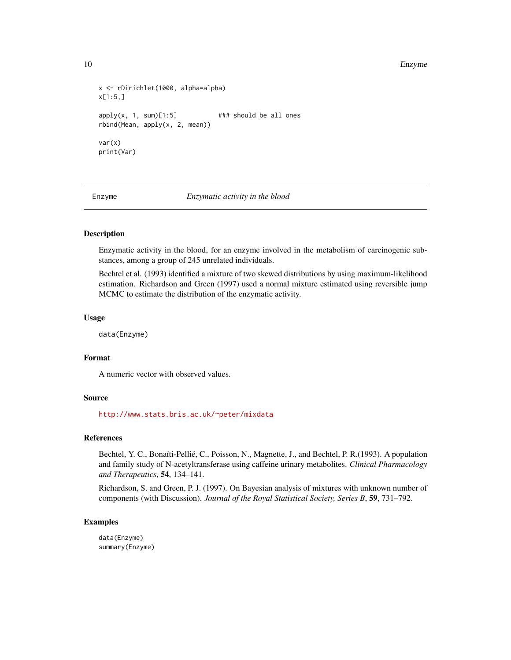#### <span id="page-9-0"></span>10 Enzyme

```
x <- rDirichlet(1000, alpha=alpha)
x[1:5,]
apply(x, 1, sum)[1:5] ### should be all ones
rbind(Mean, apply(x, 2, mean))
var(x)
print(Var)
```
Enzyme *Enzymatic activity in the blood*

# **Description**

Enzymatic activity in the blood, for an enzyme involved in the metabolism of carcinogenic substances, among a group of 245 unrelated individuals.

Bechtel et al. (1993) identified a mixture of two skewed distributions by using maximum-likelihood estimation. Richardson and Green (1997) used a normal mixture estimated using reversible jump MCMC to estimate the distribution of the enzymatic activity.

#### Usage

data(Enzyme)

# Format

A numeric vector with observed values.

#### Source

<http://www.stats.bris.ac.uk/~peter/mixdata>

#### References

Bechtel, Y. C., Bonaïti-Pellié, C., Poisson, N., Magnette, J., and Bechtel, P. R.(1993). A population and family study of N-acetyltransferase using caffeine urinary metabolites. *Clinical Pharmacology and Therapeutics*, 54, 134–141.

Richardson, S. and Green, P. J. (1997). On Bayesian analysis of mixtures with unknown number of components (with Discussion). *Journal of the Royal Statistical Society, Series B*, 59, 731–792.

# Examples

data(Enzyme) summary(Enzyme)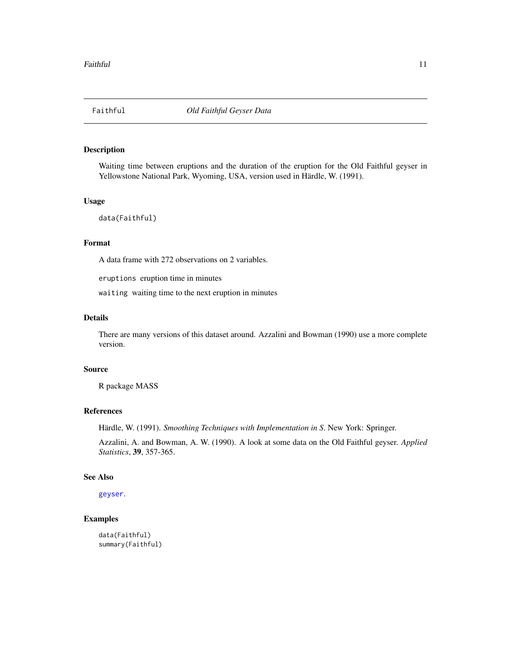#### <span id="page-10-0"></span>Description

Waiting time between eruptions and the duration of the eruption for the Old Faithful geyser in Yellowstone National Park, Wyoming, USA, version used in Härdle, W. (1991).

# Usage

```
data(Faithful)
```
# Format

A data frame with 272 observations on 2 variables.

eruptions eruption time in minutes

waiting waiting time to the next eruption in minutes

# Details

There are many versions of this dataset around. Azzalini and Bowman (1990) use a more complete version.

#### Source

R package MASS

#### References

Härdle, W. (1991). *Smoothing Techniques with Implementation in S*. New York: Springer.

Azzalini, A. and Bowman, A. W. (1990). A look at some data on the Old Faithful geyser. *Applied Statistics*, 39, 357-365.

#### See Also

[geyser](#page-0-0).

# Examples

data(Faithful) summary(Faithful)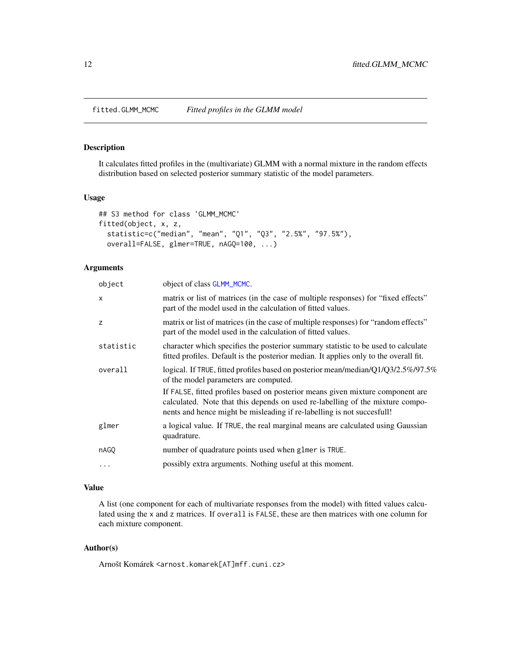<span id="page-11-0"></span>fitted.GLMM\_MCMC *Fitted profiles in the GLMM model*

# Description

It calculates fitted profiles in the (multivariate) GLMM with a normal mixture in the random effects distribution based on selected posterior summary statistic of the model parameters.

#### Usage

```
## S3 method for class 'GLMM_MCMC'
fitted(object, x, z,
  statistic=c("median", "mean", "Q1", "Q3", "2.5%", "97.5%"),
  overall=FALSE, glmer=TRUE, nAGQ=100, ...)
```
# Arguments

| object       | object of class GLMM_MCMC.                                                                                                                                                                                                                |
|--------------|-------------------------------------------------------------------------------------------------------------------------------------------------------------------------------------------------------------------------------------------|
| $\mathsf{x}$ | matrix or list of matrices (in the case of multiple responses) for "fixed effects"<br>part of the model used in the calculation of fitted values.                                                                                         |
| z            | matrix or list of matrices (in the case of multiple responses) for "random effects"<br>part of the model used in the calculation of fitted values.                                                                                        |
| statistic    | character which specifies the posterior summary statistic to be used to calculate<br>fitted profiles. Default is the posterior median. It applies only to the overall fit.                                                                |
| overall      | logical. If TRUE, fitted profiles based on posterior mean/median/Q1/Q3/2.5%/97.5%<br>of the model parameters are computed.                                                                                                                |
|              | If FALSE, fitted profiles based on posterior means given mixture component are<br>calculated. Note that this depends on used re-labelling of the mixture compo-<br>nents and hence might be misleading if re-labelling is not succesfull! |
| glmer        | a logical value. If TRUE, the real marginal means are calculated using Gaussian<br>quadrature.                                                                                                                                            |
| nAGO         | number of quadrature points used when glmer is TRUE.                                                                                                                                                                                      |
| $\cdots$     | possibly extra arguments. Nothing useful at this moment.                                                                                                                                                                                  |
|              |                                                                                                                                                                                                                                           |

# Value

A list (one component for each of multivariate responses from the model) with fitted values calculated using the x and z matrices. If overall is FALSE, these are then matrices with one column for each mixture component.

# Author(s)

Arnošt Komárek <arnost.komarek[AT]mff.cuni.cz>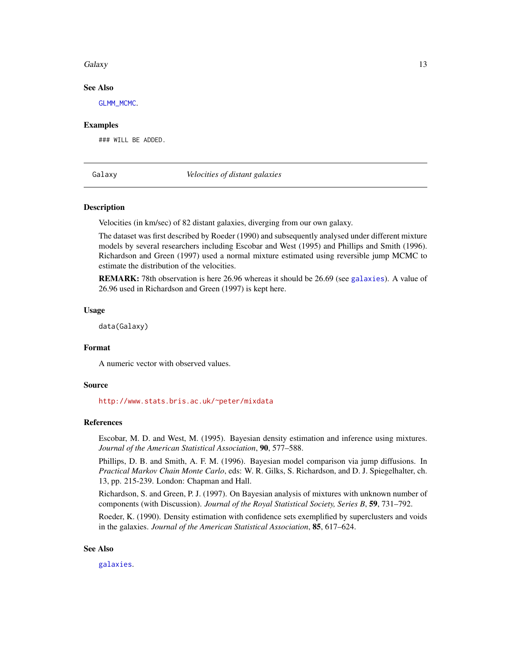#### <span id="page-12-0"></span>Galaxy 13

#### See Also

[GLMM\\_MCMC](#page-17-1).

#### Examples

### WILL BE ADDED.

Galaxy *Velocities of distant galaxies*

#### **Description**

Velocities (in km/sec) of 82 distant galaxies, diverging from our own galaxy.

The dataset was first described by Roeder (1990) and subsequently analysed under different mixture models by several researchers including Escobar and West (1995) and Phillips and Smith (1996). Richardson and Green (1997) used a normal mixture estimated using reversible jump MCMC to estimate the distribution of the velocities.

REMARK: 78th observation is here 26.96 whereas it should be 26.69 (see [galaxies](#page-0-0)). A value of 26.96 used in Richardson and Green (1997) is kept here.

#### Usage

data(Galaxy)

# Format

A numeric vector with observed values.

#### Source

<http://www.stats.bris.ac.uk/~peter/mixdata>

#### References

Escobar, M. D. and West, M. (1995). Bayesian density estimation and inference using mixtures. *Journal of the American Statistical Association*, 90, 577–588.

Phillips, D. B. and Smith, A. F. M. (1996). Bayesian model comparison via jump diffusions. In *Practical Markov Chain Monte Carlo*, eds: W. R. Gilks, S. Richardson, and D. J. Spiegelhalter, ch. 13, pp. 215-239. London: Chapman and Hall.

Richardson, S. and Green, P. J. (1997). On Bayesian analysis of mixtures with unknown number of components (with Discussion). *Journal of the Royal Statistical Society, Series B*, 59, 731–792.

Roeder, K. (1990). Density estimation with confidence sets exemplified by superclusters and voids in the galaxies. *Journal of the American Statistical Association*, 85, 617–624.

#### See Also

[galaxies](#page-0-0).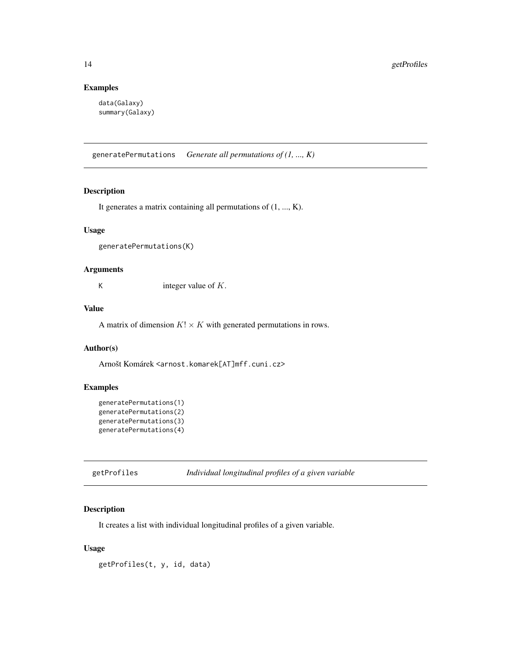# Examples

```
data(Galaxy)
summary(Galaxy)
```
generatePermutations *Generate all permutations of (1, ..., K)*

#### Description

It generates a matrix containing all permutations of (1, ..., K).

#### Usage

generatePermutations(K)

# Arguments

K integer value of  $K$ .

# Value

A matrix of dimension  $K! \times K$  with generated permutations in rows.

# Author(s)

Arnošt Komárek <arnost.komarek[AT]mff.cuni.cz>

# Examples

```
generatePermutations(1)
generatePermutations(2)
generatePermutations(3)
generatePermutations(4)
```
# Description

It creates a list with individual longitudinal profiles of a given variable.

# Usage

getProfiles(t, y, id, data)

<span id="page-13-0"></span>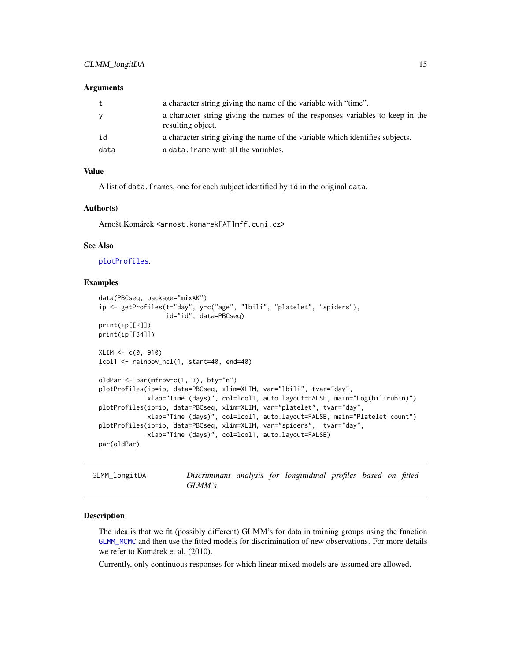#### <span id="page-14-0"></span>Arguments

| t    | a character string giving the name of the variable with "time".                                    |
|------|----------------------------------------------------------------------------------------------------|
| y    | a character string giving the names of the responses variables to keep in the<br>resulting object. |
| id   | a character string giving the name of the variable which identifies subjects.                      |
| data | a data. frame with all the variables.                                                              |

#### Value

A list of data. frames, one for each subject identified by id in the original data.

#### Author(s)

Arnošt Komárek <arnost.komarek[AT]mff.cuni.cz>

#### See Also

[plotProfiles](#page-94-1).

#### Examples

```
data(PBCseq, package="mixAK")
ip <- getProfiles(t="day", y=c("age", "lbili", "platelet", "spiders"),
                  id="id", data=PBCseq)
print(ip[[2]])
print(ip[[34]])
XLIM < -c(0, 910)lcol1 <- rainbow_hcl(1, start=40, end=40)
oldPar <- par(mfrow=c(1, 3), bty="n")
plotProfiles(ip=ip, data=PBCseq, xlim=XLIM, var="lbili", tvar="day",
             xlab="Time (days)", col=lcol1, auto.layout=FALSE, main="Log(bilirubin)")
plotProfiles(ip=ip, data=PBCseq, xlim=XLIM, var="platelet", tvar="day",
             xlab="Time (days)", col=lcol1, auto.layout=FALSE, main="Platelet count")
plotProfiles(ip=ip, data=PBCseq, xlim=XLIM, var="spiders", tvar="day",
             xlab="Time (days)", col=lcol1, auto.layout=FALSE)
par(oldPar)
```
<span id="page-14-1"></span>GLMM\_longitDA *Discriminant analysis for longitudinal profiles based on fitted GLMM's*

#### Description

The idea is that we fit (possibly different) GLMM's for data in training groups using the function [GLMM\\_MCMC](#page-17-1) and then use the fitted models for discrimination of new observations. For more details we refer to Komárek et al. (2010).

Currently, only continuous responses for which linear mixed models are assumed are allowed.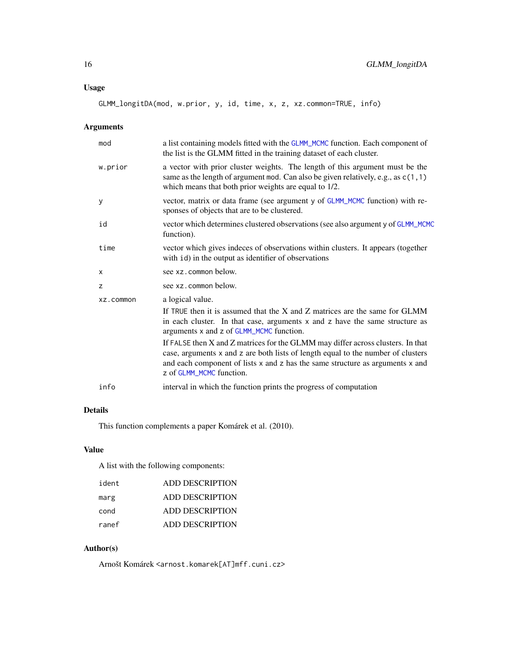GLMM\_longitDA(mod, w.prior, y, id, time, x, z, xz.common=TRUE, info)

# Arguments

| mod              | a list containing models fitted with the GLMM_MCMC function. Each component of<br>the list is the GLMM fitted in the training dataset of each cluster.                                                                                                                           |
|------------------|----------------------------------------------------------------------------------------------------------------------------------------------------------------------------------------------------------------------------------------------------------------------------------|
| w.prior          | a vector with prior cluster weights. The length of this argument must be the<br>same as the length of argument mod. Can also be given relatively, e.g., as $c(1, 1)$<br>which means that both prior weights are equal to 1/2.                                                    |
| У                | vector, matrix or data frame (see argument y of GLMM_MCMC function) with re-<br>sponses of objects that are to be clustered.                                                                                                                                                     |
| id               | vector which determines clustered observations (see also argument y of GLMM_MCMC<br>function).                                                                                                                                                                                   |
| time             | vector which gives indeces of observations within clusters. It appears (together<br>with id) in the output as identifier of observations                                                                                                                                         |
| X                | see xz.common below.                                                                                                                                                                                                                                                             |
| z                | see xz.common below.                                                                                                                                                                                                                                                             |
| <b>xz.common</b> | a logical value.                                                                                                                                                                                                                                                                 |
|                  | If TRUE then it is assumed that the X and Z matrices are the same for GLMM<br>in each cluster. In that case, arguments x and z have the same structure as<br>arguments x and z of GLMM_MCMC function.                                                                            |
|                  | If FALSE then X and Z matrices for the GLMM may differ across clusters. In that<br>case, arguments x and z are both lists of length equal to the number of clusters<br>and each component of lists x and z has the same structure as arguments x and<br>z of GLMM_MCMC function. |
| info             | interval in which the function prints the progress of computation                                                                                                                                                                                                                |
|                  |                                                                                                                                                                                                                                                                                  |

# Details

This function complements a paper Komárek et al. (2010).

# Value

A list with the following components:

| ident | ADD DESCRIPTION |
|-------|-----------------|
| marg  | ADD DESCRIPTION |
| cond  | ADD DESCRIPTION |
| ranef | ADD DESCRIPTION |

# Author(s)

Arnošt Komárek <arnost.komarek[AT]mff.cuni.cz>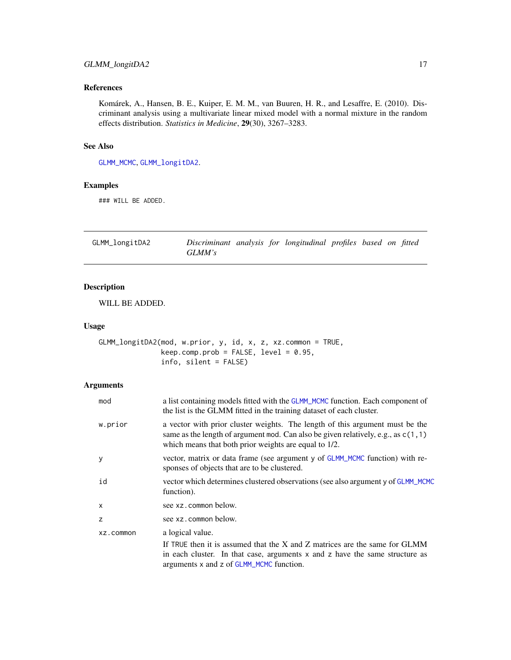# <span id="page-16-0"></span>GLMM\_longitDA2 17

# References

Komárek, A., Hansen, B. E., Kuiper, E. M. M., van Buuren, H. R., and Lesaffre, E. (2010). Discriminant analysis using a multivariate linear mixed model with a normal mixture in the random effects distribution. *Statistics in Medicine*, 29(30), 3267–3283.

# See Also

[GLMM\\_MCMC](#page-17-1), [GLMM\\_longitDA2](#page-16-1).

#### Examples

### WILL BE ADDED.

<span id="page-16-1"></span>GLMM\_longitDA2 *Discriminant analysis for longitudinal profiles based on fitted GLMM's*

# Description

WILL BE ADDED.

#### Usage

GLMM\_longitDA2(mod, w.prior, y, id, x, z, xz.common = TRUE,  $keep.compile; prob = FALSE, level = 0.95,$ info, silent = FALSE)

# Arguments

| mod          | a list containing models fitted with the GLMM_MCMC function. Each component of<br>the list is the GLMM fitted in the training dataset of each cluster.                                                                        |
|--------------|-------------------------------------------------------------------------------------------------------------------------------------------------------------------------------------------------------------------------------|
| w.prior      | a vector with prior cluster weights. The length of this argument must be the<br>same as the length of argument mod. Can also be given relatively, e.g., as $c(1, 1)$<br>which means that both prior weights are equal to 1/2. |
| y            | vector, matrix or data frame (see argument y of GLMM_MCMC function) with re-<br>sponses of objects that are to be clustered.                                                                                                  |
| id           | vector which determines clustered observations (see also argument y of GLMM_MCMC<br>function).                                                                                                                                |
| $\mathsf{x}$ | see xz.common below.                                                                                                                                                                                                          |
| z            | see xz.common below.                                                                                                                                                                                                          |
| XZ.COMMON    | a logical value.<br>If TRUE then it is assumed that the X and Z matrices are the same for GLMM<br>in each cluster. In that case, arguments x and z have the same structure as<br>arguments x and z of GLMM_MCMC function.     |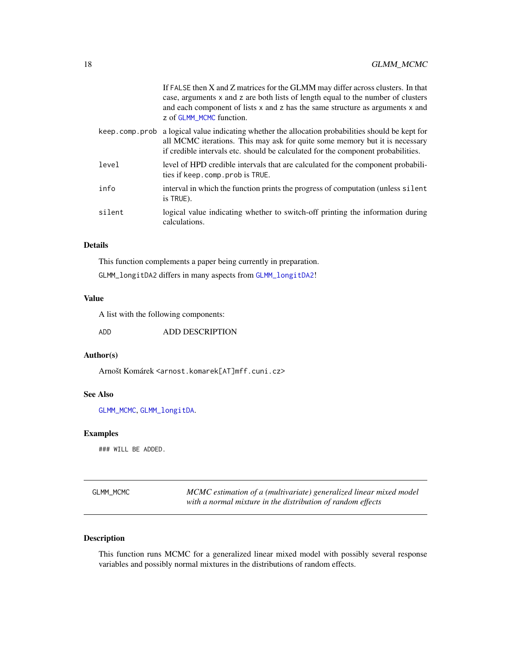<span id="page-17-0"></span>

|                | If FALSE then X and Z matrices for the GLMM may differ across clusters. In that<br>case, arguments x and z are both lists of length equal to the number of clusters<br>and each component of lists x and z has the same structure as arguments x and<br>z of GLMM_MCMC function. |
|----------------|----------------------------------------------------------------------------------------------------------------------------------------------------------------------------------------------------------------------------------------------------------------------------------|
| keep.comp.prob | a logical value indicating whether the allocation probabilities should be kept for<br>all MCMC iterations. This may ask for quite some memory but it is necessary<br>if credible intervals etc. should be calculated for the component probabilities.                            |
| level          | level of HPD credible intervals that are calculated for the component probabili-<br>ties if keep.comp.prob is TRUE.                                                                                                                                                              |
| info           | interval in which the function prints the progress of computation (unless silent<br>is TRUE).                                                                                                                                                                                    |
| silent         | logical value indicating whether to switch-off printing the information during<br>calculations.                                                                                                                                                                                  |

# Details

This function complements a paper being currently in preparation.

GLMM\_longitDA2 differs in many aspects from [GLMM\\_longitDA2](#page-16-1)!

# Value

A list with the following components:

ADD ADD DESCRIPTION

# Author(s)

Arnošt Komárek <arnost.komarek[AT]mff.cuni.cz>

# See Also

[GLMM\\_MCMC](#page-17-1), [GLMM\\_longitDA](#page-14-1).

#### Examples

### WILL BE ADDED.

<span id="page-17-1"></span>

| <b>GLMM MCMC</b> | MCMC estimation of a (multivariate) generalized linear mixed model |
|------------------|--------------------------------------------------------------------|
|                  | with a normal mixture in the distribution of random effects        |

# Description

This function runs MCMC for a generalized linear mixed model with possibly several response variables and possibly normal mixtures in the distributions of random effects.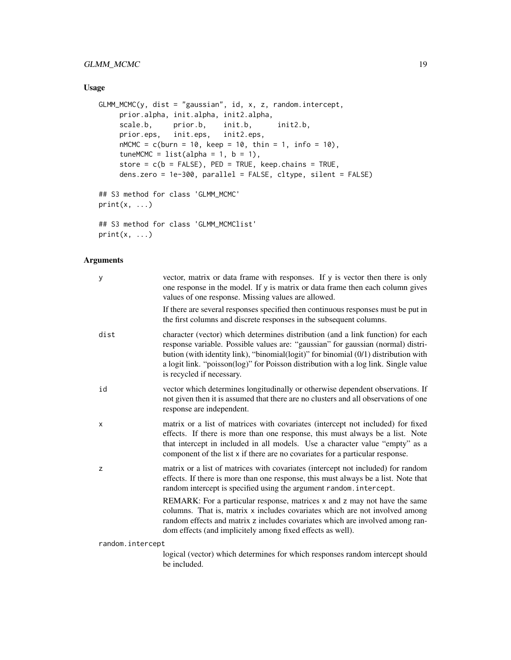# GLMM\_MCMC 19

# Usage

```
GLMM_MCMC(y, dist = "gaussian", id, x, z, random.intercept,
     prior.alpha, init.alpha, init2.alpha,
     scale.b, prior.b, init.b, init2.b,
     prior.eps, init.eps, init2.eps,
     nMCMC = c(burn = 10, keep = 10, thin = 1, info = 10),
     tuneMCMC = list(alpha = 1, b = 1),
     store = c(b = FALSE), PED = TRUE, keep.chains = TRUE,
     dens.zero = 1e-300, parallel = FALSE, cltype, silent = FALSE)
## S3 method for class 'GLMM_MCMC'
print(x, \ldots)## S3 method for class 'GLMM_MCMClist'
```
 $print(x, \ldots)$ 

# Arguments

| y                | vector, matrix or data frame with responses. If y is vector then there is only<br>one response in the model. If y is matrix or data frame then each column gives<br>values of one response. Missing values are allowed.                                                                                                                                                        |
|------------------|--------------------------------------------------------------------------------------------------------------------------------------------------------------------------------------------------------------------------------------------------------------------------------------------------------------------------------------------------------------------------------|
|                  | If there are several responses specified then continuous responses must be put in<br>the first columns and discrete responses in the subsequent columns.                                                                                                                                                                                                                       |
| dist             | character (vector) which determines distribution (and a link function) for each<br>response variable. Possible values are: "gaussian" for gaussian (normal) distri-<br>bution (with identity link), "binomial(logit)" for binomial (0/1) distribution with<br>a logit link. "poisson(log)" for Poisson distribution with a log link. Single value<br>is recycled if necessary. |
| id               | vector which determines longitudinally or otherwise dependent observations. If<br>not given then it is assumed that there are no clusters and all observations of one<br>response are independent.                                                                                                                                                                             |
| х                | matrix or a list of matrices with covariates (intercept not included) for fixed<br>effects. If there is more than one response, this must always be a list. Note<br>that intercept in included in all models. Use a character value "empty" as a<br>component of the list x if there are no covariates for a particular response.                                              |
| z                | matrix or a list of matrices with covariates (intercept not included) for random<br>effects. If there is more than one response, this must always be a list. Note that<br>random intercept is specified using the argument random. intercept.                                                                                                                                  |
|                  | REMARK: For a particular response, matrices x and z may not have the same<br>columns. That is, matrix x includes covariates which are not involved among<br>random effects and matrix z includes covariates which are involved among ran-<br>dom effects (and implicitely among fixed effects as well).                                                                        |
| random.intercept |                                                                                                                                                                                                                                                                                                                                                                                |

logical (vector) which determines for which responses random intercept should be included.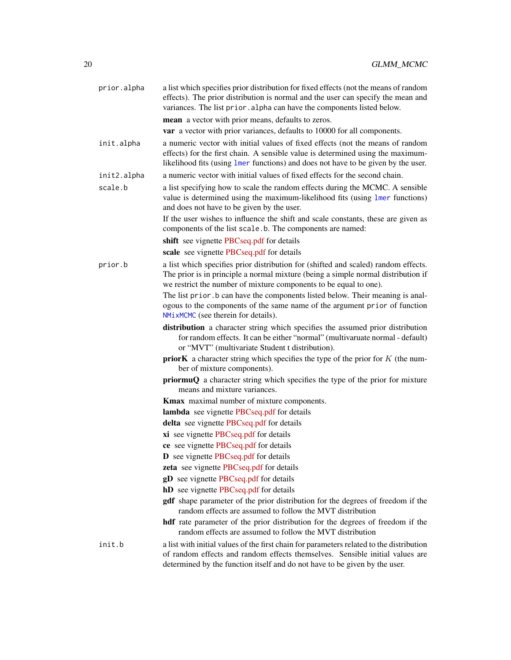| prior.alpha | a list which specifies prior distribution for fixed effects (not the means of random<br>effects). The prior distribution is normal and the user can specify the mean and<br>variances. The list prior . alpha can have the components listed below.                                              |
|-------------|--------------------------------------------------------------------------------------------------------------------------------------------------------------------------------------------------------------------------------------------------------------------------------------------------|
|             | mean a vector with prior means, defaults to zeros.                                                                                                                                                                                                                                               |
|             | var a vector with prior variances, defaults to 10000 for all components.                                                                                                                                                                                                                         |
| init.alpha  | a numeric vector with initial values of fixed effects (not the means of random<br>effects) for the first chain. A sensible value is determined using the maximum-<br>likelihood fits (using lmer functions) and does not have to be given by the user.                                           |
| init2.alpha | a numeric vector with initial values of fixed effects for the second chain.                                                                                                                                                                                                                      |
| scale.b     | a list specifying how to scale the random effects during the MCMC. A sensible<br>value is determined using the maximum-likelihood fits (using lmer functions)<br>and does not have to be given by the user.<br>If the user wishes to influence the shift and scale constants, these are given as |
|             | components of the list scale.b. The components are named:                                                                                                                                                                                                                                        |
|             | shift see vignette PBCseq.pdf for details                                                                                                                                                                                                                                                        |
|             | scale see vignette PBCseq.pdf for details                                                                                                                                                                                                                                                        |
| prior.b     | a list which specifies prior distribution for (shifted and scaled) random effects.<br>The prior is in principle a normal mixture (being a simple normal distribution if<br>we restrict the number of mixture components to be equal to one).                                                     |
|             | The list prior b can have the components listed below. Their meaning is anal-<br>ogous to the components of the same name of the argument prior of function<br>NMixMCMC (see therein for details).                                                                                               |
|             | distribution a character string which specifies the assumed prior distribution<br>for random effects. It can be either "normal" (multivaruate normal - default)<br>or "MVT" (multivariate Student t distribution).                                                                               |
|             | <b>priorK</b> a character string which specifies the type of the prior for $K$ (the num-<br>ber of mixture components).                                                                                                                                                                          |
|             | priormuQ a character string which specifies the type of the prior for mixture<br>means and mixture variances.                                                                                                                                                                                    |
|             | Kmax maximal number of mixture components.                                                                                                                                                                                                                                                       |
|             | <b>lambda</b> see vignette PBCseq.pdf for details                                                                                                                                                                                                                                                |
|             | delta see vignette PBCseq.pdf for details                                                                                                                                                                                                                                                        |
|             | xi see vignette PBCseq.pdf for details                                                                                                                                                                                                                                                           |
|             | ce see vignette PBCseq.pdf for details                                                                                                                                                                                                                                                           |
|             | D see vignette PBCseq.pdf for details                                                                                                                                                                                                                                                            |
|             | zeta see vignette PBCseq.pdf for details                                                                                                                                                                                                                                                         |
|             | gD see vignette PBCseq.pdf for details                                                                                                                                                                                                                                                           |
|             | hD see vignette PBCseq.pdf for details                                                                                                                                                                                                                                                           |
|             | gdf shape parameter of the prior distribution for the degrees of freedom if the<br>random effects are assumed to follow the MVT distribution                                                                                                                                                     |
|             | hdf rate parameter of the prior distribution for the degrees of freedom if the<br>random effects are assumed to follow the MVT distribution                                                                                                                                                      |
| init.b      | a list with initial values of the first chain for parameters related to the distribution<br>of random effects and random effects themselves. Sensible initial values are<br>determined by the function itself and do not have to be given by the user.                                           |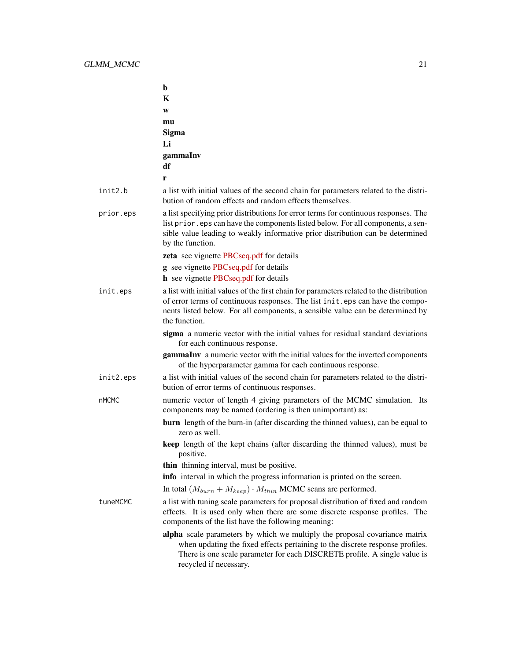|              | b                                                                                                                                                                                                                                                                             |
|--------------|-------------------------------------------------------------------------------------------------------------------------------------------------------------------------------------------------------------------------------------------------------------------------------|
|              | K                                                                                                                                                                                                                                                                             |
|              | W                                                                                                                                                                                                                                                                             |
|              | mu                                                                                                                                                                                                                                                                            |
|              | Sigma                                                                                                                                                                                                                                                                         |
|              | Li                                                                                                                                                                                                                                                                            |
|              | gammaInv                                                                                                                                                                                                                                                                      |
|              | df                                                                                                                                                                                                                                                                            |
|              | r                                                                                                                                                                                                                                                                             |
| init2.b      | a list with initial values of the second chain for parameters related to the distri-<br>bution of random effects and random effects themselves.                                                                                                                               |
| prior.eps    | a list specifying prior distributions for error terms for continuous responses. The<br>list prior. eps can have the components listed below. For all components, a sen-<br>sible value leading to weakly informative prior distribution can be determined<br>by the function. |
|              | zeta see vignette PBCseq.pdf for details                                                                                                                                                                                                                                      |
|              | <b>g</b> see vignette PBCseq.pdf for details                                                                                                                                                                                                                                  |
|              | <b>h</b> see vignette PBCseq.pdf for details                                                                                                                                                                                                                                  |
| init.eps     | a list with initial values of the first chain for parameters related to the distribution<br>of error terms of continuous responses. The list init.eps can have the compo-<br>nents listed below. For all components, a sensible value can be determined by<br>the function.   |
|              | sigma a numeric vector with the initial values for residual standard deviations<br>for each continuous response.                                                                                                                                                              |
|              | gammaInv a numeric vector with the initial values for the inverted components<br>of the hyperparameter gamma for each continuous response.                                                                                                                                    |
| init2.eps    | a list with initial values of the second chain for parameters related to the distri-<br>bution of error terms of continuous responses.                                                                                                                                        |
| <b>nMCMC</b> | numeric vector of length 4 giving parameters of the MCMC simulation. Its<br>components may be named (ordering is then unimportant) as:                                                                                                                                        |
|              | <b>burn</b> length of the burn-in (after discarding the thinned values), can be equal to<br>zero as well.                                                                                                                                                                     |
|              | keep length of the kept chains (after discarding the thinned values), must be<br>positive.                                                                                                                                                                                    |
|              | thin thinning interval, must be positive.                                                                                                                                                                                                                                     |
|              | info interval in which the progress information is printed on the screen.                                                                                                                                                                                                     |
|              | In total $(M_{burn} + M_{keep}) \cdot M_{thin}$ MCMC scans are performed.                                                                                                                                                                                                     |
| tuneMCMC     | a list with tuning scale parameters for proposal distribution of fixed and random<br>effects. It is used only when there are some discrete response profiles. The<br>components of the list have the following meaning:                                                       |
|              | alpha scale parameters by which we multiply the proposal covariance matrix<br>when updating the fixed effects pertaining to the discrete response profiles.<br>There is one scale parameter for each DISCRETE profile. A single value is<br>recycled if necessary.            |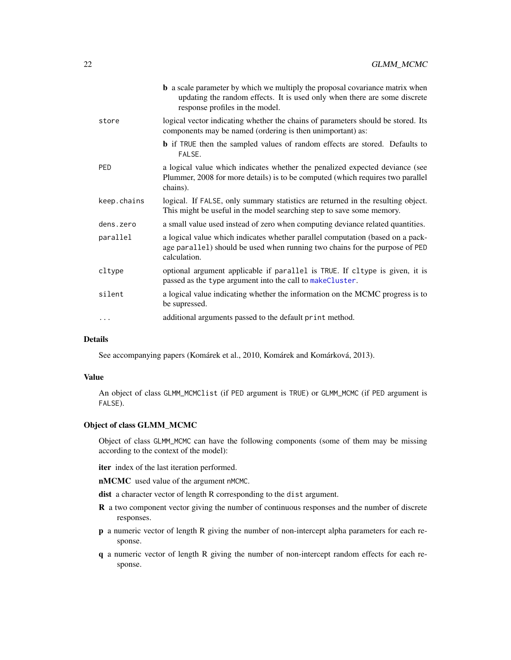|             | <b>b</b> a scale parameter by which we multiply the proposal covariance matrix when<br>updating the random effects. It is used only when there are some discrete<br>response profiles in the model. |
|-------------|-----------------------------------------------------------------------------------------------------------------------------------------------------------------------------------------------------|
| store       | logical vector indicating whether the chains of parameters should be stored. Its<br>components may be named (ordering is then unimportant) as:                                                      |
|             | <b>b</b> if TRUE then the sampled values of random effects are stored. Defaults to<br>FALSE.                                                                                                        |
| <b>PED</b>  | a logical value which indicates whether the penalized expected deviance (see<br>Plummer, 2008 for more details) is to be computed (which requires two parallel<br>chains).                          |
| keep.chains | logical. If FALSE, only summary statistics are returned in the resulting object.<br>This might be useful in the model searching step to save some memory.                                           |
| dens.zero   | a small value used instead of zero when computing deviance related quantities.                                                                                                                      |
| parallel    | a logical value which indicates whether parallel computation (based on a pack-<br>age parallel) should be used when running two chains for the purpose of PED<br>calculation.                       |
| cltype      | optional argument applicable if parallel is TRUE. If cltype is given, it is<br>passed as the type argument into the call to makeCluster.                                                            |
| silent      | a logical value indicating whether the information on the MCMC progress is to<br>be supressed.                                                                                                      |
| .           | additional arguments passed to the default print method.                                                                                                                                            |
|             |                                                                                                                                                                                                     |

# Details

See accompanying papers (Komárek et al., 2010, Komárek and Komárková, 2013).

# Value

An object of class GLMM\_MCMClist (if PED argument is TRUE) or GLMM\_MCMC (if PED argument is FALSE).

# Object of class GLMM\_MCMC

Object of class GLMM\_MCMC can have the following components (some of them may be missing according to the context of the model):

- iter index of the last iteration performed.
- nMCMC used value of the argument nMCMC.

dist a character vector of length R corresponding to the dist argument.

- R a two component vector giving the number of continuous responses and the number of discrete responses.
- p a numeric vector of length R giving the number of non-intercept alpha parameters for each response.
- q a numeric vector of length R giving the number of non-intercept random effects for each response.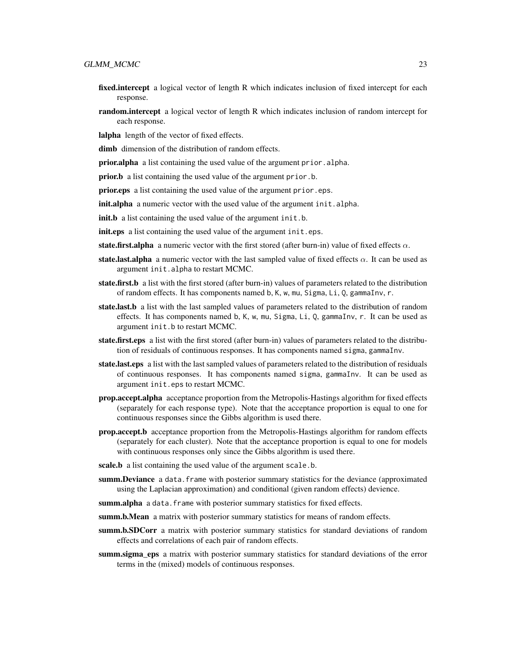- fixed.intercept a logical vector of length R which indicates inclusion of fixed intercept for each response.
- **random.intercept** a logical vector of length R which indicates inclusion of random intercept for each response.

lalpha length of the vector of fixed effects.

dimb dimension of the distribution of random effects.

prior.alpha a list containing the used value of the argument prior. alpha.

prior.b a list containing the used value of the argument prior.b.

**prior.eps** a list containing the used value of the argument prior.eps.

**init.alpha** a numeric vector with the used value of the argument init.alpha.

init.b a list containing the used value of the argument init.b.

init.eps a list containing the used value of the argument init.eps.

state.first.alpha a numeric vector with the first stored (after burn-in) value of fixed effects  $\alpha$ .

- **state.last.alpha** a numeric vector with the last sampled value of fixed effects  $\alpha$ . It can be used as argument init.alpha to restart MCMC.
- state.first.b a list with the first stored (after burn-in) values of parameters related to the distribution of random effects. It has components named b, K, w, mu, Sigma, Li, Q, gammaInv, r.
- state.last.b a list with the last sampled values of parameters related to the distribution of random effects. It has components named b, K, w, mu, Sigma, Li, Q, gammaInv, r. It can be used as argument init.b to restart MCMC.
- state.first.eps a list with the first stored (after burn-in) values of parameters related to the distribution of residuals of continuous responses. It has components named sigma, gammaInv.
- state.last.eps a list with the last sampled values of parameters related to the distribution of residuals of continuous responses. It has components named sigma, gammaInv. It can be used as argument init.eps to restart MCMC.
- prop.accept.alpha acceptance proportion from the Metropolis-Hastings algorithm for fixed effects (separately for each response type). Note that the acceptance proportion is equal to one for continuous responses since the Gibbs algorithm is used there.
- prop.accept.b acceptance proportion from the Metropolis-Hastings algorithm for random effects (separately for each cluster). Note that the acceptance proportion is equal to one for models with continuous responses only since the Gibbs algorithm is used there.
- scale.b a list containing the used value of the argument scale.b.
- summ.Deviance a data. frame with posterior summary statistics for the deviance (approximated using the Laplacian approximation) and conditional (given random effects) devience.
- summ.alpha a data.frame with posterior summary statistics for fixed effects.
- summ.b.Mean a matrix with posterior summary statistics for means of random effects.
- summ.b.SDCorr a matrix with posterior summary statistics for standard deviations of random effects and correlations of each pair of random effects.
- summ.sigma\_eps a matrix with posterior summary statistics for standard deviations of the error terms in the (mixed) models of continuous responses.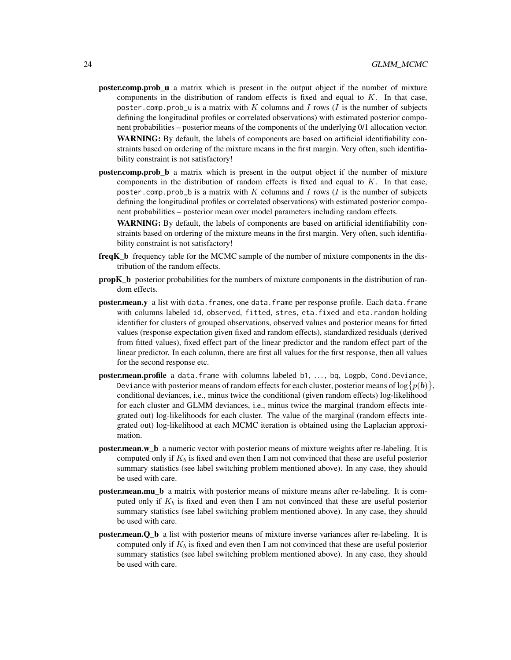- **poster.comp.prob\_u** a matrix which is present in the output object if the number of mixture components in the distribution of random effects is fixed and equal to  $K$ . In that case, poster.comp.prob\_u is a matrix with K columns and I rows (I is the number of subjects defining the longitudinal profiles or correlated observations) with estimated posterior component probabilities – posterior means of the components of the underlying 0/1 allocation vector. WARNING: By default, the labels of components are based on artificial identifiability constraints based on ordering of the mixture means in the first margin. Very often, such identifiability constraint is not satisfactory!
- poster.comp.prob\_b a matrix which is present in the output object if the number of mixture components in the distribution of random effects is fixed and equal to  $K$ . In that case, poster.comp.prob\_b is a matrix with  $K$  columns and  $I$  rows ( $I$  is the number of subjects defining the longitudinal profiles or correlated observations) with estimated posterior component probabilities – posterior mean over model parameters including random effects.

WARNING: By default, the labels of components are based on artificial identifiability constraints based on ordering of the mixture means in the first margin. Very often, such identifiability constraint is not satisfactory!

- freqK\_b frequency table for the MCMC sample of the number of mixture components in the distribution of the random effects.
- propK\_b posterior probabilities for the numbers of mixture components in the distribution of random effects.
- poster.mean.y a list with data.frames, one data.frame per response profile. Each data.frame with columns labeled id, observed, fitted, stres, eta.fixed and eta.random holding identifier for clusters of grouped observations, observed values and posterior means for fitted values (response expectation given fixed and random effects), standardized residuals (derived from fitted values), fixed effect part of the linear predictor and the random effect part of the linear predictor. In each column, there are first all values for the first response, then all values for the second response etc.
- poster.mean.profile a data.frame with columns labeled b1, ..., bq, Logpb, Cond.Deviance, Deviance with posterior means of random effects for each cluster, posterior means of  $\log\bigl\{p(\bm{b})\bigr\},$ conditional deviances, i.e., minus twice the conditional (given random effects) log-likelihood for each cluster and GLMM deviances, i.e., minus twice the marginal (random effects integrated out) log-likelihoods for each cluster. The value of the marginal (random effects integrated out) log-likelihood at each MCMC iteration is obtained using the Laplacian approximation.
- poster.mean.w\_b a numeric vector with posterior means of mixture weights after re-labeling. It is computed only if  $K_b$  is fixed and even then I am not convinced that these are useful posterior summary statistics (see label switching problem mentioned above). In any case, they should be used with care.
- poster.mean.mu\_b a matrix with posterior means of mixture means after re-labeling. It is computed only if  $K_b$  is fixed and even then I am not convinced that these are useful posterior summary statistics (see label switching problem mentioned above). In any case, they should be used with care.
- poster.mean.Q\_b a list with posterior means of mixture inverse variances after re-labeling. It is computed only if  $K_b$  is fixed and even then I am not convinced that these are useful posterior summary statistics (see label switching problem mentioned above). In any case, they should be used with care.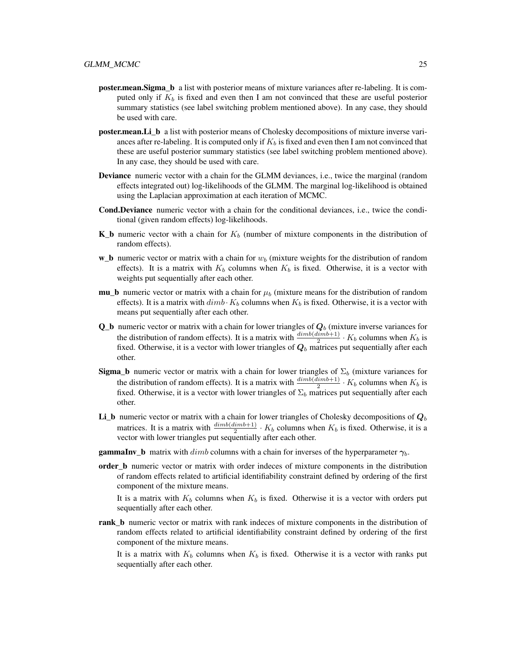- poster.mean.Sigma\_b a list with posterior means of mixture variances after re-labeling. It is computed only if  $K_b$  is fixed and even then I am not convinced that these are useful posterior summary statistics (see label switching problem mentioned above). In any case, they should be used with care.
- **poster.mean.Li** b a list with posterior means of Cholesky decompositions of mixture inverse variances after re-labeling. It is computed only if  $K_b$  is fixed and even then I am not convinced that these are useful posterior summary statistics (see label switching problem mentioned above). In any case, they should be used with care.
- Deviance numeric vector with a chain for the GLMM deviances, i.e., twice the marginal (random effects integrated out) log-likelihoods of the GLMM. The marginal log-likelihood is obtained using the Laplacian approximation at each iteration of MCMC.
- Cond.Deviance numeric vector with a chain for the conditional deviances, i.e., twice the conditional (given random effects) log-likelihoods.
- **K\_b** numeric vector with a chain for  $K_b$  (number of mixture components in the distribution of random effects).
- **w\_b** numeric vector or matrix with a chain for  $w<sub>b</sub>$  (mixture weights for the distribution of random effects). It is a matrix with  $K_b$  columns when  $K_b$  is fixed. Otherwise, it is a vector with weights put sequentially after each other.
- **mu\_b** numeric vector or matrix with a chain for  $\mu_b$  (mixture means for the distribution of random effects). It is a matrix with  $dimb \cdot K_b$  columns when  $K_b$  is fixed. Otherwise, it is a vector with means put sequentially after each other.
- **Q\_b** numeric vector or matrix with a chain for lower triangles of  $Q_b$  (mixture inverse variances for the distribution of random effects). It is a matrix with  $\frac{dimb(dimb+1)}{2} \cdot K_b$  columns when  $K_b$  is fixed. Otherwise, it is a vector with lower triangles of  $Q_b$  matrices put sequentially after each other.
- **Sigma\_b** numeric vector or matrix with a chain for lower triangles of  $\Sigma_b$  (mixture variances for the distribution of random effects). It is a matrix with  $\frac{dimb(dimb+1)}{2} \cdot K_b$  columns when  $K_b$  is fixed. Otherwise, it is a vector with lower triangles of  $\Sigma_b$  matrices put sequentially after each other.
- Li\_b numeric vector or matrix with a chain for lower triangles of Cholesky decompositions of  $Q_b$ matrices. It is a matrix with  $\frac{dimb(dimb+1)}{2} \cdot K_b$  columns when  $K_b$  is fixed. Otherwise, it is a vector with lower triangles put sequentially after each other.
- **gammaInv\_b** matrix with dimb columns with a chain for inverses of the hyperparameter  $\gamma_b$ .
- order b numeric vector or matrix with order indeces of mixture components in the distribution of random effects related to artificial identifiability constraint defined by ordering of the first component of the mixture means.

It is a matrix with  $K_b$  columns when  $K_b$  is fixed. Otherwise it is a vector with orders put sequentially after each other.

rank\_b numeric vector or matrix with rank indeces of mixture components in the distribution of random effects related to artificial identifiability constraint defined by ordering of the first component of the mixture means.

It is a matrix with  $K_b$  columns when  $K_b$  is fixed. Otherwise it is a vector with ranks put sequentially after each other.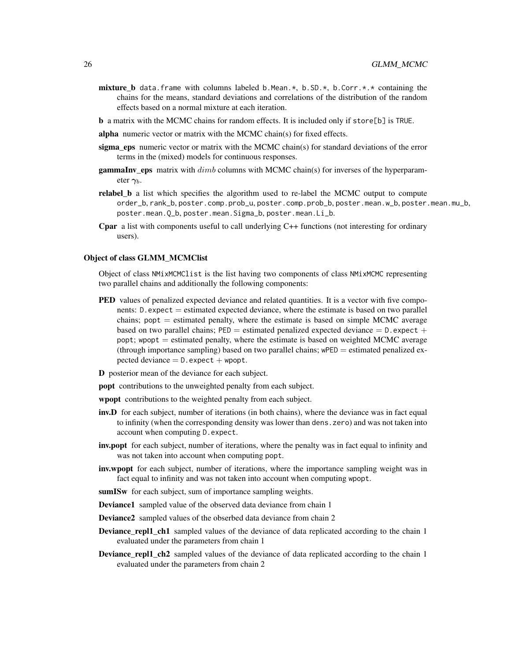- **mixture\_b** data.frame with columns labeled b.Mean.\*, b.SD.\*, b.Corr.\*.\* containing the chains for the means, standard deviations and correlations of the distribution of the random effects based on a normal mixture at each iteration.
- b a matrix with the MCMC chains for random effects. It is included only if store[b] is TRUE.
- alpha numeric vector or matrix with the MCMC chain(s) for fixed effects.
- sigma\_eps numeric vector or matrix with the MCMC chain(s) for standard deviations of the error terms in the (mixed) models for continuous responses.
- **gammaInv\_eps** matrix with  $dimb$  columns with MCMC chain(s) for inverses of the hyperparameter  $\gamma_h$ .
- relabel\_b a list which specifies the algorithm used to re-label the MCMC output to compute order\_b, rank\_b, poster.comp.prob\_u, poster.comp.prob\_b, poster.mean.w\_b, poster.mean.mu\_b, poster.mean.Q\_b, poster.mean.Sigma\_b, poster.mean.Li\_b.
- Cpar a list with components useful to call underlying C++ functions (not interesting for ordinary users).

#### Object of class GLMM\_MCMClist

Object of class NMixMCMClist is the list having two components of class NMixMCMC representing two parallel chains and additionally the following components:

- **PED** values of penalized expected deviance and related quantities. It is a vector with five components:  $D$ . expect  $=$  estimated expected deviance, where the estimate is based on two parallel chains;  $popt =$  estimated penalty, where the estimate is based on simple MCMC average based on two parallel chains;  $PED =$  estimated penalized expected deviance  $= D$ . expect  $+$ popt; wpopt  $=$  estimated penalty, where the estimate is based on weighted MCMC average (through importance sampling) based on two parallel chains;  $wPED =$  estimated penalized expected deviance  $= D$ . expect  $+$  wpopt.
- D posterior mean of the deviance for each subject.
- popt contributions to the unweighted penalty from each subject.
- wpopt contributions to the weighted penalty from each subject.
- inv.D for each subject, number of iterations (in both chains), where the deviance was in fact equal to infinity (when the corresponding density was lower than dens.zero) and was not taken into account when computing D.expect.
- inv.popt for each subject, number of iterations, where the penalty was in fact equal to infinity and was not taken into account when computing popt.
- **inv.wpopt** for each subject, number of iterations, where the importance sampling weight was in fact equal to infinity and was not taken into account when computing wpopt.
- sumISw for each subject, sum of importance sampling weights.
- Deviance1 sampled value of the observed data deviance from chain 1
- Deviance2 sampled values of the obserbed data deviance from chain 2
- **Deviance\_repl1\_ch1** sampled values of the deviance of data replicated according to the chain 1 evaluated under the parameters from chain 1
- **Deviance\_repl1\_ch2** sampled values of the deviance of data replicated according to the chain 1 evaluated under the parameters from chain 2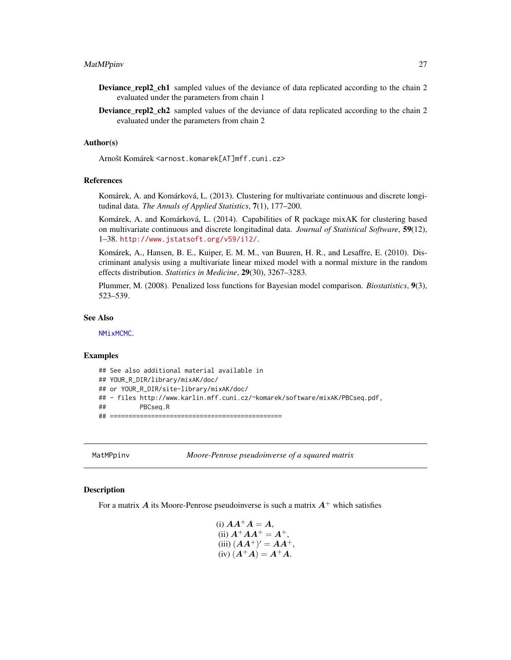- <span id="page-26-0"></span>Deviance\_repl2\_ch1 sampled values of the deviance of data replicated according to the chain 2 evaluated under the parameters from chain 1
- Deviance\_repl2\_ch2 sampled values of the deviance of data replicated according to the chain 2 evaluated under the parameters from chain 2

#### Author(s)

Arnošt Komárek <arnost.komarek[AT]mff.cuni.cz>

#### References

Komárek, A. and Komárková, L. (2013). Clustering for multivariate continuous and discrete longitudinal data. *The Annals of Applied Statistics*, 7(1), 177–200.

Komárek, A. and Komárková, L. (2014). Capabilities of R package mixAK for clustering based on multivariate continuous and discrete longitudinal data. *Journal of Statistical Software*, 59(12), 1–38. <http://www.jstatsoft.org/v59/i12/>.

Komárek, A., Hansen, B. E., Kuiper, E. M. M., van Buuren, H. R., and Lesaffre, E. (2010). Discriminant analysis using a multivariate linear mixed model with a normal mixture in the random effects distribution. *Statistics in Medicine*, 29(30), 3267–3283.

Plummer, M. (2008). Penalized loss functions for Bayesian model comparison. *Biostatistics*, 9(3), 523–539.

#### See Also

[NMixMCMC](#page-42-1).

#### Examples

```
## See also additional material available in
## YOUR_R_DIR/library/mixAK/doc/
## or YOUR_R_DIR/site-library/mixAK/doc/
## - files http://www.karlin.mff.cuni.cz/~komarek/software/mixAK/PBCseq.pdf,
## PBCseq.R
## ==============================================
```
MatMPpinv *Moore-Penrose pseudoinverse of a squared matrix*

# Description

For a matrix A its Moore-Penrose pseudoinverse is such a matrix  $A^+$  which satisfies

(i) 
$$
AA^+A = A
$$
,  
\n(ii)  $A^+AA^+ = A^+$ ,  
\n(iii)  $(AA^+)' = AA^+$ ,  
\n(iv)  $(A^+A) = A^+A$ .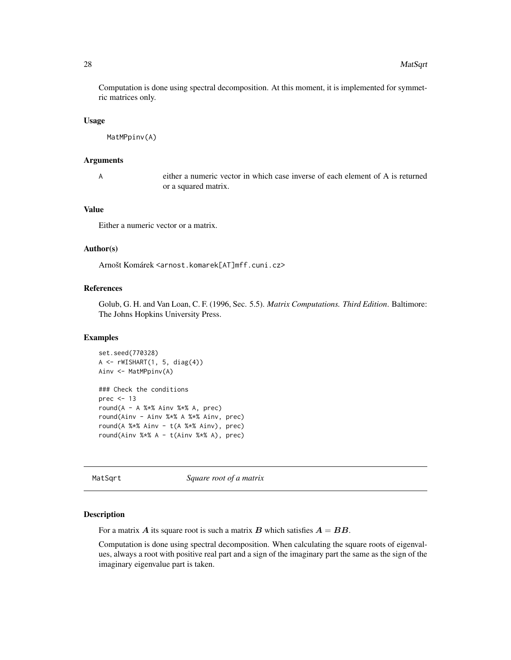Computation is done using spectral decomposition. At this moment, it is implemented for symmetric matrices only.

#### Usage

MatMPpinv(A)

#### Arguments

A either a numeric vector in which case inverse of each element of A is returned or a squared matrix.

#### Value

Either a numeric vector or a matrix.

#### Author(s)

Arnošt Komárek <arnost.komarek[AT]mff.cuni.cz>

# References

Golub, G. H. and Van Loan, C. F. (1996, Sec. 5.5). *Matrix Computations. Third Edition*. Baltimore: The Johns Hopkins University Press.

#### Examples

```
set.seed(770328)
A \leftarrow \text{rwISHART}(1, 5, diag(4))Ainv <- MatMPpinv(A)
### Check the conditions
prec <-13round(A - A %*% Ainv %*% A, prec)
round(Ainv - Ainv %*% A %*% Ainv, prec)
round(A %*% Ainv - t(A %*% Ainv), prec)
round(Ainv %*% A - t(Ainv %*% A), prec)
```
MatSqrt *Square root of a matrix*

#### Description

For a matrix A its square root is such a matrix B which satisfies  $A = BB$ .

Computation is done using spectral decomposition. When calculating the square roots of eigenvalues, always a root with positive real part and a sign of the imaginary part the same as the sign of the imaginary eigenvalue part is taken.

<span id="page-27-0"></span>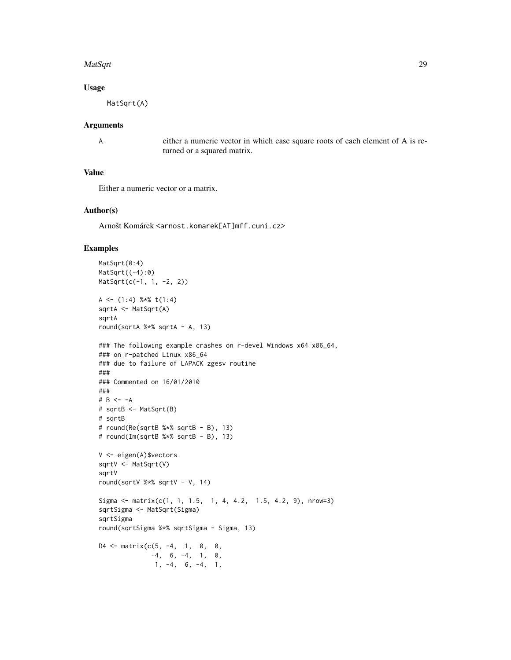#### MatSqrt 29

# Usage

MatSqrt(A)

#### Arguments

A either a numeric vector in which case square roots of each element of A is returned or a squared matrix.

#### Value

Either a numeric vector or a matrix.

#### Author(s)

Arnošt Komárek <arnost.komarek[AT]mff.cuni.cz>

#### Examples

```
MatSqrt(0:4)
MatSqrt((-4):0)MatSqrt(c(-1, 1, -2, 2))
A \leq - (1:4) %*% t(1:4)
sqrtA <- MatSqrt(A)
sqrtA
round(sqrtA %*% sqrtA - A, 13)
### The following example crashes on r-devel Windows x64 x86_64,
### on r-patched Linux x86_64
### due to failure of LAPACK zgesv routine
###
### Commented on 16/01/2010
###
# B <- -A
# sqrtB <- MatSqrt(B)
# sqrtB
# round(Re(sqrtB %*% sqrtB - B), 13)
# round(Im(sqrtB %*% sqrtB - B), 13)
V <- eigen(A)$vectors
sqrtV <- MatSqrt(V)
sqrtV
round(sqrtV %*% sqrtV - V, 14)
Sigma \leq matrix(c(1, 1, 1.5, 1, 4, 4.2, 1.5, 4.2, 9), nrow=3)
sqrtSigma <- MatSqrt(Sigma)
sqrtSigma
round(sqrtSigma %*% sqrtSigma - Sigma, 13)
D4 \leq - matrix(c(5, -4, 1, 0, 0,
             -4, 6, -4, 1, 0,1, -4, 6, -4, 1,
```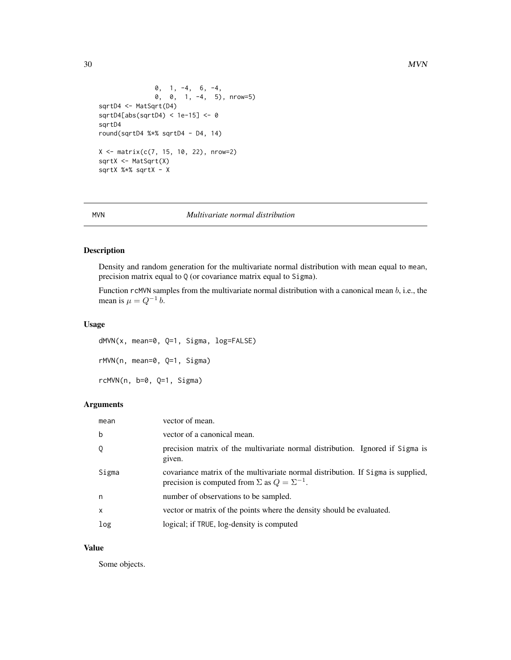```
0, 1, -4, 6, -4,0, 0, 1, -4, 5), nrow=5)
sqrtD4 <- MatSqrt(D4)
sqrtD4[abs(sqrtD4) < 1e-15] <- 0
sqrtD4
round(sqrtD4 %*% sqrtD4 - D4, 14)
X \le - matrix(c(7, 15, 10, 22), nrow=2)
sqrtX <- MatSqrt(X)
sqrtX %*% sqrtX - X
```
<span id="page-29-1"></span>

#### MVN *Multivariate normal distribution*

#### Description

Density and random generation for the multivariate normal distribution with mean equal to mean, precision matrix equal to Q (or covariance matrix equal to Sigma).

Function rcMVN samples from the multivariate normal distribution with a canonical mean  $b$ , i.e., the mean is  $\mu = Q^{-1} b$ .

# Usage

dMVN(x, mean=0, Q=1, Sigma, log=FALSE) rMVN(n, mean=0, Q=1, Sigma) rcMVN(n, b=0, Q=1, Sigma)

#### Arguments

| mean     | vector of mean.                                                                                                                                |
|----------|------------------------------------------------------------------------------------------------------------------------------------------------|
| b        | vector of a canonical mean.                                                                                                                    |
| Q        | precision matrix of the multivariate normal distribution. Ignored if Sigma is<br>given.                                                        |
| Sigma    | covariance matrix of the multivariate normal distribution. If Sigma is supplied,<br>precision is computed from $\Sigma$ as $Q = \Sigma^{-1}$ . |
| n.       | number of observations to be sampled.                                                                                                          |
| $\times$ | vector or matrix of the points where the density should be evaluated.                                                                          |
| log      | logical; if TRUE, log-density is computed                                                                                                      |

#### Value

Some objects.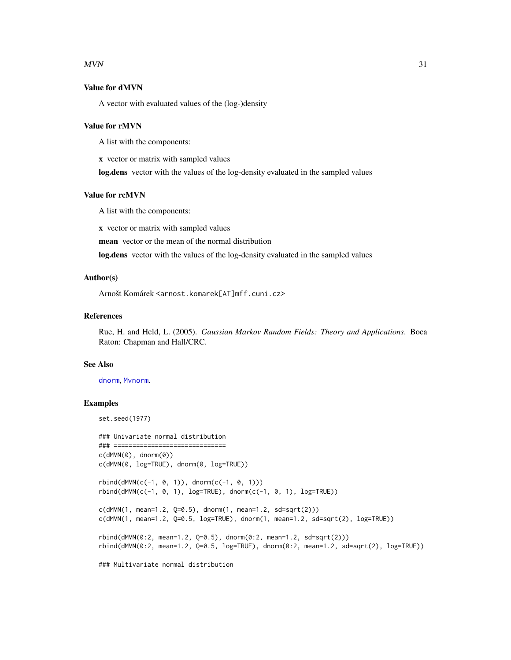#### $MVN$  31

# Value for dMVN

A vector with evaluated values of the (log-)density

#### Value for rMVN

A list with the components:

x vector or matrix with sampled values

log.dens vector with the values of the log-density evaluated in the sampled values

#### Value for rcMVN

A list with the components:

x vector or matrix with sampled values

mean vector or the mean of the normal distribution

log.dens vector with the values of the log-density evaluated in the sampled values

# Author(s)

Arnošt Komárek <arnost.komarek[AT]mff.cuni.cz>

# References

Rue, H. and Held, L. (2005). *Gaussian Markov Random Fields: Theory and Applications*. Boca Raton: Chapman and Hall/CRC.

#### See Also

[dnorm](#page-0-0), [Mvnorm](#page-0-0).

# Examples

```
set.seed(1977)
### Univariate normal distribution
### ==============================
c(dMVN(\theta), dnorm(\theta))c(dMVN(0, log=TRUE), dnorm(0, log=TRUE))
rbind(dMVN(c(-1, 0, 1)), dnorm(c(-1, 0, 1)))rbind(dMVN(c(-1, 0, 1), log=TRUE), domm(c(-1, 0, 1), log=TRUE))c(dMVN(1, mean=1.2, Q=0.5), dnorm(1, mean=1.2, sd=sqrt(2)))
c(dMVN(1, mean=1.2, Q=0.5, log=TRUE), dnorm(1, mean=1.2, sd=sqrt(2), log=TRUE))
rbind(dMVN(0:2, mean=1.2, Q=0.5), domm(0:2, mean=1.2, sd=sqrt(2)))rbind(dMVN(0:2, mean=1.2, Q=0.5, log=TRUE), dnorm(0:2, mean=1.2, sd=sqrt(2), log=TRUE))
### Multivariate normal distribution
```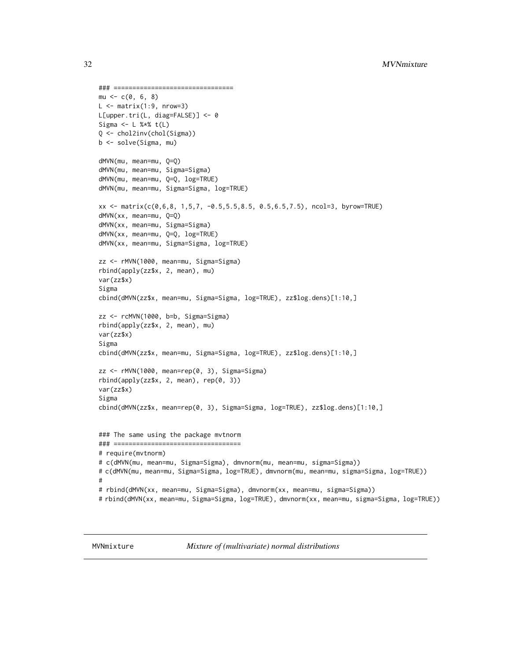```
### ================================
mu < -c(0, 6, 8)L \leq - matrix(1:9, nrow=3)
L[upper.tri(L, diag=FALSE)] <- 0
Sigma <- L %*% t(L)
Q <- chol2inv(chol(Sigma))
b <- solve(Sigma, mu)
dMVN(mu, mean=mu, Q=Q)
dMVN(mu, mean=mu, Sigma=Sigma)
dMVN(mu, mean=mu, Q=Q, log=TRUE)
dMVN(mu, mean=mu, Sigma=Sigma, log=TRUE)
xx <- matrix(c(0,6,8, 1,5,7, -0.5,5.5,8.5, 0.5,6.5,7.5), ncol=3, byrow=TRUE)
dMVN(xx, mean=mu, Q=Q)
dMVN(xx, mean=mu, Sigma=Sigma)
dMVN(xx, mean=mu, Q=Q, log=TRUE)
dMVN(xx, mean=mu, Sigma=Sigma, log=TRUE)
zz <- rMVN(1000, mean=mu, Sigma=Sigma)
rbind(apply(zz$x, 2, mean), mu)
var(zz$x)
Sigma
cbind(dMVN(zz$x, mean=mu, Sigma=Sigma, log=TRUE), zz$log.dens)[1:10,]
zz <- rcMVN(1000, b=b, Sigma=Sigma)
rbind(apply(zz$x, 2, mean), mu)
var(zz$x)
Sigma
cbind(dMVN(zz$x, mean=mu, Sigma=Sigma, log=TRUE), zz$log.dens)[1:10,]
zz <- rMVN(1000, mean=rep(0, 3), Sigma=Sigma)
rbind(apply(zz$x, 2, mean), rep(0, 3))
var(zz$x)
Sigma
cbind(dMVN(zz$x, mean=rep(0, 3), Sigma=Sigma, log=TRUE), zz$log.dens)[1:10,]
### The same using the package mvtnorm
### ==================================
# require(mvtnorm)
# c(dMVN(mu, mean=mu, Sigma=Sigma), dmvnorm(mu, mean=mu, sigma=Sigma))
# c(dMVN(mu, mean=mu, Sigma=Sigma, log=TRUE), dmvnorm(mu, mean=mu, sigma=Sigma, log=TRUE))
#
# rbind(dMVN(xx, mean=mu, Sigma=Sigma), dmvnorm(xx, mean=mu, sigma=Sigma))
# rbind(dMVN(xx, mean=mu, Sigma=Sigma, log=TRUE), dmvnorm(xx, mean=mu, sigma=Sigma, log=TRUE))
```
MVNmixture *Mixture of (multivariate) normal distributions*

<span id="page-31-0"></span>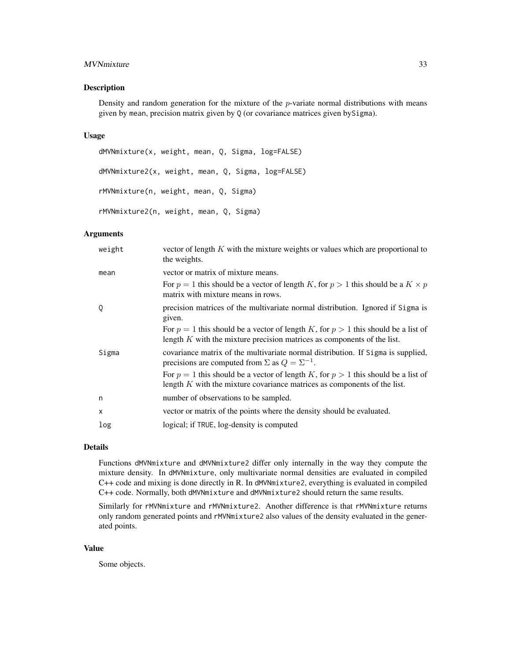#### MVNmixture 33

#### Description

Density and random generation for the mixture of the  $p$ -variate normal distributions with means given by mean, precision matrix given by Q (or covariance matrices given bySigma).

#### Usage

dMVNmixture(x, weight, mean, Q, Sigma, log=FALSE) dMVNmixture2(x, weight, mean, Q, Sigma, log=FALSE) rMVNmixture(n, weight, mean, Q, Sigma) rMVNmixture2(n, weight, mean, Q, Sigma)

# Arguments

| weight   | vector of length $K$ with the mixture weights or values which are proportional to<br>the weights.                                                                   |
|----------|---------------------------------------------------------------------------------------------------------------------------------------------------------------------|
| mean     | vector or matrix of mixture means.                                                                                                                                  |
|          | For $p = 1$ this should be a vector of length K, for $p > 1$ this should be a $K \times p$<br>matrix with mixture means in rows.                                    |
| Q        | precision matrices of the multivariate normal distribution. Ignored if Sigma is<br>given.                                                                           |
|          | For $p = 1$ this should be a vector of length K, for $p > 1$ this should be a list of<br>length $K$ with the mixture precision matrices as components of the list.  |
| Sigma    | covariance matrix of the multivariate normal distribution. If Sigma is supplied,<br>precisions are computed from $\Sigma$ as $Q = \Sigma^{-1}$ .                    |
|          | For $p = 1$ this should be a vector of length K, for $p > 1$ this should be a list of<br>length $K$ with the mixture covariance matrices as components of the list. |
| n        | number of observations to be sampled.                                                                                                                               |
| $\times$ | vector or matrix of the points where the density should be evaluated.                                                                                               |
| log      | logical; if TRUE, log-density is computed                                                                                                                           |

# Details

Functions dMVNmixture and dMVNmixture2 differ only internally in the way they compute the mixture density. In dMVNmixture, only multivariate normal densities are evaluated in compiled C++ code and mixing is done directly in R. In dMVNmixture2, everything is evaluated in compiled C++ code. Normally, both dMVNmixture and dMVNmixture2 should return the same results.

Similarly for rMVNmixture and rMVNmixture2. Another difference is that rMVNmixture returns only random generated points and rMVNmixture2 also values of the density evaluated in the generated points.

#### Value

Some objects.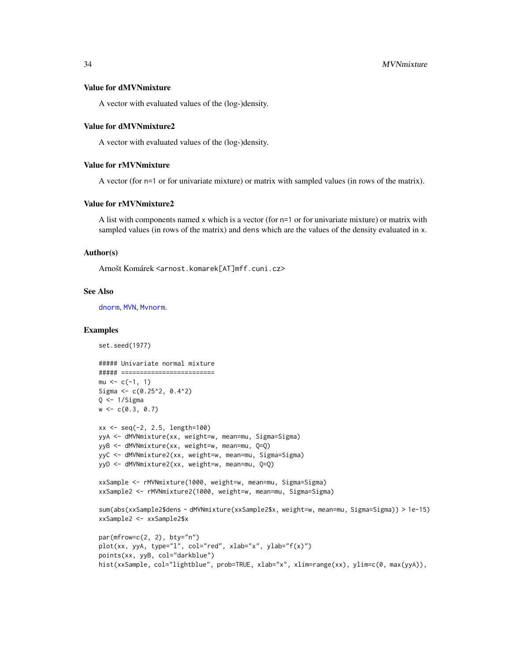#### Value for dMVNmixture

A vector with evaluated values of the (log-)density.

#### Value for dMVNmixture2

A vector with evaluated values of the (log-)density.

#### Value for rMVNmixture

A vector (for n=1 or for univariate mixture) or matrix with sampled values (in rows of the matrix).

#### Value for rMVNmixture2

A list with components named x which is a vector (for n=1 or for univariate mixture) or matrix with sampled values (in rows of the matrix) and dens which are the values of the density evaluated in x.

#### Author(s)

Arnošt Komárek <arnost.komarek[AT]mff.cuni.cz>

#### See Also

[dnorm](#page-0-0), [MVN](#page-29-1), [Mvnorm](#page-0-0).

#### Examples

```
set.seed(1977)
```

```
##### Univariate normal mixture
##### =========================
mu < -c(-1, 1)Sigma <- c(0.25^2, 0.4^2)Q \le -1/Sigmaw \leftarrow c(0.3, 0.7)xx <- seq(-2, 2.5, length=100)
yyA <- dMVNmixture(xx, weight=w, mean=mu, Sigma=Sigma)
yyB <- dMVNmixture(xx, weight=w, mean=mu, Q=Q)
yyC <- dMVNmixture2(xx, weight=w, mean=mu, Sigma=Sigma)
yyD <- dMVNmixture2(xx, weight=w, mean=mu, Q=Q)
xxSample <- rMVNmixture(1000, weight=w, mean=mu, Sigma=Sigma)
xxSample2 <- rMVNmixture2(1000, weight=w, mean=mu, Sigma=Sigma)
sum(abs(xxSample2$dens - dMVNmixture(xxSample2$x, weight=w, mean=mu, Sigma=Sigma)) > 1e-15)
xxSample2 <- xxSample2$x
par(mfrow=c(2, 2), bty="n")plot(xx, yyA, type="l", col="red", xlab="x", ylab="f(x)")
points(xx, yyB, col="darkblue")
hist(xxSample, col="lightblue", prob=TRUE, xlab="x", xlim=range(xx), ylim=c(0, max(yyA)),
```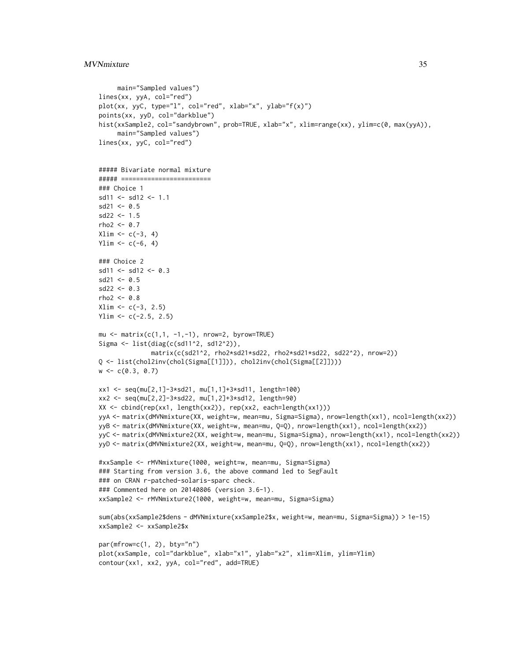#### MVNmixture 35

```
main="Sampled values")
lines(xx, yyA, col="red")
plot(xx, yyC, type="l", col="red", xlab="x", ylab="f(x)")
points(xx, yyD, col="darkblue")
hist(xxSample2, col="sandybrown", prob=TRUE, xlab="x", xlim=range(xx), ylim=c(0, max(yyA)),
     main="Sampled values")
lines(xx, yyC, col="red")
##### Bivariate normal mixture
##### ========================
### Choice 1
sd11 <- sd12 <- 1.1
sd21 \leq 0.5sd22 < -1.5rho2 < -0.7Xlim \leftarrow c(-3, 4)Ylim <- c(-6, 4)### Choice 2
sd11 <- sd12 <- 0.3sd21 \leq 0.5sd22 < -0.3rho2 < -0.8Xlim \leftarrow c(-3, 2.5)Ylim <- c(-2.5, 2.5)mu \le matrix(c(1,1, -1,-1), nrow=2, byrow=TRUE)
Sigma <- list(diag(c(sd11^2, sd12^2)),
              matrix(c(sd21^2, rho2*sd21*sd22, rho2*sd21*sd22, sd22^2), nrow=2))
Q <- list(chol2inv(chol(Sigma[[1]])), chol2inv(chol(Sigma[[2]])))
w \leftarrow c(0.3, 0.7)xx1 <- seq(mu[2,1]-3*sd21, mu[1,1]+3*sd11, length=100)
xx2 <- seq(mu[2,2]-3*sd22, mu[1,2]+3*sd12, length=90)
XX <- cbind(rep(xx1, length(xx2)), rep(xx2, each=length(xx1)))
yyA <- matrix(dMVNmixture(XX, weight=w, mean=mu, Sigma=Sigma), nrow=length(xx1), ncol=length(xx2))
yyB <- matrix(dMVNmixture(XX, weight=w, mean=mu, Q=Q), nrow=length(xx1), ncol=length(xx2))
yyC <- matrix(dMVNmixture2(XX, weight=w, mean=mu, Sigma=Sigma), nrow=length(xx1), ncol=length(xx2))
yyD <- matrix(dMVNmixture2(XX, weight=w, mean=mu, Q=Q), nrow=length(xx1), ncol=length(xx2))
#xxSample <- rMVNmixture(1000, weight=w, mean=mu, Sigma=Sigma)
### Starting from version 3.6, the above command led to SegFault
### on CRAN r-patched-solaris-sparc check.
### Commented here on 20140806 (version 3.6-1).
xxSample2 <- rMVNmixture2(1000, weight=w, mean=mu, Sigma=Sigma)
sum(abs(xxSample2$dens - dMVNmixture(xxSample2$x, weight=w, mean=mu, Sigma=Sigma)) > 1e-15)
xxSample2 <- xxSample2$x
par(mfrow=c(1, 2), bty="n")
plot(xxSample, col="darkblue", xlab="x1", ylab="x2", xlim=Xlim, ylim=Ylim)
contour(xx1, xx2, yyA, col="red", add=TRUE)
```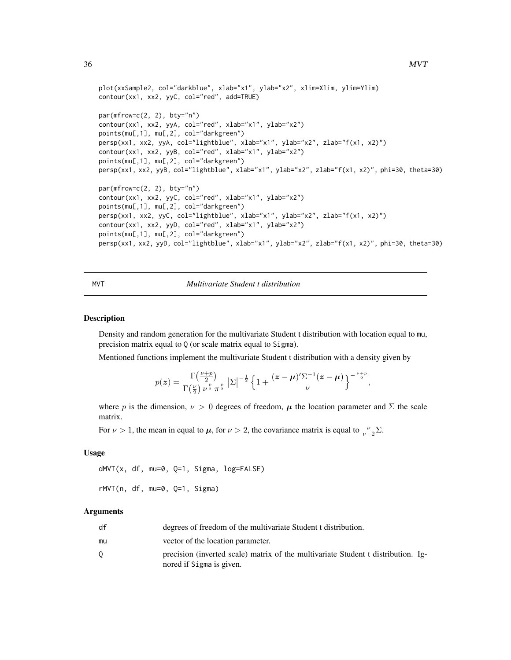```
plot(xxSample2, col="darkblue", xlab="x1", ylab="x2", xlim=Xlim, ylim=Ylim)
contour(xx1, xx2, yyC, col="red", add=TRUE)
par(mfrow=c(2, 2), bty="n")contour(xx1, xx2, yyA, col="red", xlab="x1", ylab="x2")
points(mu[,1], mu[,2], col="darkgreen")
persp(xx1, xx2, yyA, col="lightblue", xlab="x1", ylab="x2", zlab="f(x1, x2)")
contour(xx1, xx2, yyB, col="red", xlab="x1", ylab="x2")
points(mu[,1], mu[,2], col="darkgreen")
persp(xx1, xx2, yyB, col="lightblue", xlab="x1", ylab="x2", zlab="f(x1, x2)", phi=30, theta=30)
par(mfrow=c(2, 2), bty="n")
contour(xx1, xx2, yyC, col="red", xlab="x1", ylab="x2")
points(mu[,1], mu[,2], col="darkgreen")
persp(xx1, xx2, yyC, col="lightblue", xlab="x1", ylab="x2", zlab="f(x1, x2)")
contour(xx1, xx2, yyD, col="red", xlab="x1", ylab="x2")
points(mu[,1], mu[,2], col="darkgreen")
persp(xx1, xx2, yyD, col="lightblue", xlab="x1", ylab="x2", zlab="f(x1, x2)", phi=30, theta=30)
```
#### MVT *Multivariate Student t distribution*

#### Description

Density and random generation for the multivariate Student t distribution with location equal to mu, precision matrix equal to Q (or scale matrix equal to Sigma).

Mentioned functions implement the multivariate Student t distribution with a density given by

$$
p(\boldsymbol{z}) = \frac{\Gamma(\frac{\nu+p}{2})}{\Gamma(\frac{\nu}{2}) \nu^{\frac{p}{2}} \pi^{\frac{p}{2}}} |\Sigma|^{-\frac{1}{2}} \left\{ 1 + \frac{(\boldsymbol{z} - \boldsymbol{\mu})'\Sigma^{-1}(\boldsymbol{z} - \boldsymbol{\mu})}{\nu} \right\}^{-\frac{\nu+p}{2}},
$$

where p is the dimension,  $\nu > 0$  degrees of freedom,  $\mu$  the location parameter and  $\Sigma$  the scale matrix.

For  $\nu > 1$ , the mean in equal to  $\mu$ , for  $\nu > 2$ , the covariance matrix is equal to  $\frac{\nu}{\nu-2}\Sigma$ .

#### Usage

```
dMVT(x, df, mu=0, Q=1, Signa, log=FALSE)rMVT(n, df, mu=0, Q=1, Sigma)
```
# Arguments

| df | degrees of freedom of the multivariate Student t distribution.                                                |
|----|---------------------------------------------------------------------------------------------------------------|
| mu | vector of the location parameter.                                                                             |
|    | precision (inverted scale) matrix of the multivariate Student t distribution. Ig-<br>nored if Sigma is given. |

<span id="page-35-0"></span>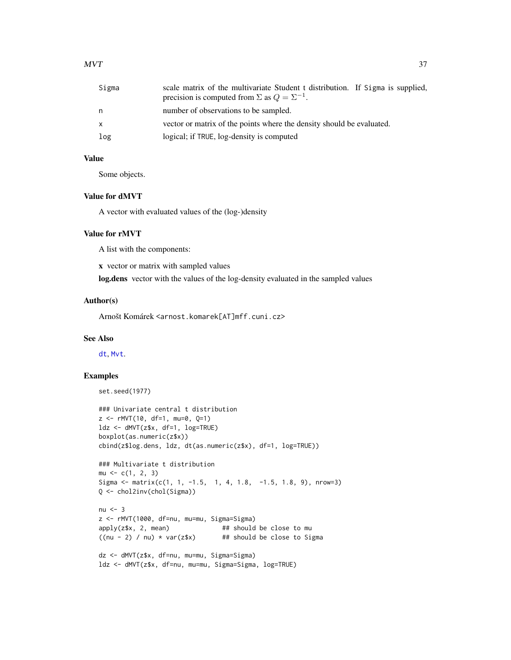| Sigma | scale matrix of the multivariate Student t distribution. If Sigma is supplied,<br>precision is computed from $\Sigma$ as $Q = \Sigma^{-1}$ . |
|-------|----------------------------------------------------------------------------------------------------------------------------------------------|
| n     | number of observations to be sampled.                                                                                                        |
| x     | vector or matrix of the points where the density should be evaluated.                                                                        |
| log   | logical; if TRUE, log-density is computed                                                                                                    |

Some objects.

#### Value for dMVT

A vector with evaluated values of the (log-)density

### Value for rMVT

A list with the components:

x vector or matrix with sampled values

log.dens vector with the values of the log-density evaluated in the sampled values

### Author(s)

Arnošt Komárek <arnost.komarek[AT]mff.cuni.cz>

### See Also

[dt](#page-0-0), [Mvt](#page-0-0).

### Examples

```
set.seed(1977)
```

```
### Univariate central t distribution
z <- rMVT(10, df=1, mu=0, Q=1)
ldz <- dMVT(z$x, df=1, log=TRUE)
boxplot(as.numeric(z$x))
cbind(z$log.dens, ldz, dt(as.numeric(z$x), df=1, log=TRUE))
```

```
### Multivariate t distribution
mu \leftarrow c(1, 2, 3)Sigma \leq matrix(c(1, 1, -1.5, 1, 4, 1.8, -1.5, 1.8, 9), nrow=3)
Q <- chol2inv(chol(Sigma))
```

```
nu < -3z <- rMVT(1000, df=nu, mu=mu, Sigma=Sigma)
apply(z$x, 2, mean) # # should be close to mu
((nu - 2) / nu) * var(z*x) ## should be close to Sigma
```

```
dz <- dMVT(z$x, df=nu, mu=mu, Sigma=Sigma)
ldz <- dMVT(z$x, df=nu, mu=mu, Sigma=Sigma, log=TRUE)
```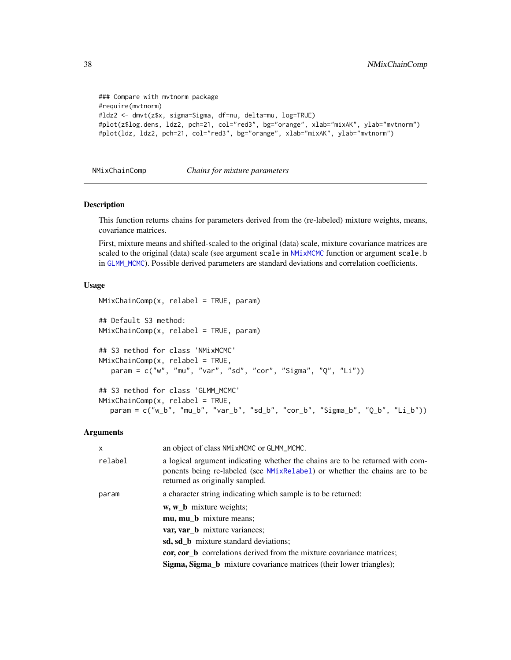```
### Compare with mvtnorm package
#require(mvtnorm)
#ldz2 <- dmvt(z$x, sigma=Sigma, df=nu, delta=mu, log=TRUE)
#plot(z$log.dens, ldz2, pch=21, col="red3", bg="orange", xlab="mixAK", ylab="mvtnorm")
#plot(ldz, ldz2, pch=21, col="red3", bg="orange", xlab="mixAK", ylab="mvtnorm")
```
NMixChainComp *Chains for mixture parameters*

#### Description

This function returns chains for parameters derived from the (re-labeled) mixture weights, means, covariance matrices.

First, mixture means and shifted-scaled to the original (data) scale, mixture covariance matrices are scaled to the original (data) scale (see argument scale in [NMixMCMC](#page-42-0) function or argument scale.b in [GLMM\\_MCMC](#page-17-0)). Possible derived parameters are standard deviations and correlation coefficients.

#### Usage

```
NMixChainComp(x, relabel = TRUE, param)
## Default S3 method:
NMixChainComp(x, relabel = TRUE, param)
## S3 method for class 'NMixMCMC'
NMixChainComp(x, relabel = TRUE,param = c("w", "mu", "var", "sd", "cor", "Sigma", "Q", "Li"))
## S3 method for class 'GLMM_MCMC'
NMixChainComp(x, relabel = TRUE,param = c("w_b", "mu_b", "var_b", "sd_b", "cor_b", "Sigma_b", "Q_b", "Li_b"))
```

| x       | an object of class NM1xMCMC or GLMM_MCMC.                                                                                                                                                      |
|---------|------------------------------------------------------------------------------------------------------------------------------------------------------------------------------------------------|
| relabel | a logical argument indicating whether the chains are to be returned with com-<br>ponents being re-labeled (see NMixRelabel) or whether the chains are to be<br>returned as originally sampled. |
| param   | a character string indicating which sample is to be returned:                                                                                                                                  |
|         | w, w <b>b</b> mixture weights;                                                                                                                                                                 |
|         | mu, mu_b mixture means;                                                                                                                                                                        |
|         | var, var_b mixture variances;                                                                                                                                                                  |
|         | sd, sd b mixture standard deviations;                                                                                                                                                          |
|         | cor, cor_b correlations derived from the mixture covariance matrices;                                                                                                                          |
|         | Sigma, Sigma_b mixture covariance matrices (their lower triangles);                                                                                                                            |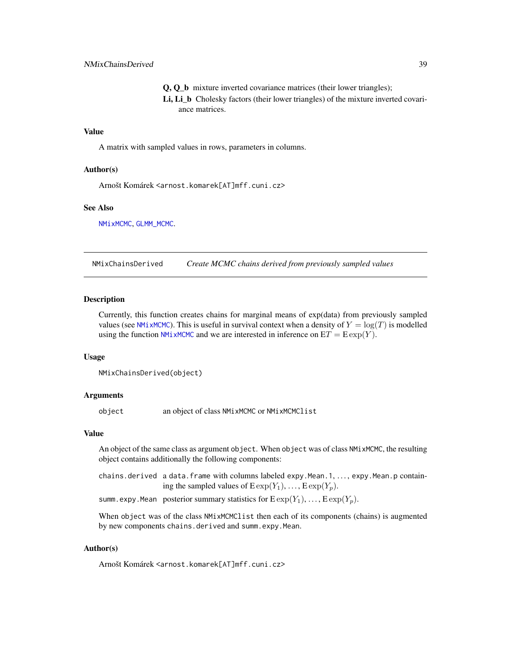Q, Q\_b mixture inverted covariance matrices (their lower triangles); Li, Li b Cholesky factors (their lower triangles) of the mixture inverted covariance matrices.

#### Value

A matrix with sampled values in rows, parameters in columns.

#### Author(s)

Arnošt Komárek <arnost.komarek[AT]mff.cuni.cz>

#### See Also

[NMixMCMC](#page-42-0), [GLMM\\_MCMC](#page-17-0).

NMixChainsDerived *Create MCMC chains derived from previously sampled values*

#### **Description**

Currently, this function creates chains for marginal means of exp(data) from previously sampled values (see [NMixMCMC](#page-42-0)). This is useful in survival context when a density of  $Y = \log(T)$  is modelled using the function [NMixMCMC](#page-42-0) and we are interested in inference on  $ET = E \exp(Y)$ .

#### Usage

```
NMixChainsDerived(object)
```
#### Arguments

object an object of class NMixMCMC or NMixMCMClist

#### Value

An object of the same class as argument object. When object was of class NMixMCMC, the resulting object contains additionally the following components:

chains.derived a data.frame with columns labeled expy.Mean.1, ..., expy.Mean.p containing the sampled values of  $E \exp(Y_1), \ldots, E \exp(Y_p)$ .

summ.expy.Mean posterior summary statistics for  $\text{Exp}(Y_1), \ldots, \text{Exp}(Y_p)$ .

When object was of the class NMixMCMClist then each of its components (chains) is augmented by new components chains.derived and summ.expy.Mean.

### Author(s)

Arnošt Komárek <arnost.komarek[AT]mff.cuni.cz>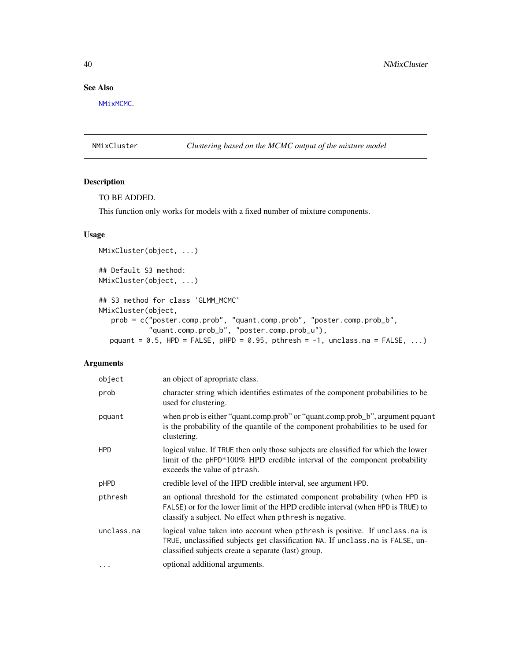# See Also

[NMixMCMC](#page-42-0).

NMixCluster *Clustering based on the MCMC output of the mixture model*

### Description

### TO BE ADDED.

This function only works for models with a fixed number of mixture components.

## Usage

```
NMixCluster(object, ...)
## Default S3 method:
NMixCluster(object, ...)
## S3 method for class 'GLMM_MCMC'
NMixCluster(object,
   prob = c("poster.comp.prob", "quant.comp.prob", "poster.comp.prob_b",
            "quant.comp.prob_b", "poster.comp.prob_u"),
  pquant = 0.5, HPD = FALSE, pHPD = 0.95, pthresh = -1, unclass.na = FALSE, ...)
```

| object     | an object of apropriate class.                                                                                                                                                                                            |
|------------|---------------------------------------------------------------------------------------------------------------------------------------------------------------------------------------------------------------------------|
| prob       | character string which identifies estimates of the component probabilities to be<br>used for clustering.                                                                                                                  |
| pquant     | when prob is either "quant.comp.prob" or "quant.comp.prob_b", argument pquant<br>is the probability of the quantile of the component probabilities to be used for<br>clustering.                                          |
| <b>HPD</b> | logical value. If TRUE then only those subjects are classified for which the lower<br>limit of the pHPD*100% HPD credible interval of the component probability<br>exceeds the value of ptrash.                           |
| pHPD       | credible level of the HPD credible interval, see argument HPD.                                                                                                                                                            |
| pthresh    | an optional threshold for the estimated component probability (when HPD is<br>FALSE) or for the lower limit of the HPD credible interval (when HPD is TRUE) to<br>classify a subject. No effect when pthresh is negative. |
| unclass.na | logical value taken into account when pthresh is positive. If unclass.na is<br>TRUE, unclassified subjects get classification NA. If unclass .na is FALSE, un-<br>classified subjects create a separate (last) group.     |
| $\cdots$   | optional additional arguments.                                                                                                                                                                                            |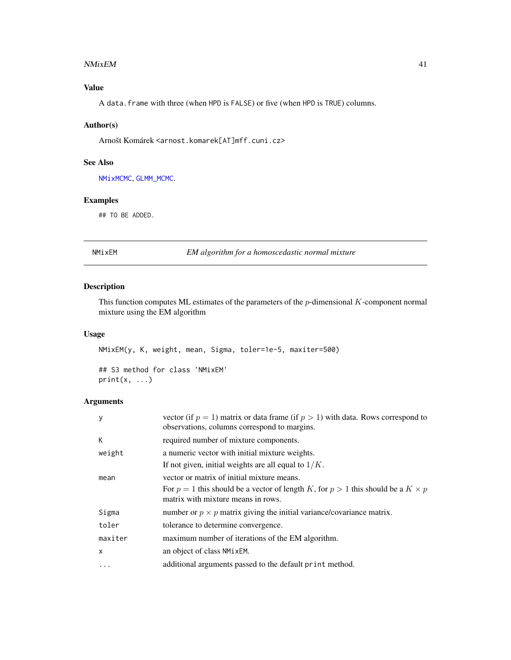#### NMixEM 41

# Value

A data.frame with three (when HPD is FALSE) or five (when HPD is TRUE) columns.

### Author(s)

Arnošt Komárek <arnost.komarek[AT]mff.cuni.cz>

### See Also

[NMixMCMC](#page-42-0), [GLMM\\_MCMC](#page-17-0).

### Examples

## TO BE ADDED.

### NMixEM *EM algorithm for a homoscedastic normal mixture*

### Description

This function computes ML estimates of the parameters of the  $p$ -dimensional  $K$ -component normal mixture using the EM algorithm

### Usage

```
NMixEM(y, K, weight, mean, Sigma, toler=1e-5, maxiter=500)
## S3 method for class 'NMixEM'
print(x, \ldots)
```

| y          | vector (if $p = 1$ ) matrix or data frame (if $p > 1$ ) with data. Rows correspond to<br>observations, columns correspond to margins.                                          |
|------------|--------------------------------------------------------------------------------------------------------------------------------------------------------------------------------|
| К          | required number of mixture components.                                                                                                                                         |
| weight     | a numeric vector with initial mixture weights.<br>If not given, initial weights are all equal to $1/K$ .                                                                       |
| mean       | vector or matrix of initial mixture means.<br>For $p = 1$ this should be a vector of length K, for $p > 1$ this should be a $K \times p$<br>matrix with mixture means in rows. |
| Sigma      | number or $p \times p$ matrix giving the initial variance/covariance matrix.                                                                                                   |
| toler      | tolerance to determine convergence.                                                                                                                                            |
| maxiter    | maximum number of iterations of the EM algorithm.                                                                                                                              |
| X          | an object of class NMixEM.                                                                                                                                                     |
| $\ddots$ . | additional arguments passed to the default print method.                                                                                                                       |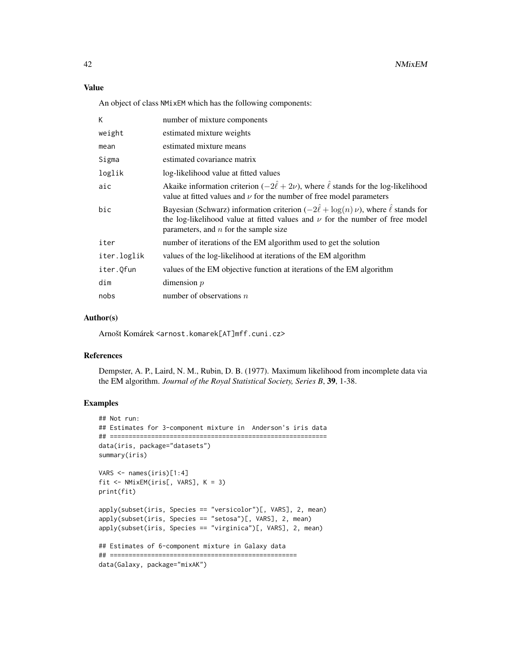An object of class NMixEM which has the following components:

| K           | number of mixture components                                                                                                                                                                                                  |
|-------------|-------------------------------------------------------------------------------------------------------------------------------------------------------------------------------------------------------------------------------|
| weight      | estimated mixture weights                                                                                                                                                                                                     |
| mean        | estimated mixture means                                                                                                                                                                                                       |
| Sigma       | estimated covariance matrix                                                                                                                                                                                                   |
| loglik      | log-likelihood value at fitted values                                                                                                                                                                                         |
| aic         | Akaike information criterion ( $-2\hat{\ell} + 2\nu$ ), where $\hat{\ell}$ stands for the log-likelihood<br>value at fitted values and $\nu$ for the number of free model parameters                                          |
| bic         | Bayesian (Schwarz) information criterion $(-2\hat{l} + \log(n)v)$ , where $\hat{l}$ stands for<br>the log-likelihood value at fitted values and $\nu$ for the number of free model<br>parameters, and $n$ for the sample size |
| iter        | number of iterations of the EM algorithm used to get the solution                                                                                                                                                             |
| iter.loglik | values of the log-likelihood at iterations of the EM algorithm                                                                                                                                                                |
| iter.Qfun   | values of the EM objective function at iterations of the EM algorithm                                                                                                                                                         |
| dim         | dimension $p$                                                                                                                                                                                                                 |
| nobs        | number of observations $n$                                                                                                                                                                                                    |

### Author(s)

Arnošt Komárek <arnost.komarek[AT]mff.cuni.cz>

### References

Dempster, A. P., Laird, N. M., Rubin, D. B. (1977). Maximum likelihood from incomplete data via the EM algorithm. *Journal of the Royal Statistical Society, Series B*, 39, 1-38.

### Examples

```
## Not run:
## Estimates for 3-component mixture in Anderson's iris data
## ==========================================================
data(iris, package="datasets")
summary(iris)
VARS \leq names(iris)[1:4]
fit <- NMixEM(iris[, VARS], K = 3)
print(fit)
apply(subset(iris, Species == "versicolor")[, VARS], 2, mean)
apply(subset(iris, Species == "setosa")[, VARS], 2, mean)
apply(subset(iris, Species == "virginica")[, VARS], 2, mean)
## Estimates of 6-component mixture in Galaxy data
## ==================================================
data(Galaxy, package="mixAK")
```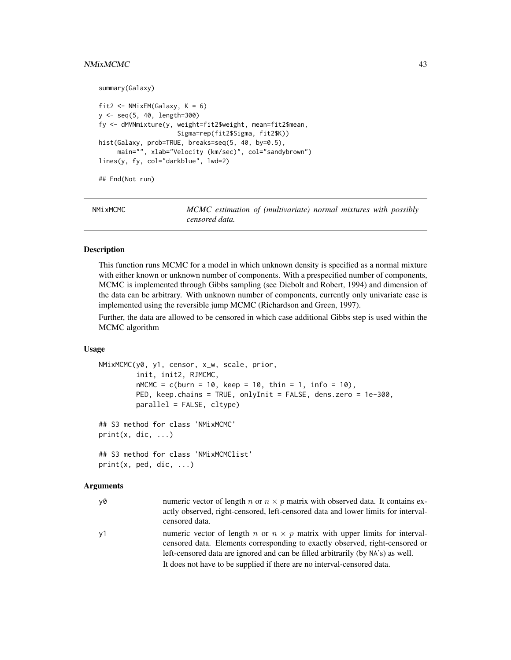### NMixMCMC 43

```
summary(Galaxy)
fit2 <- NMixEM(Galaxy, K = 6)
y <- seq(5, 40, length=300)
fy <- dMVNmixture(y, weight=fit2$weight, mean=fit2$mean,
                     Sigma=rep(fit2$Sigma, fit2$K))
hist(Galaxy, prob=TRUE, breaks=seq(5, 40, by=0.5),
     main="", xlab="Velocity (km/sec)", col="sandybrown")
lines(y, fy, col="darkblue", lwd=2)
## End(Not run)
```
<span id="page-42-0"></span>

| NMixMCMC | MCMC estimation of (multivariate) normal mixtures with possibly |  |  |
|----------|-----------------------------------------------------------------|--|--|
|          | censored data.                                                  |  |  |

#### Description

This function runs MCMC for a model in which unknown density is specified as a normal mixture with either known or unknown number of components. With a prespecified number of components, MCMC is implemented through Gibbs sampling (see Diebolt and Robert, 1994) and dimension of the data can be arbitrary. With unknown number of components, currently only univariate case is implemented using the reversible jump MCMC (Richardson and Green, 1997).

Further, the data are allowed to be censored in which case additional Gibbs step is used within the MCMC algorithm

#### Usage

```
NMixMCMC(y0, y1, censor, x_w, scale, prior,
         init, init2, RJMCMC,
         mMCMC = c(burn = 10, keep = 10, thin = 1, info = 10),PED, keep.chains = TRUE, onlyInit = FALSE, dens.zero = 1e-300,
         parallel = FALSE, cltype)
## S3 method for class 'NMixMCMC'
print(x, dic, ...)## S3 method for class 'NMixMCMClist'
print(x, ped, dic, ...)
```

| actly observed, right-censored, left-censored data and lower limits for interval-                                                                                       |  |
|-------------------------------------------------------------------------------------------------------------------------------------------------------------------------|--|
| censored data.                                                                                                                                                          |  |
| numeric vector of length n or $n \times p$ matrix with upper limits for interval-<br>ν1<br>censored data. Elements corresponding to exactly observed, right-censored or |  |
| left-censored data are ignored and can be filled arbitrarily (by NA's) as well.                                                                                         |  |
| It does not have to be supplied if there are no interval-censored data.                                                                                                 |  |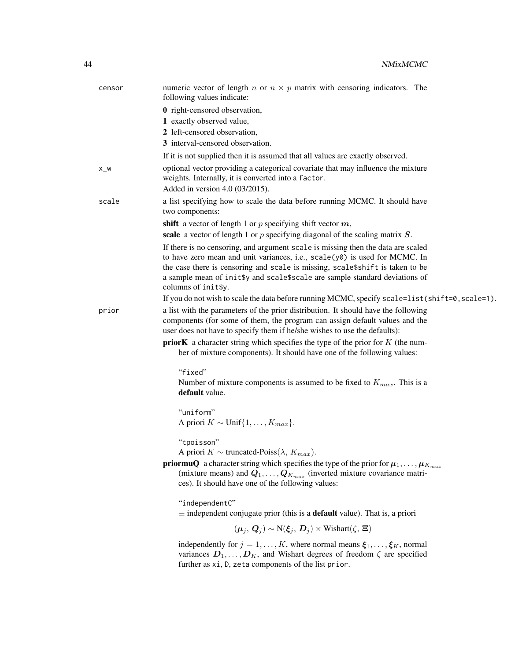| censor  | numeric vector of length n or $n \times p$ matrix with censoring indicators. The<br>following values indicate:                                                                                                                                                                                                                      |
|---------|-------------------------------------------------------------------------------------------------------------------------------------------------------------------------------------------------------------------------------------------------------------------------------------------------------------------------------------|
|         | <b>0</b> right-censored observation,                                                                                                                                                                                                                                                                                                |
|         | 1 exactly observed value,                                                                                                                                                                                                                                                                                                           |
|         | 2 left-censored observation,                                                                                                                                                                                                                                                                                                        |
|         | 3 interval-censored observation.                                                                                                                                                                                                                                                                                                    |
|         | If it is not supplied then it is assumed that all values are exactly observed.                                                                                                                                                                                                                                                      |
| $X_{W}$ | optional vector providing a categorical covariate that may influence the mixture<br>weights. Internally, it is converted into a factor.                                                                                                                                                                                             |
|         | Added in version 4.0 (03/2015).                                                                                                                                                                                                                                                                                                     |
| scale   | a list specifying how to scale the data before running MCMC. It should have<br>two components:                                                                                                                                                                                                                                      |
|         | shift a vector of length 1 or $p$ specifying shift vector $m$ ,                                                                                                                                                                                                                                                                     |
|         | scale a vector of length 1 or $p$ specifying diagonal of the scaling matrix $S$ .                                                                                                                                                                                                                                                   |
|         | If there is no censoring, and argument scale is missing then the data are scaled                                                                                                                                                                                                                                                    |
|         | to have zero mean and unit variances, i.e., scale(y0) is used for MCMC. In                                                                                                                                                                                                                                                          |
|         | the case there is censoring and scale is missing, scale\$shift is taken to be<br>a sample mean of init\$y and scale\$scale are sample standard deviations of<br>columns of init\$y.                                                                                                                                                 |
|         | If you do not wish to scale the data before running MCMC, specify scale=list(shift=0, scale=1).                                                                                                                                                                                                                                     |
| prior   | a list with the parameters of the prior distribution. It should have the following<br>components (for some of them, the program can assign default values and the<br>user does not have to specify them if he/she wishes to use the defaults):                                                                                      |
|         | <b>priorK</b> a character string which specifies the type of the prior for $K$ (the num-<br>ber of mixture components). It should have one of the following values:                                                                                                                                                                 |
|         | "fixed"<br>Number of mixture components is assumed to be fixed to $K_{max}$ . This is a<br>default value.                                                                                                                                                                                                                           |
|         | "uniform"<br>A priori $K \sim \text{Unif}\{1,\ldots,K_{max}\}.$                                                                                                                                                                                                                                                                     |
|         | "tpoisson"<br>A priori $K \sim$ truncated-Poiss( $\lambda$ , $K_{max}$ ).<br><b>priormuQ</b> a character string which specifies the type of the prior for $\mu_1, \ldots, \mu_{K_{max}}$<br>(mixture means) and $Q_1, \ldots, Q_{K_{max}}$ (inverted mixture covariance matri-<br>ces). It should have one of the following values: |
|         | "independentC"<br>$\equiv$ independent conjugate prior (this is a <b>default</b> value). That is, a priori                                                                                                                                                                                                                          |
|         | $(\mu_i, Q_i) \sim N(\xi_i, D_i) \times \text{Wishart}(\zeta, \Xi)$                                                                                                                                                                                                                                                                 |
|         |                                                                                                                                                                                                                                                                                                                                     |
|         | independently for $j = 1, , K$ , where normal means $\xi_1, , \xi_K$ , normal<br>variances $D_1, \ldots, D_K$ , and Wishart degrees of freedom $\zeta$ are specified<br>further as xi, D, zeta components of the list prior.                                                                                                        |
|         |                                                                                                                                                                                                                                                                                                                                     |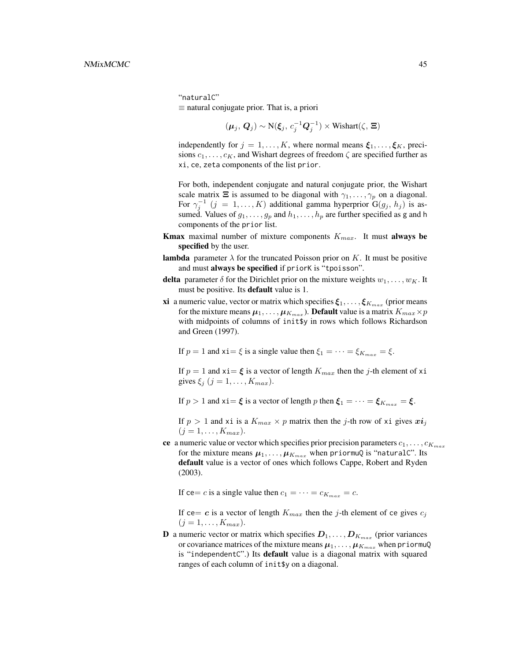"naturalC"  $\equiv$  natural conjugate prior. That is, a priori

$$
(\boldsymbol{\mu}_j, \, \boldsymbol{Q}_j) \sim \mathrm{N}(\boldsymbol{\xi}_j, \, c_j^{-1} \boldsymbol{Q}_j^{-1}) \times \mathrm{Wishart}(\zeta, \, \boldsymbol{\Xi})
$$

independently for  $j = 1, ..., K$ , where normal means  $\xi_1, ..., \xi_K$ , precisions  $c_1, \ldots, c_K$ , and Wishart degrees of freedom  $\zeta$  are specified further as xi, ce, zeta components of the list prior.

For both, independent conjugate and natural conjugate prior, the Wishart scale matrix  $\Xi$  is assumed to be diagonal with  $\gamma_1, \ldots, \gamma_p$  on a diagonal. For  $\gamma_j^{-1}$   $(j = 1, ..., K)$  additional gamma hyperprior  $G(g_j, h_j)$  is assumed. Values of  $g_1, \ldots, g_p$  and  $h_1, \ldots, h_p$  are further specified as g and h components of the prior list.

- **Kmax** maximal number of mixture components  $K_{max}$ . It must always be specified by the user.
- lambda parameter  $\lambda$  for the truncated Poisson prior on K. It must be positive and must always be specified if priorK is "tpoisson".
- delta parameter  $\delta$  for the Dirichlet prior on the mixture weights  $w_1, \ldots, w_K$ . It must be positive. Its **default** value is 1.
- **xi** a numeric value, vector or matrix which specifies  $\xi_1, \ldots, \xi_{K_{max}}$  (prior means for the mixture means  $\pmb{\mu}_1,\ldots,\pmb{\mu}_{K_{max}})$ . **Default** value is a matrix  $K_{max}\!\times\!p$ with midpoints of columns of init\$y in rows which follows Richardson and Green (1997).

If  $p = 1$  and  $x_i = \xi$  is a single value then  $\xi_1 = \cdots = \xi_{K_{max}} = \xi$ .

If  $p = 1$  and  $xi = \xi$  is a vector of length  $K_{max}$  then the j-th element of xi gives  $\xi_j$   $(j = 1, \ldots, K_{max})$ .

If  $p > 1$  and  $x_i = \xi$  is a vector of length p then  $\xi_1 = \cdots = \xi_{K_{max}} = \xi$ .

If  $p > 1$  and xi is a  $K_{max} \times p$  matrix then the j-th row of xi gives  $x i_j$  $(j = 1, \ldots, K_{max}).$ 

ce a numeric value or vector which specifies prior precision parameters  $c_1, \ldots, c_{K_{max}}$ for the mixture means  $\mu_1, \ldots, \mu_{K_{max}}$  when priormuQ is "naturalC". Its default value is a vector of ones which follows Cappe, Robert and Ryden (2003).

If ce= c is a single value then  $c_1 = \cdots = c_{K_{max}} = c$ .

If ce= c is a vector of length  $K_{max}$  then the j-th element of ce gives  $c_i$  $(j = 1, \ldots, K_{max}).$ 

**D** a numeric vector or matrix which specifies  $D_1, \ldots, D_{K_{max}}$  (prior variances or covariance matrices of the mixture means  $\mu_1, \ldots, \mu_{K_{max}}$  when priormuQ is "independentC".) Its default value is a diagonal matrix with squared ranges of each column of init\$y on a diagonal.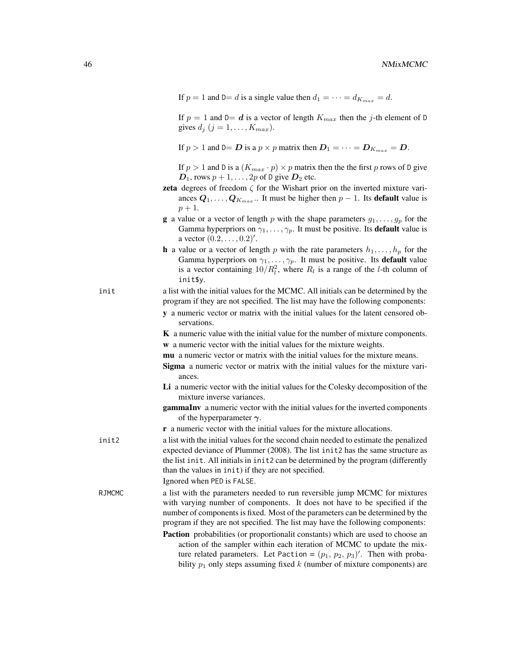If  $p = 1$  and  $D = d$  is a single value then  $d_1 = \cdots = d_{K_{max}} = d$ .

If  $p = 1$  and  $D = d$  is a vector of length  $K_{max}$  then the j-th element of D gives  $d_j$   $(j = 1, \ldots, K_{max})$ .

If  $p > 1$  and  $D = D$  is a  $p \times p$  matrix then  $D_1 = \cdots = D_{K_{max}} = D$ .

If  $p > 1$  and D is a  $(K_{max} \cdot p) \times p$  matrix then the the first p rows of D give  $D_1$ , rows  $p + 1, \ldots, 2p$  of D give  $D_2$  etc.

- zeta degrees of freedom  $\zeta$  for the Wishart prior on the inverted mixture variances  $Q_1, \ldots, Q_{K_{max}}$ .. It must be higher then  $p-1$ . Its **default** value is  $p + 1.$
- **g** a value or a vector of length p with the shape parameters  $g_1, \ldots, g_p$  for the Gamma hyperpriors on  $\gamma_1, \ldots, \gamma_p$ . It must be positive. Its **default** value is a vector  $(0.2, \ldots, 0.2)'.$
- **h** a value or a vector of length p with the rate parameters  $h_1, \ldots, h_p$  for the Gamma hyperpriors on  $\gamma_1, \ldots, \gamma_p$ . It must be positive. Its **default** value is a vector containing  $10/R_l^2$ , where  $R_l$  is a range of the *l*-th column of init\$y.

init a list with the initial values for the MCMC. All initials can be determined by the program if they are not specified. The list may have the following components:

- y a numeric vector or matrix with the initial values for the latent censored observations.
- K a numeric value with the initial value for the number of mixture components.
- w a numeric vector with the initial values for the mixture weights.
- mu a numeric vector or matrix with the initial values for the mixture means.
- Sigma a numeric vector or matrix with the initial values for the mixture variances.
- Li a numeric vector with the initial values for the Colesky decomposition of the mixture inverse variances.
- gammaInv a numeric vector with the initial values for the inverted components of the hyperparameter  $\gamma$ .
- r a numeric vector with the initial values for the mixture allocations.

init2 a list with the initial values for the second chain needed to estimate the penalized expected deviance of Plummer (2008). The list init2 has the same structure as the list init. All initials in init2 can be determined by the program (differently than the values in init) if they are not specified. Ignored when PED is FALSE.

RJMCMC a list with the parameters needed to run reversible jump MCMC for mixtures with varying number of components. It does not have to be specified if the number of components is fixed. Most of the parameters can be determined by the program if they are not specified. The list may have the following components:

Paction probabilities (or proportionalit constants) which are used to choose an action of the sampler within each iteration of MCMC to update the mixture related parameters. Let Paction =  $(p_1, p_2, p_3)'$ . Then with probability  $p_1$  only steps assuming fixed k (number of mixture components) are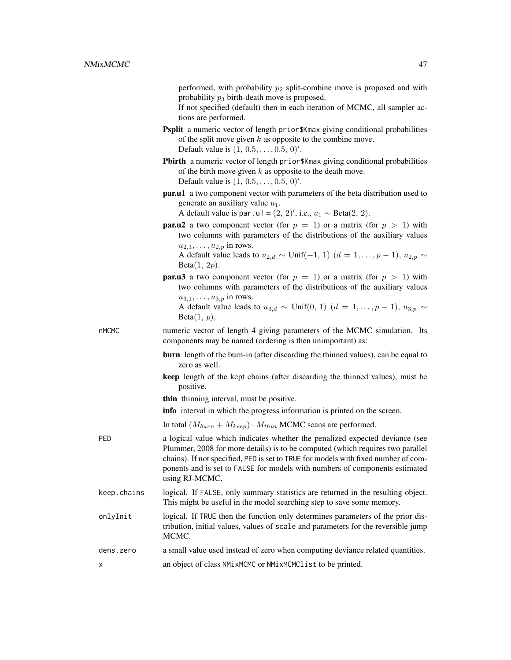performed, with probability  $p_2$  split-combine move is proposed and with probability  $p_3$  birth-death move is proposed.

If not specified (default) then in each iteration of MCMC, all sampler actions are performed.

- Psplit a numeric vector of length prior\$Kmax giving conditional probabilities of the split move given  $k$  as opposite to the combine move. Default value is  $(1, 0.5, \ldots, 0.5, 0)$ '.
- Pbirth a numeric vector of length prior\$Kmax giving conditional probabilities of the birth move given  $k$  as opposite to the death move. Default value is  $(1, 0.5, \ldots, 0.5, 0)$ '.
- par.u1 a two component vector with parameters of the beta distribution used to generate an auxiliary value  $u_1$ .

A default value is par.u1 =  $(2, 2)$ ', i.e.,  $u_1 \sim \text{Beta}(2, 2)$ .

**par.u2** a two component vector (for  $p = 1$ ) or a matrix (for  $p > 1$ ) with two columns with parameters of the distributions of the auxiliary values  $u_{2,1}, \ldots, u_{2,n}$  in rows.

A default value leads to  $u_{2,d} \sim \text{Unif}(-1, 1)$   $(d = 1, \ldots, p-1), u_{2,p} \sim$  $Beta(1, 2p)$ .

**par.u3** a two component vector (for  $p = 1$ ) or a matrix (for  $p > 1$ ) with two columns with parameters of the distributions of the auxiliary values  $u_{3,1}, \ldots, u_{3,p}$  in rows.

A default value leads to  $u_{3,d} \sim \text{Unif}(0, 1)$   $(d = 1, \ldots, p-1)$ ,  $u_{3,p} \sim$  $Beta(1, p)$ ,

- nMCMC numeric vector of length 4 giving parameters of the MCMC simulation. Its components may be named (ordering is then unimportant) as:
	- burn length of the burn-in (after discarding the thinned values), can be equal to zero as well.
	- keep length of the kept chains (after discarding the thinned values), must be positive.
	- thin thinning interval, must be positive.

info interval in which the progress information is printed on the screen.

- In total  $(M_{burn} + M_{keep}) \cdot M_{thin}$  MCMC scans are performed.
- PED a logical value which indicates whether the penalized expected deviance (see Plummer, 2008 for more details) is to be computed (which requires two parallel chains). If not specified, PED is set to TRUE for models with fixed number of components and is set to FALSE for models with numbers of components estimated using RJ-MCMC.
- keep.chains logical. If FALSE, only summary statistics are returned in the resulting object. This might be useful in the model searching step to save some memory.
- onlyInit logical. If TRUE then the function only determines parameters of the prior distribution, initial values, values of scale and parameters for the reversible jump MCMC.
- dens.zero a small value used instead of zero when computing deviance related quantities. x an object of class NMixMCMC or NMixMCMClist to be printed.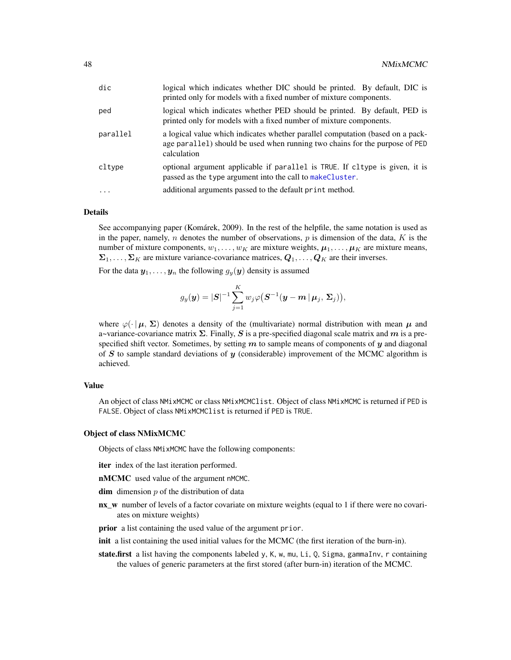| dic        | logical which indicates whether DIC should be printed. By default, DIC is<br>printed only for models with a fixed number of mixture components.                              |
|------------|------------------------------------------------------------------------------------------------------------------------------------------------------------------------------|
| ped        | logical which indicates whether PED should be printed. By default, PED is<br>printed only for models with a fixed number of mixture components.                              |
| parallel   | a logical value which indicates whether parallel computation (based on a pack-<br>age parallel) should be used when running two chains for the purpose of PED<br>calculation |
| cltype     | optional argument applicable if parallel is TRUE. If cltype is given, it is<br>passed as the type argument into the call to makeCluster.                                     |
| $\ddots$ . | additional arguments passed to the default print method.                                                                                                                     |

#### Details

See accompanying paper (Komárek, 2009). In the rest of the helpfile, the same notation is used as in the paper, namely, n denotes the number of observations,  $p$  is dimension of the data,  $K$  is the number of mixture components,  $w_1, \ldots, w_K$  are mixture weights,  $\mu_1, \ldots, \mu_K$  are mixture means,  $\Sigma_1, \ldots, \Sigma_K$  are mixture variance-covariance matrices,  $Q_1, \ldots, Q_K$  are their inverses.

For the data  $y_1, \ldots, y_n$  the following  $g_y(y)$  density is assumed

$$
g_y(\boldsymbol{y}) = |\boldsymbol{S}|^{-1} \sum_{j=1}^K w_j \varphi\big(\boldsymbol{S}^{-1} (\boldsymbol{y} - \boldsymbol{m}\,|\, \boldsymbol{\mu}_j, \, \boldsymbol{\Sigma}_j)\big),
$$

where  $\varphi(\cdot|\mu, \Sigma)$  denotes a density of the (multivariate) normal distribution with mean  $\mu$  and a~variance-covariance matrix  $\Sigma$ . Finally, S is a pre-specified diagonal scale matrix and m is a prespecified shift vector. Sometimes, by setting  $m$  to sample means of components of  $y$  and diagonal of S to sample standard deviations of  $\boldsymbol{y}$  (considerable) improvement of the MCMC algorithm is achieved.

### Value

An object of class NMixMCMC or class NMixMCMClist. Object of class NMixMCMC is returned if PED is FALSE. Object of class NMixMCMClist is returned if PED is TRUE.

#### Object of class NMixMCMC

Objects of class NMixMCMC have the following components:

- iter index of the last iteration performed.
- nMCMC used value of the argument nMCMC.
- **dim** dimension  $p$  of the distribution of data
- nx\_w number of levels of a factor covariate on mixture weights (equal to 1 if there were no covariates on mixture weights)
- prior a list containing the used value of the argument prior.
- init a list containing the used initial values for the MCMC (the first iteration of the burn-in).
- state.first a list having the components labeled y, K, w, mu, Li, Q, Sigma, gammaInv, r containing the values of generic parameters at the first stored (after burn-in) iteration of the MCMC.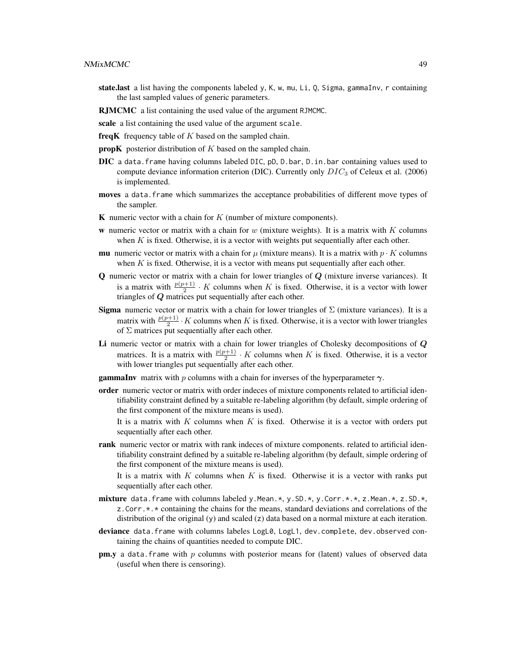- state.last a list having the components labeled y, K, w, mu, Li, Q, Sigma, gammaInv, r containing the last sampled values of generic parameters.
- RJMCMC a list containing the used value of the argument RJMCMC.
- scale a list containing the used value of the argument scale.
- freqK frequency table of  $K$  based on the sampled chain.
- **propK** posterior distribution of K based on the sampled chain.
- DIC a data.frame having columns labeled DIC, pD, D.bar, D.in.bar containing values used to compute deviance information criterion (DIC). Currently only  $DIC_3$  of Celeux et al. (2006) is implemented.
- moves a data. frame which summarizes the acceptance probabilities of different move types of the sampler.
- **K** numeric vector with a chain for  $K$  (number of mixture components).
- w numeric vector or matrix with a chain for w (mixture weights). It is a matrix with  $K$  columns when  $K$  is fixed. Otherwise, it is a vector with weights put sequentially after each other.
- **mu** numeric vector or matrix with a chain for  $\mu$  (mixture means). It is a matrix with  $p \cdot K$  columns when K is fixed. Otherwise, it is a vector with means put sequentially after each other.
- $Q$  numeric vector or matrix with a chain for lower triangles of  $Q$  (mixture inverse variances). It is a matrix with  $\frac{p(p+1)}{2} \cdot K$  columns when K is fixed. Otherwise, it is a vector with lower triangles of  $Q$  matrices put sequentially after each other.
- **Sigma** numeric vector or matrix with a chain for lower triangles of  $\Sigma$  (mixture variances). It is a matrix with  $\frac{p(p+1)}{2} \cdot K$  columns when K is fixed. Otherwise, it is a vector with lower triangles of  $\Sigma$  matrices put sequentially after each other.
- Li numeric vector or matrix with a chain for lower triangles of Cholesky decompositions of  $Q$ matrices. It is a matrix with  $\frac{p(p+1)}{2} \cdot K$  columns when K is fixed. Otherwise, it is a vector with lower triangles put sequentially after each other.
- **gammaInv** matrix with p columns with a chain for inverses of the hyperparameter  $\gamma$ .
- order numeric vector or matrix with order indeces of mixture components related to artificial identifiability constraint defined by a suitable re-labeling algorithm (by default, simple ordering of the first component of the mixture means is used).
	- It is a matrix with  $K$  columns when  $K$  is fixed. Otherwise it is a vector with orders put sequentially after each other.
- rank numeric vector or matrix with rank indeces of mixture components. related to artificial identifiability constraint defined by a suitable re-labeling algorithm (by default, simple ordering of the first component of the mixture means is used).

It is a matrix with  $K$  columns when  $K$  is fixed. Otherwise it is a vector with ranks put sequentially after each other.

- mixture data.frame with columns labeled y.Mean. $*,$  y.SD. $*,$  y.Corr. $*,$   $*,$  z.Mean. $*,$  z.SD. $*,$ z.Corr.\*.\* containing the chains for the means, standard deviations and correlations of the distribution of the original (y) and scaled (z) data based on a normal mixture at each iteration.
- deviance data.frame with columns labeles LogL0, LogL1, dev.complete, dev.observed containing the chains of quantities needed to compute DIC.
- **pm.y** a data. frame with p columns with posterior means for (latent) values of observed data (useful when there is censoring).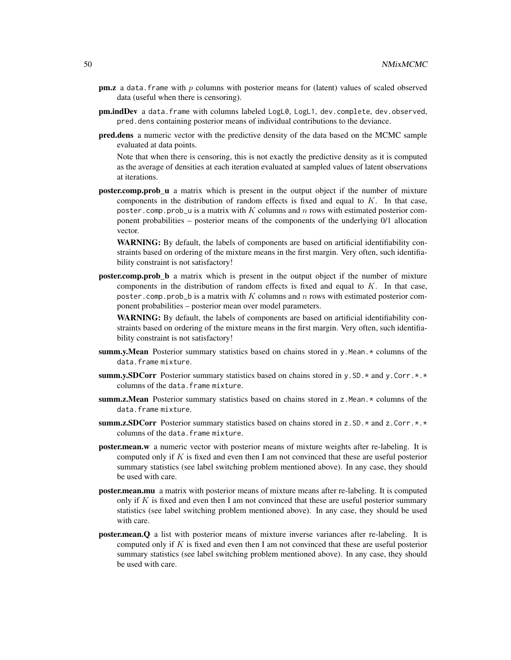- **pm.z** a data. frame with  $p$  columns with posterior means for (latent) values of scaled observed data (useful when there is censoring).
- pm.indDev a data.frame with columns labeled LogL0, LogL1, dev.complete, dev.observed, pred.dens containing posterior means of individual contributions to the deviance.
- pred.dens a numeric vector with the predictive density of the data based on the MCMC sample evaluated at data points.

Note that when there is censoring, this is not exactly the predictive density as it is computed as the average of densities at each iteration evaluated at sampled values of latent observations at iterations.

**poster.comp.prob\_u** a matrix which is present in the output object if the number of mixture components in the distribution of random effects is fixed and equal to  $K$ . In that case, poster.comp.prob\_u is a matrix with K columns and n rows with estimated posterior component probabilities – posterior means of the components of the underlying 0/1 allocation vector.

WARNING: By default, the labels of components are based on artificial identifiability constraints based on ordering of the mixture means in the first margin. Very often, such identifiability constraint is not satisfactory!

**poster.comp.prob** b a matrix which is present in the output object if the number of mixture components in the distribution of random effects is fixed and equal to  $K$ . In that case, poster.comp.prob\_b is a matrix with K columns and n rows with estimated posterior component probabilities – posterior mean over model parameters.

WARNING: By default, the labels of components are based on artificial identifiability constraints based on ordering of the mixture means in the first margin. Very often, such identifiability constraint is not satisfactory!

- summ.y.Mean Posterior summary statistics based on chains stored in y.Mean. $\star$  columns of the data.frame mixture.
- summ.y.SDCorr Posterior summary statistics based on chains stored in y.SD.  $*$  and y.Corr. $*$ . $*$ columns of the data.frame mixture.
- summ.z.Mean Posterior summary statistics based on chains stored in z.Mean. \* columns of the data.frame mixture.
- summ.z.SDCorr Posterior summary statistics based on chains stored in  $z$ . SD,  $\star$  and  $z$ . Corr.  $\star$ ,  $\star$ columns of the data.frame mixture.
- poster.mean.w a numeric vector with posterior means of mixture weights after re-labeling. It is computed only if  $K$  is fixed and even then I am not convinced that these are useful posterior summary statistics (see label switching problem mentioned above). In any case, they should be used with care.
- poster.mean.mu a matrix with posterior means of mixture means after re-labeling. It is computed only if K is fixed and even then I am not convinced that these are useful posterior summary statistics (see label switching problem mentioned above). In any case, they should be used with care.
- poster.mean.Q a list with posterior means of mixture inverse variances after re-labeling. It is computed only if  $K$  is fixed and even then I am not convinced that these are useful posterior summary statistics (see label switching problem mentioned above). In any case, they should be used with care.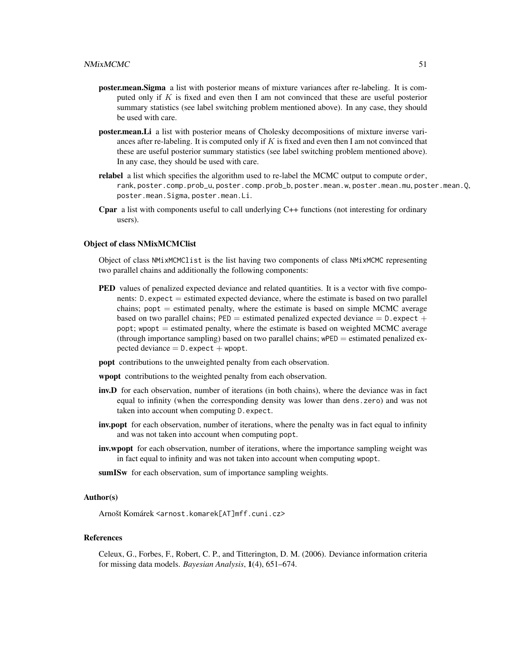- poster.mean.Sigma a list with posterior means of mixture variances after re-labeling. It is computed only if K is fixed and even then I am not convinced that these are useful posterior summary statistics (see label switching problem mentioned above). In any case, they should be used with care.
- poster.mean.Li a list with posterior means of Cholesky decompositions of mixture inverse variances after re-labeling. It is computed only if  $K$  is fixed and even then I am not convinced that these are useful posterior summary statistics (see label switching problem mentioned above). In any case, they should be used with care.
- **relabel** a list which specifies the algorithm used to re-label the MCMC output to compute order, rank, poster.comp.prob\_u, poster.comp.prob\_b, poster.mean.w, poster.mean.mu, poster.mean.Q, poster.mean.Sigma, poster.mean.Li.
- **Cpar** a list with components useful to call underlying  $C++$  functions (not interesting for ordinary users).

#### Object of class NMixMCMClist

Object of class NMixMCMClist is the list having two components of class NMixMCMC representing two parallel chains and additionally the following components:

- PED values of penalized expected deviance and related quantities. It is a vector with five components: D.expect = estimated expected deviance, where the estimate is based on two parallel chains;  $popt =$  estimated penalty, where the estimate is based on simple MCMC average based on two parallel chains;  $PED =$  estimated penalized expected deviance  $= D$ . expect  $+$ popt; wpopt  $=$  estimated penalty, where the estimate is based on weighted MCMC average (through importance sampling) based on two parallel chains;  $wPED =$  estimated penalized expected deviance  $= D$ . expect  $+$  wpopt.
- popt contributions to the unweighted penalty from each observation.

wpopt contributions to the weighted penalty from each observation.

- inv.D for each observation, number of iterations (in both chains), where the deviance was in fact equal to infinity (when the corresponding density was lower than dens.zero) and was not taken into account when computing D.expect.
- inv.popt for each observation, number of iterations, where the penalty was in fact equal to infinity and was not taken into account when computing popt.
- inv.wpopt for each observation, number of iterations, where the importance sampling weight was in fact equal to infinity and was not taken into account when computing wpopt.
- sumISw for each observation, sum of importance sampling weights.

#### Author(s)

Arnošt Komárek <arnost.komarek[AT]mff.cuni.cz>

#### References

Celeux, G., Forbes, F., Robert, C. P., and Titterington, D. M. (2006). Deviance information criteria for missing data models. *Bayesian Analysis*, 1(4), 651–674.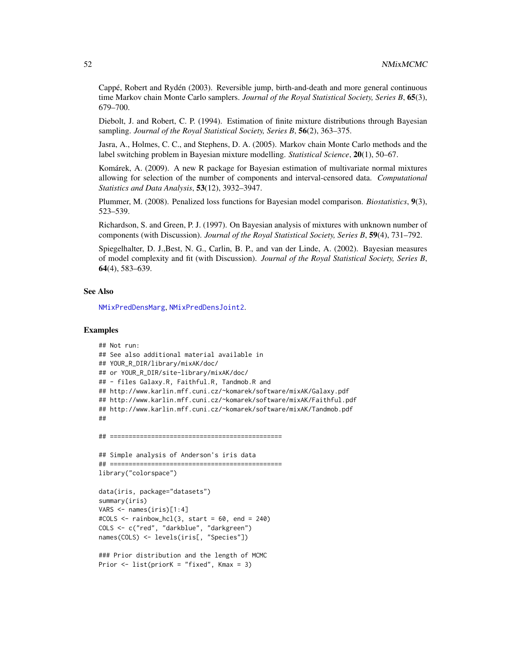Cappé, Robert and Rydén (2003). Reversible jump, birth-and-death and more general continuous time Markov chain Monte Carlo samplers. *Journal of the Royal Statistical Society, Series B*, 65(3), 679–700.

Diebolt, J. and Robert, C. P. (1994). Estimation of finite mixture distributions through Bayesian sampling. *Journal of the Royal Statistical Society, Series B*, 56(2), 363–375.

Jasra, A., Holmes, C. C., and Stephens, D. A. (2005). Markov chain Monte Carlo methods and the label switching problem in Bayesian mixture modelling. *Statistical Science*, 20(1), 50–67.

Komárek, A. (2009). A new R package for Bayesian estimation of multivariate normal mixtures allowing for selection of the number of components and interval-censored data. *Computational Statistics and Data Analysis*, 53(12), 3932–3947.

Plummer, M. (2008). Penalized loss functions for Bayesian model comparison. *Biostatistics*, 9(3), 523–539.

Richardson, S. and Green, P. J. (1997). On Bayesian analysis of mixtures with unknown number of components (with Discussion). *Journal of the Royal Statistical Society, Series B*, 59(4), 731–792.

Spiegelhalter, D. J.,Best, N. G., Carlin, B. P., and van der Linde, A. (2002). Bayesian measures of model complexity and fit (with Discussion). *Journal of the Royal Statistical Society, Series B*, 64(4), 583–639.

#### See Also

[NMixPredDensMarg](#page-70-0), [NMixPredDensJoint2](#page-68-0).

### Examples

```
## Not run:
## See also additional material available in
## YOUR_R_DIR/library/mixAK/doc/
## or YOUR_R_DIR/site-library/mixAK/doc/
## - files Galaxy.R, Faithful.R, Tandmob.R and
## http://www.karlin.mff.cuni.cz/~komarek/software/mixAK/Galaxy.pdf
## http://www.karlin.mff.cuni.cz/~komarek/software/mixAK/Faithful.pdf
## http://www.karlin.mff.cuni.cz/~komarek/software/mixAK/Tandmob.pdf
##
## ==============================================
## Simple analysis of Anderson's iris data
## ==============================================
library("colorspace")
data(iris, package="datasets")
```

```
summary(iris)
VARS <- names(iris)[1:4]
\text{\#COLS} <- rainbow_hcl(3, start = 60, end = 240)
COLS <- c("red", "darkblue", "darkgreen")
names(COLS) <- levels(iris[, "Species"])
```

```
### Prior distribution and the length of MCMC
Prior <- list(priorK = "fixed", Kmax = 3)
```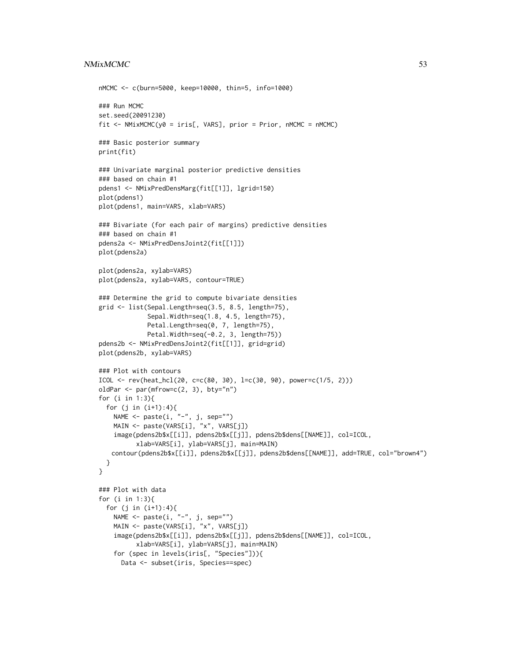### NMixMCMC 53

```
nMCMC <- c(burn=5000, keep=10000, thin=5, info=1000)
### Run MCMC
set.seed(20091230)
fit \leq NMixMCMC(y0 = iris[, VARS], prior = Prior, nMCMC = nMCMC)
### Basic posterior summary
print(fit)
### Univariate marginal posterior predictive densities
### based on chain #1
pdens1 <- NMixPredDensMarg(fit[[1]], lgrid=150)
plot(pdens1)
plot(pdens1, main=VARS, xlab=VARS)
### Bivariate (for each pair of margins) predictive densities
### based on chain #1
pdens2a <- NMixPredDensJoint2(fit[[1]])
plot(pdens2a)
plot(pdens2a, xylab=VARS)
plot(pdens2a, xylab=VARS, contour=TRUE)
### Determine the grid to compute bivariate densities
grid <- list(Sepal.Length=seq(3.5, 8.5, length=75),
             Sepal.Width=seq(1.8, 4.5, length=75),
             Petal.Length=seq(0, 7, length=75),
             Petal.Width=seq(-0.2, 3, length=75))
pdens2b <- NMixPredDensJoint2(fit[[1]], grid=grid)
plot(pdens2b, xylab=VARS)
### Plot with contours
ICOL <- rev(heat_hcl(20, c=c(80, 30), l=c(30, 90), power=c(1/5, 2)))
oldPar <- par(mfrow=c(2, 3), bty="n")
for (i in 1:3){
 for (j in (i+1):4){
   NAME \leq paste(i, "-", j, sep="")
   MAIN <- paste(VARS[i], "x", VARS[j])
    image(pdens2b$x[[i]], pdens2b$x[[j]], pdens2b$dens[[NAME]], col=ICOL,
          xlab=VARS[i], ylab=VARS[j], main=MAIN)
   contour(pdens2b$x[[i]], pdens2b$x[[j]], pdens2b$dens[[NAME]], add=TRUE, col="brown4")
 }
}
### Plot with data
for (i in 1:3){
 for (j in (i+1):4){
   NAME <- paste(i, "-", j, sep="")
   MAIN <- paste(VARS[i], "x", VARS[j])
   image(pdens2b$x[[i]], pdens2b$x[[j]], pdens2b$dens[[NAME]], col=ICOL,
          xlab=VARS[i], ylab=VARS[j], main=MAIN)
    for (spec in levels(iris[, "Species"])){
     Data <- subset(iris, Species==spec)
```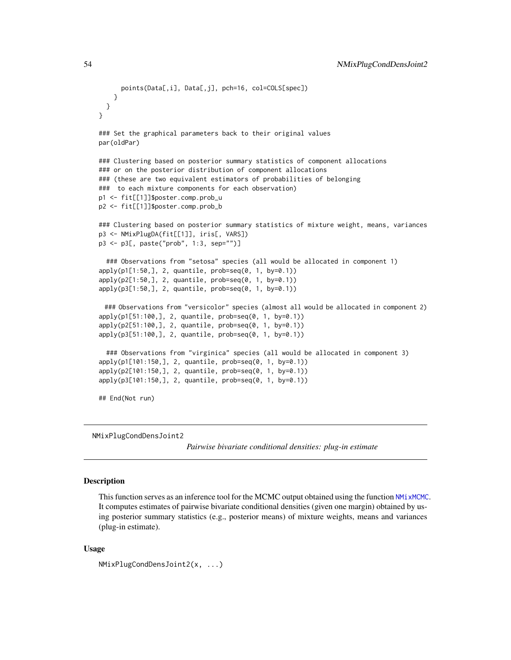```
points(Data[,i], Data[,j], pch=16, col=COLS[spec])
   }
 }
}
### Set the graphical parameters back to their original values
par(oldPar)
### Clustering based on posterior summary statistics of component allocations
### or on the posterior distribution of component allocations
### (these are two equivalent estimators of probabilities of belonging
### to each mixture components for each observation)
p1 <- fit[[1]]$poster.comp.prob_u
p2 <- fit[[1]]$poster.comp.prob_b
### Clustering based on posterior summary statistics of mixture weight, means, variances
p3 <- NMixPlugDA(fit[[1]], iris[, VARS])
p3 <- p3[, paste("prob", 1:3, sep="")]
 ### Observations from "setosa" species (all would be allocated in component 1)
apply(p1[1:50,], 2, quantile, prob=seq(0, 1, by=0.1))
apply(p2[1:50,], 2, quantile, prob=seq(0, 1, by=0.1))
apply(p3[1:50,], 2, quantile, prob=seq(0, 1, by=0.1))
 ### Observations from "versicolor" species (almost all would be allocated in component 2)
apply(p1[51:100,], 2, quantile, prob=seq(0, 1, by=0.1))
apply(p2[51:100,], 2, quantile, prob=seq(0, 1, by=0.1))
apply(p3[51:100,], 2, quantile, prob=seq(0, 1, by=0.1))
 ### Observations from "virginica" species (all would be allocated in component 3)
apply(p1[101:150,], 2, quantile, prob=seq(0, 1, by=0.1))
apply(p2[101:150,], 2, quantile, prob=seq(0, 1, by=0.1))
apply(p3[101:150,], 2, quantile, prob=seq(0, 1, by=0.1))
## End(Not run)
```
NMixPlugCondDensJoint2

*Pairwise bivariate conditional densities: plug-in estimate*

### Description

This function serves as an inference tool for the MCMC output obtained using the function [NMixMCMC](#page-42-0). It computes estimates of pairwise bivariate conditional densities (given one margin) obtained by using posterior summary statistics (e.g., posterior means) of mixture weights, means and variances (plug-in estimate).

#### Usage

NMixPlugCondDensJoint2(x, ...)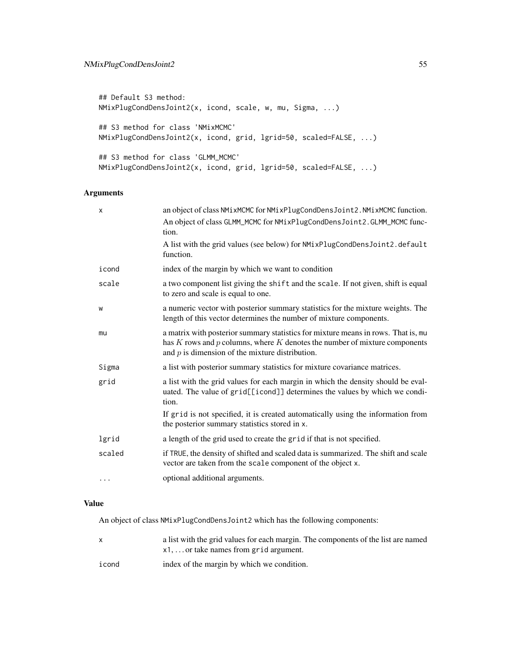```
## Default S3 method:
NMixPlugCondDensJoint2(x, icond, scale, w, mu, Sigma, ...)
## S3 method for class 'NMixMCMC'
NMixPlugCondDensJoint2(x, icond, grid, lgrid=50, scaled=FALSE, ...)
## S3 method for class 'GLMM_MCMC'
NMixPlugCondDensJoint2(x, icond, grid, lgrid=50, scaled=FALSE, ...)
```
### Arguments

| X      | an object of class NMixMCMC for NMixPlugCondDensJoint2. NMixMCMC function.                                                                                                                                                 |
|--------|----------------------------------------------------------------------------------------------------------------------------------------------------------------------------------------------------------------------------|
|        | An object of class GLMM_MCMC for NMixPlugCondDensJoint2.GLMM_MCMC func-<br>tion.                                                                                                                                           |
|        | A list with the grid values (see below) for NMixPlugCondDensJoint2.default<br>function.                                                                                                                                    |
| icond  | index of the margin by which we want to condition                                                                                                                                                                          |
| scale  | a two component list giving the shift and the scale. If not given, shift is equal<br>to zero and scale is equal to one.                                                                                                    |
| W      | a numeric vector with posterior summary statistics for the mixture weights. The<br>length of this vector determines the number of mixture components.                                                                      |
| mu     | a matrix with posterior summary statistics for mixture means in rows. That is, mu<br>has $K$ rows and $p$ columns, where $K$ denotes the number of mixture components<br>and $p$ is dimension of the mixture distribution. |
| Sigma  | a list with posterior summary statistics for mixture covariance matrices.                                                                                                                                                  |
| grid   | a list with the grid values for each margin in which the density should be eval-<br>uated. The value of grid[[icond]] determines the values by which we condi-<br>tion.                                                    |
|        | If grid is not specified, it is created automatically using the information from<br>the posterior summary statistics stored in x.                                                                                          |
| lgrid  | a length of the grid used to create the grid if that is not specified.                                                                                                                                                     |
| scaled | if TRUE, the density of shifted and scaled data is summarized. The shift and scale<br>vector are taken from the scale component of the object x.                                                                           |
| .      | optional additional arguments.                                                                                                                                                                                             |
|        |                                                                                                                                                                                                                            |

### Value

An object of class NMixPlugCondDensJoint2 which has the following components:

| a list with the grid values for each margin. The components of the list are named |
|-----------------------------------------------------------------------------------|
| $x1, \ldots$ or take names from grid argument.                                    |
|                                                                                   |

icond index of the margin by which we condition.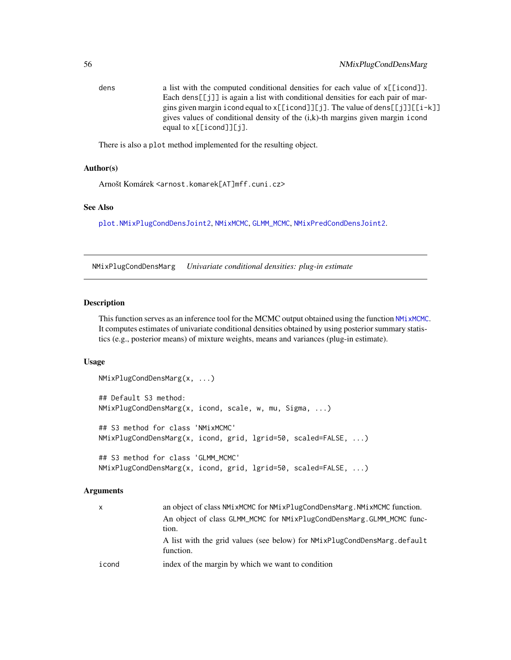dens a list with the computed conditional densities for each value of x[[icond]]. Each dens[[j]] is again a list with conditional densities for each pair of margins given margin icond equal to x[[icond]][j]. The value of dens[[j]][[i-k]] gives values of conditional density of the (i,k)-th margins given margin icond equal to x[[icond]][j].

There is also a plot method implemented for the resulting object.

### Author(s)

Arnošt Komárek <arnost.komarek[AT]mff.cuni.cz>

### See Also

[plot.NMixPlugCondDensJoint2](#page-81-0), [NMixMCMC](#page-42-0), [GLMM\\_MCMC](#page-17-0), [NMixPredCondDensJoint2](#page-64-0).

NMixPlugCondDensMarg *Univariate conditional densities: plug-in estimate*

#### Description

This function serves as an inference tool for the MCMC output obtained using the function [NMixMCMC](#page-42-0). It computes estimates of univariate conditional densities obtained by using posterior summary statistics (e.g., posterior means) of mixture weights, means and variances (plug-in estimate).

#### Usage

```
NMixPlugCondDensMarg(x, ...)
## Default S3 method:
NMixPlugCondDensMarg(x, icond, scale, w, mu, Sigma, ...)
## S3 method for class 'NMixMCMC'
NMixPlugCondDensMarg(x, icond, grid, lgrid=50, scaled=FALSE, ...)
## S3 method for class 'GLMM_MCMC'
NMixPlugCondDensMarg(x, icond, grid, lgrid=50, scaled=FALSE, ...)
```

| x     | an object of class NM1xMCMC for NM1xP1ugCondDensMarg. NM1xMCMC function. |
|-------|--------------------------------------------------------------------------|
|       | An object of class GLMM_MCMC for NMixPlugCondDensMarg.GLMM_MCMC func-    |
|       | tion.                                                                    |
|       | A list with the grid values (see below) for NMixPlugCondDensMarg.default |
|       | function.                                                                |
| icond | index of the margin by which we want to condition                        |
|       |                                                                          |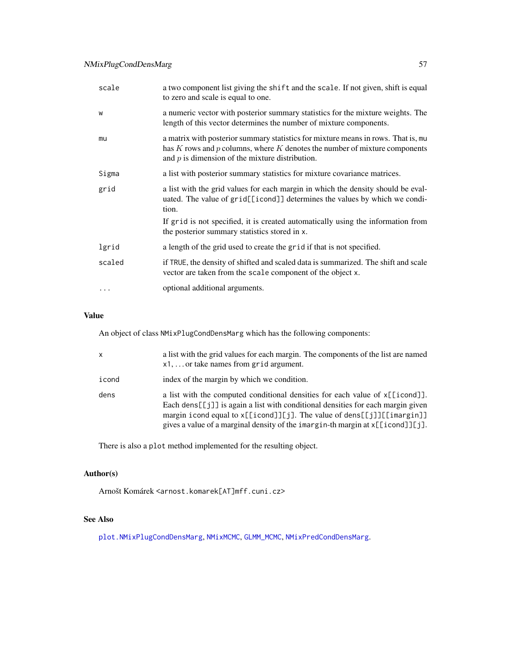| scale  | a two component list giving the shift and the scale. If not given, shift is equal<br>to zero and scale is equal to one.                                                                                                    |
|--------|----------------------------------------------------------------------------------------------------------------------------------------------------------------------------------------------------------------------------|
| W      | a numeric vector with posterior summary statistics for the mixture weights. The<br>length of this vector determines the number of mixture components.                                                                      |
| mu     | a matrix with posterior summary statistics for mixture means in rows. That is, mu<br>has $K$ rows and $p$ columns, where $K$ denotes the number of mixture components<br>and $p$ is dimension of the mixture distribution. |
| Sigma  | a list with posterior summary statistics for mixture covariance matrices.                                                                                                                                                  |
| grid   | a list with the grid values for each margin in which the density should be eval-<br>uated. The value of grid[[icond]] determines the values by which we condi-<br>tion.                                                    |
|        | If grid is not specified, it is created automatically using the information from<br>the posterior summary statistics stored in x.                                                                                          |
| lgrid  | a length of the grid used to create the grid if that is not specified.                                                                                                                                                     |
| scaled | if TRUE, the density of shifted and scaled data is summarized. The shift and scale<br>vector are taken from the scale component of the object x.                                                                           |
|        | optional additional arguments.                                                                                                                                                                                             |
|        |                                                                                                                                                                                                                            |

An object of class NMixPlugCondDensMarg which has the following components:

| $\mathsf{x}$ | a list with the grid values for each margin. The components of the list are named<br>$x1, \ldots$ or take names from grid argument.                                                                                                                                                                                                        |
|--------------|--------------------------------------------------------------------------------------------------------------------------------------------------------------------------------------------------------------------------------------------------------------------------------------------------------------------------------------------|
| icond        | index of the margin by which we condition.                                                                                                                                                                                                                                                                                                 |
| dens         | a list with the computed conditional densities for each value of $x[\text{[icond]}]$ .<br>Each dens [[ $j$ ]] is again a list with conditional densities for each margin given<br>margin icond equal to x[[icond]][j]. The value of dens[[j]][[imargin]]<br>gives a value of a marginal density of the imargin-th margin at x[[icond]][j]. |

There is also a plot method implemented for the resulting object.

# Author(s)

Arnošt Komárek <arnost.komarek[AT]mff.cuni.cz>

# See Also

[plot.NMixPlugCondDensMarg](#page-83-0), [NMixMCMC](#page-42-0), [GLMM\\_MCMC](#page-17-0), [NMixPredCondDensMarg](#page-65-0).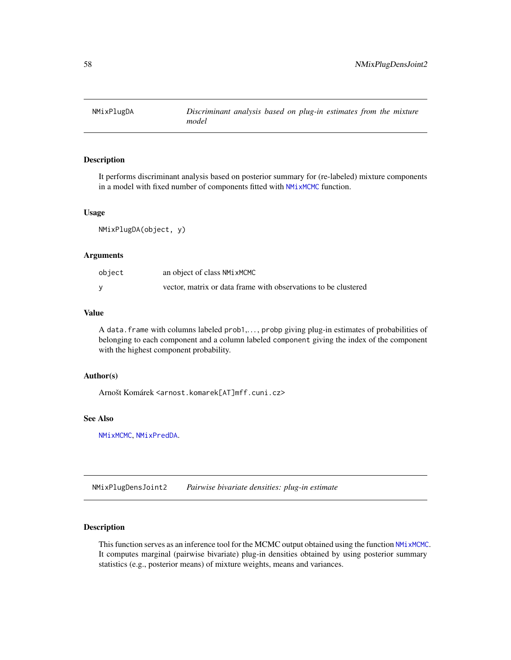<span id="page-57-0"></span>

### Description

It performs discriminant analysis based on posterior summary for (re-labeled) mixture components in a model with fixed number of components fitted with [NMixMCMC](#page-42-0) function.

#### Usage

NMixPlugDA(object, y)

### Arguments

| object | an object of class NMixMCMC                                    |
|--------|----------------------------------------------------------------|
|        | vector, matrix or data frame with observations to be clustered |

### Value

A data.frame with columns labeled prob1,..., probp giving plug-in estimates of probabilities of belonging to each component and a column labeled component giving the index of the component with the highest component probability.

#### Author(s)

Arnošt Komárek <arnost.komarek[AT]mff.cuni.cz>

### See Also

[NMixMCMC](#page-42-0), [NMixPredDA](#page-67-0).

NMixPlugDensJoint2 *Pairwise bivariate densities: plug-in estimate*

### Description

This function serves as an inference tool for the MCMC output obtained using the function [NMixMCMC](#page-42-0). It computes marginal (pairwise bivariate) plug-in densities obtained by using posterior summary statistics (e.g., posterior means) of mixture weights, means and variances.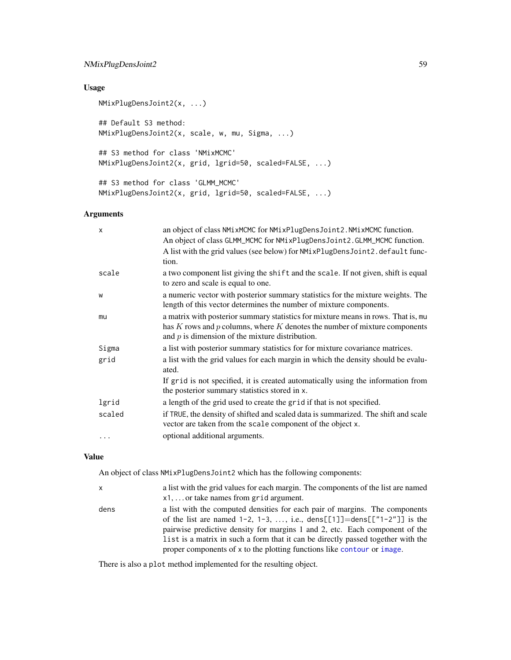### NMixPlugDensJoint2 59

### Usage

```
NMixPlugDensJoint2(x, ...)
## Default S3 method:
NMixPlugDensJoint2(x, scale, w, mu, Sigma, ...)
## S3 method for class 'NMixMCMC'
NMixPlugDensJoint2(x, grid, lgrid=50, scaled=FALSE, ...)
## S3 method for class 'GLMM_MCMC'
NMixPlugDensJoint2(x, grid, lgrid=50, scaled=FALSE, ...)
```
### Arguments

| $\times$ | an object of class NMixMCMC for NMixPlugDensJoint2. NMixMCMC function.<br>An object of class GLMM_MCMC for NMixPlugDensJoint2.GLMM_MCMC function.<br>A list with the grid values (see below) for NMixPlugDensJoint2.default func-<br>tion. |
|----------|--------------------------------------------------------------------------------------------------------------------------------------------------------------------------------------------------------------------------------------------|
| scale    | a two component list giving the shift and the scale. If not given, shift is equal<br>to zero and scale is equal to one.                                                                                                                    |
| W        | a numeric vector with posterior summary statistics for the mixture weights. The<br>length of this vector determines the number of mixture components.                                                                                      |
| mu       | a matrix with posterior summary statistics for mixture means in rows. That is, mu<br>has $K$ rows and $p$ columns, where $K$ denotes the number of mixture components<br>and $p$ is dimension of the mixture distribution.                 |
| Sigma    | a list with posterior summary statistics for for mixture covariance matrices.                                                                                                                                                              |
| grid     | a list with the grid values for each margin in which the density should be evalu-<br>ated.                                                                                                                                                 |
|          | If grid is not specified, it is created automatically using the information from<br>the posterior summary statistics stored in x.                                                                                                          |
| lgrid    | a length of the grid used to create the grid if that is not specified.                                                                                                                                                                     |
| scaled   | if TRUE, the density of shifted and scaled data is summarized. The shift and scale<br>vector are taken from the scale component of the object x.                                                                                           |
| .        | optional additional arguments.                                                                                                                                                                                                             |

#### Value

An object of class NMixPlugDensJoint2 which has the following components:

| $\mathsf{x}$ | a list with the grid values for each margin. The components of the list are named<br>$x1, \ldots$ or take names from grid argument.                                                                                                                                                                                                                                                                           |
|--------------|---------------------------------------------------------------------------------------------------------------------------------------------------------------------------------------------------------------------------------------------------------------------------------------------------------------------------------------------------------------------------------------------------------------|
| dens         | a list with the computed densities for each pair of margins. The components<br>of the list are named $1-2$ , $1-3$ , , i.e., dens[[1]]=dens[[" $1-2$ "]] is the<br>pairwise predictive density for margins 1 and 2, etc. Each component of the<br>list is a matrix in such a form that it can be directly passed together with the<br>proper components of x to the plotting functions like contour or image. |

There is also a plot method implemented for the resulting object.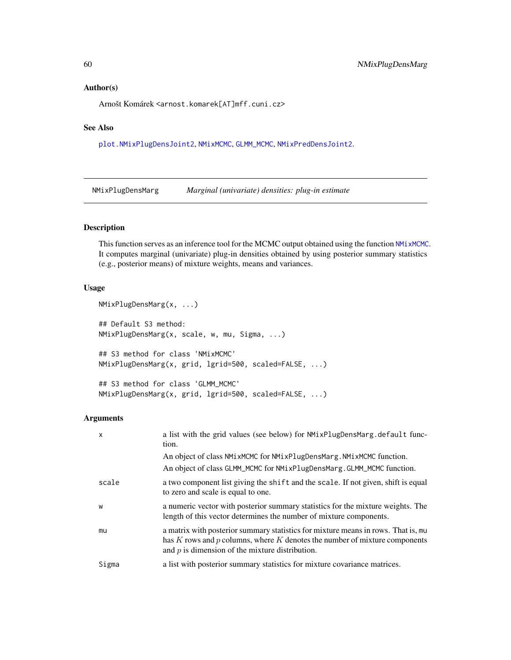#### Author(s)

Arnošt Komárek <arnost.komarek[AT]mff.cuni.cz>

### See Also

[plot.NMixPlugDensJoint2](#page-84-0), [NMixMCMC](#page-42-0), [GLMM\\_MCMC](#page-17-0), [NMixPredDensJoint2](#page-68-0).

NMixPlugDensMarg *Marginal (univariate) densities: plug-in estimate*

### Description

This function serves as an inference tool for the MCMC output obtained using the function [NMixMCMC](#page-42-0). It computes marginal (univariate) plug-in densities obtained by using posterior summary statistics (e.g., posterior means) of mixture weights, means and variances.

### Usage

```
NMixPlugDensMarg(x, ...)
## Default S3 method:
NMixPlugDensMarg(x, scale, w, mu, Sigma, ...)
## S3 method for class 'NMixMCMC'
NMixPlugDensMarg(x, grid, lgrid=500, scaled=FALSE, ...)
```

```
## S3 method for class 'GLMM_MCMC'
NMixPlugDensMarg(x, grid, lgrid=500, scaled=FALSE, ...)
```

| $\mathsf{x}$ | a list with the grid values (see below) for NMixPlugDensMarg.default func-<br>tion.                                                                                                                                  |
|--------------|----------------------------------------------------------------------------------------------------------------------------------------------------------------------------------------------------------------------|
|              | An object of class NMixMCMC for NMixPlugDensMarg. NMixMCMC function.<br>An object of class GLMM_MCMC for NMixPlugDensMarg.GLMM_MCMC function.                                                                        |
| scale        | a two component list giving the shift and the scale. If not given, shift is equal<br>to zero and scale is equal to one.                                                                                              |
| W            | a numeric vector with posterior summary statistics for the mixture weights. The<br>length of this vector determines the number of mixture components.                                                                |
| mu           | a matrix with posterior summary statistics for mixture means in rows. That is, mu<br>has K rows and p columns, where K denotes the number of mixture components<br>and $p$ is dimension of the mixture distribution. |
| Sigma        | a list with posterior summary statistics for mixture covariance matrices.                                                                                                                                            |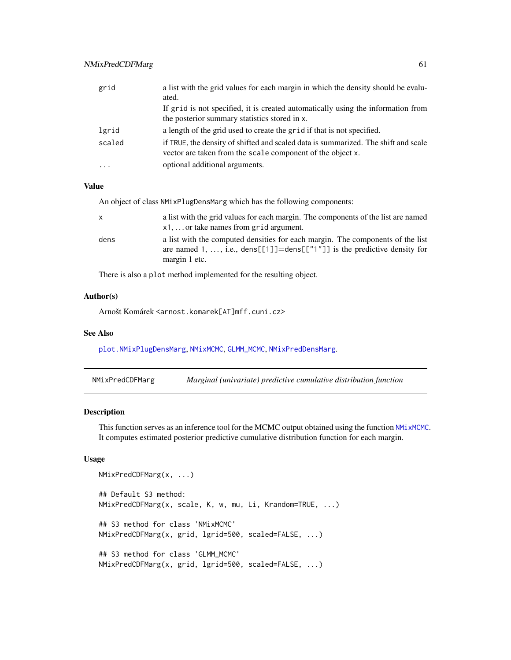| grid      | a list with the grid values for each margin in which the density should be evalu-<br>ated.                                                       |
|-----------|--------------------------------------------------------------------------------------------------------------------------------------------------|
|           | If grid is not specified, it is created automatically using the information from<br>the posterior summary statistics stored in x.                |
| lgrid     | a length of the grid used to create the grid if that is not specified.                                                                           |
| scaled    | if TRUE, the density of shifted and scaled data is summarized. The shift and scale<br>vector are taken from the scale component of the object x. |
| $\ddotsc$ | optional additional arguments.                                                                                                                   |

An object of class NMixPlugDensMarg which has the following components:

| X    | a list with the grid values for each margin. The components of the list are named |
|------|-----------------------------------------------------------------------------------|
|      | $x1, \ldots$ or take names from grid argument.                                    |
| dens | a list with the computed densities for each margin. The components of the list    |
|      | are named 1, , i.e., dens[[1]]=dens[["1"]] is the predictive density for          |
|      | margin 1 etc.                                                                     |

There is also a plot method implemented for the resulting object.

#### Author(s)

Arnošt Komárek <arnost.komarek[AT]mff.cuni.cz>

#### See Also

[plot.NMixPlugDensMarg](#page-85-0), [NMixMCMC](#page-42-0), [GLMM\\_MCMC](#page-17-0), [NMixPredDensMarg](#page-70-0).

| NMixPredCDFMarg | Marginal (univariate) predictive cumulative distribution function |  |  |
|-----------------|-------------------------------------------------------------------|--|--|
|-----------------|-------------------------------------------------------------------|--|--|

### Description

This function serves as an inference tool for the MCMC output obtained using the function [NMixMCMC](#page-42-0). It computes estimated posterior predictive cumulative distribution function for each margin.

#### Usage

```
NMixPredCDFMarg(x, ...)
## Default S3 method:
NMixPredCDFMarg(x, scale, K, w, mu, Li, Krandom=TRUE, ...)
## S3 method for class 'NMixMCMC'
NMixPredCDFMarg(x, grid, lgrid=500, scaled=FALSE, ...)
## S3 method for class 'GLMM_MCMC'
NMixPredCDFMarg(x, grid, lgrid=500, scaled=FALSE, ...)
```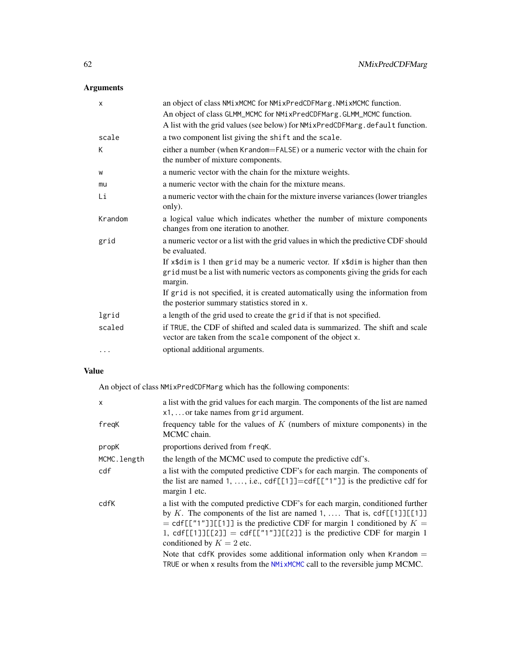# Arguments

| $\times$ | an object of class NMixMCMC for NMixPredCDFMarg. NMixMCMC function.<br>An object of class GLMM_MCMC for NMixPredCDFMarg.GLMM_MCMC function.                                    |
|----------|--------------------------------------------------------------------------------------------------------------------------------------------------------------------------------|
|          | A list with the grid values (see below) for NMixPredCDFMarg.default function.                                                                                                  |
| scale    | a two component list giving the shift and the scale.                                                                                                                           |
| K        | either a number (when Krandom=FALSE) or a numeric vector with the chain for<br>the number of mixture components.                                                               |
| W        | a numeric vector with the chain for the mixture weights.                                                                                                                       |
| mu       | a numeric vector with the chain for the mixture means.                                                                                                                         |
| Li       | a numeric vector with the chain for the mixture inverse variances (lower triangles<br>only).                                                                                   |
| Krandom  | a logical value which indicates whether the number of mixture components<br>changes from one iteration to another.                                                             |
| grid     | a numeric vector or a list with the grid values in which the predictive CDF should<br>be evaluated.                                                                            |
|          | If x\$dim is 1 then grid may be a numeric vector. If x\$dim is higher than then<br>grid must be a list with numeric vectors as components giving the grids for each<br>margin. |
|          | If grid is not specified, it is created automatically using the information from<br>the posterior summary statistics stored in x.                                              |
| lgrid    | a length of the grid used to create the grid if that is not specified.                                                                                                         |
| scaled   | if TRUE, the CDF of shifted and scaled data is summarized. The shift and scale<br>vector are taken from the scale component of the object x.                                   |
| $\cdots$ | optional additional arguments.                                                                                                                                                 |

### Value

An object of class NMixPredCDFMarg which has the following components:

| x           | a list with the grid values for each margin. The components of the list are named<br>$x1, \ldots$ or take names from grid argument.                                                                                                                                                                                                                                                                                                                                                                         |
|-------------|-------------------------------------------------------------------------------------------------------------------------------------------------------------------------------------------------------------------------------------------------------------------------------------------------------------------------------------------------------------------------------------------------------------------------------------------------------------------------------------------------------------|
| fregK       | frequency table for the values of $K$ (numbers of mixture components) in the<br>MCMC chain.                                                                                                                                                                                                                                                                                                                                                                                                                 |
| propK       | proportions derived from freqK.                                                                                                                                                                                                                                                                                                                                                                                                                                                                             |
| MCMC.length | the length of the MCMC used to compute the predictive cdf's.                                                                                                                                                                                                                                                                                                                                                                                                                                                |
| cdf         | a list with the computed predictive CDF's for each margin. The components of<br>the list are named 1, , i.e., $cdf[[1]] = cdf[[T1]]$ is the predictive cdf for<br>margin 1 etc.                                                                                                                                                                                                                                                                                                                             |
| cdfK        | a list with the computed predictive CDF's for each margin, conditioned further<br>by K. The components of the list are named 1,  That is, $cdf[[1]][[1]]$<br>= cdf[["1"]][[1]] is the predictive CDF for margin 1 conditioned by $K =$<br>1, cdf[[1]][[2]] = cdf[["1"]][[2]] is the predictive CDF for margin 1<br>conditioned by $K = 2$ etc.<br>Note that cdfK provides some additional information only when Krandom $=$<br>TRUE or when x results from the $NMCMC$ call to the reversible jump $MCMC$ . |
|             |                                                                                                                                                                                                                                                                                                                                                                                                                                                                                                             |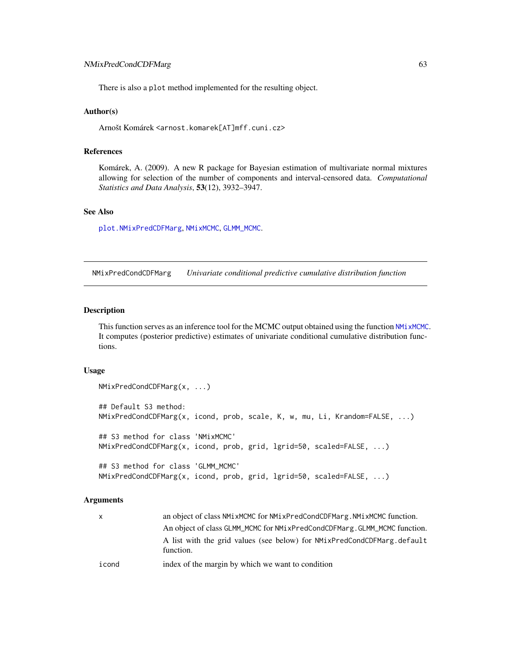There is also a plot method implemented for the resulting object.

#### Author(s)

Arnošt Komárek <arnost.komarek[AT]mff.cuni.cz>

### References

Komárek, A. (2009). A new R package for Bayesian estimation of multivariate normal mixtures allowing for selection of the number of components and interval-censored data. *Computational Statistics and Data Analysis*, 53(12), 3932–3947.

### See Also

[plot.NMixPredCDFMarg](#page-86-0), [NMixMCMC](#page-42-0), [GLMM\\_MCMC](#page-17-0).

NMixPredCondCDFMarg *Univariate conditional predictive cumulative distribution function*

#### Description

This function serves as an inference tool for the MCMC output obtained using the function [NMixMCMC](#page-42-0). It computes (posterior predictive) estimates of univariate conditional cumulative distribution functions.

#### Usage

```
NMixPredCondCDFMarg(x, ...)
## Default S3 method:
NMixPredCondCDFMarg(x, icond, prob, scale, K, w, mu, Li, Krandom=FALSE, ...)
## S3 method for class 'NMixMCMC'
NMixPredCondCDFMarg(x, icond, prob, grid, lgrid=50, scaled=FALSE, ...)
## S3 method for class 'GLMM_MCMC'
NMixPredCondCDFMarg(x, icond, prob, grid, lgrid=50, scaled=FALSE, ...)
```

| $\mathsf{x}$ | an object of class NMixMCMC for NMixPredCondCDFMarg. NMixMCMC function.              |
|--------------|--------------------------------------------------------------------------------------|
|              | An object of class GLMM_MCMC for NM1xPredCondCDFMarg.GLMM_MCMC function.             |
|              | A list with the grid values (see below) for NMixPredCondCDFMarg.default<br>function. |
| icond        | index of the margin by which we want to condition                                    |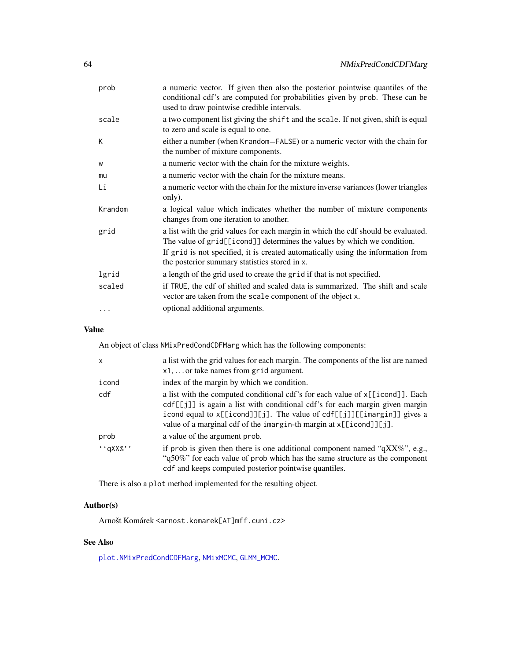| prob    | a numeric vector. If given then also the posterior pointwise quantiles of the<br>conditional cdf's are computed for probabilities given by prob. These can be<br>used to draw pointwise credible intervals.                                                                                       |
|---------|---------------------------------------------------------------------------------------------------------------------------------------------------------------------------------------------------------------------------------------------------------------------------------------------------|
| scale   | a two component list giving the shift and the scale. If not given, shift is equal<br>to zero and scale is equal to one.                                                                                                                                                                           |
| К       | either a number (when Krandom=FALSE) or a numeric vector with the chain for<br>the number of mixture components.                                                                                                                                                                                  |
| W       | a numeric vector with the chain for the mixture weights.                                                                                                                                                                                                                                          |
| mu      | a numeric vector with the chain for the mixture means.                                                                                                                                                                                                                                            |
| Li      | a numeric vector with the chain for the mixture inverse variances (lower triangles<br>only).                                                                                                                                                                                                      |
| Krandom | a logical value which indicates whether the number of mixture components<br>changes from one iteration to another.                                                                                                                                                                                |
| grid    | a list with the grid values for each margin in which the cdf should be evaluated.<br>The value of grid[[icond]] determines the values by which we condition.<br>If grid is not specified, it is created automatically using the information from<br>the posterior summary statistics stored in x. |
| lgrid   | a length of the grid used to create the grid if that is not specified.                                                                                                                                                                                                                            |
| scaled  | if TRUE, the cdf of shifted and scaled data is summarized. The shift and scale<br>vector are taken from the scale component of the object x.                                                                                                                                                      |
| .       | optional additional arguments.                                                                                                                                                                                                                                                                    |

An object of class NMixPredCondCDFMarg which has the following components:

| $\mathsf{x}$ | a list with the grid values for each margin. The components of the list are named<br>$x1, \ldots$ or take names from grid argument.                                                                                                                                                                                        |
|--------------|----------------------------------------------------------------------------------------------------------------------------------------------------------------------------------------------------------------------------------------------------------------------------------------------------------------------------|
| icond        | index of the margin by which we condition.                                                                                                                                                                                                                                                                                 |
| cdf          | a list with the computed conditional cdf's for each value of $x[\text{[icond]}]$ . Each<br>cdf[[j]] is again a list with conditional cdf's for each margin given margin<br>icond equal to x[[icond]][j]. The value of cdf[[j]][[imargin]] gives a<br>value of a marginal cdf of the imargin-th margin at $x$ [[icond]][j]. |
| prob         | a value of the argument prob.                                                                                                                                                                                                                                                                                              |
| $'$ 'qXX%''  | if prob is given then there is one additional component named "qXX%", e.g.,<br>"q50%" for each value of prob which has the same structure as the component<br>cdf and keeps computed posterior pointwise quantiles.                                                                                                        |

There is also a plot method implemented for the resulting object.

# Author(s)

Arnošt Komárek <arnost.komarek[AT]mff.cuni.cz>

# See Also

[plot.NMixPredCondCDFMarg](#page-87-0), [NMixMCMC](#page-42-0), [GLMM\\_MCMC](#page-17-0).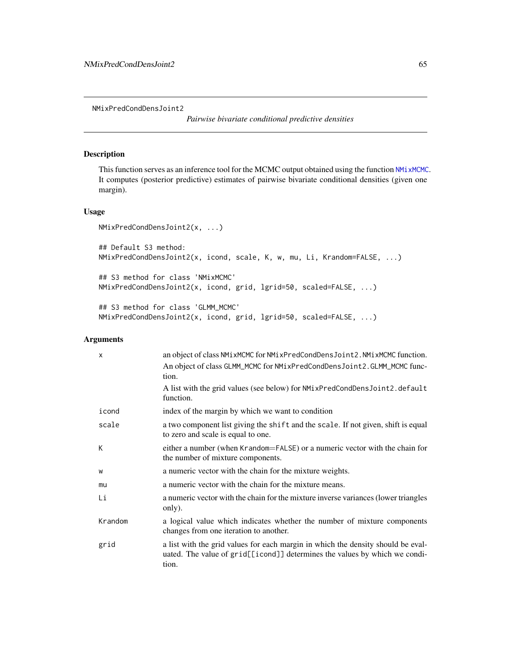<span id="page-64-0"></span>NMixPredCondDensJoint2

*Pairwise bivariate conditional predictive densities*

#### Description

This function serves as an inference tool for the MCMC output obtained using the function [NMixMCMC](#page-42-0). It computes (posterior predictive) estimates of pairwise bivariate conditional densities (given one margin).

### Usage

```
NMixPredCondDensJoint2(x, ...)
```

```
## Default S3 method:
NMixPredCondDensJoint2(x, icond, scale, K, w, mu, Li, Krandom=FALSE, ...)
## S3 method for class 'NMixMCMC'
NMixPredCondDensJoint2(x, icond, grid, lgrid=50, scaled=FALSE, ...)
```
## S3 method for class 'GLMM\_MCMC' NMixPredCondDensJoint2(x, icond, grid, lgrid=50, scaled=FALSE, ...)

| $\times$ | an object of class NMixMCMC for NMixPredCondDensJoint2. NMixMCMC function.                                                                                              |
|----------|-------------------------------------------------------------------------------------------------------------------------------------------------------------------------|
|          | An object of class GLMM_MCMC for NMixPredCondDensJoint2.GLMM_MCMC func-<br>tion.                                                                                        |
|          | A list with the grid values (see below) for NMixPredCondDensJoint2.default<br>function.                                                                                 |
| icond    | index of the margin by which we want to condition                                                                                                                       |
| scale    | a two component list giving the shift and the scale. If not given, shift is equal<br>to zero and scale is equal to one.                                                 |
| К        | either a number (when Krandom=FALSE) or a numeric vector with the chain for<br>the number of mixture components.                                                        |
| W        | a numeric vector with the chain for the mixture weights.                                                                                                                |
| mu       | a numeric vector with the chain for the mixture means.                                                                                                                  |
| Li       | a numeric vector with the chain for the mixture inverse variances (lower triangles)<br>only).                                                                           |
| Krandom  | a logical value which indicates whether the number of mixture components<br>changes from one iteration to another.                                                      |
| grid     | a list with the grid values for each margin in which the density should be eval-<br>uated. The value of grid[[icond]] determines the values by which we condi-<br>tion. |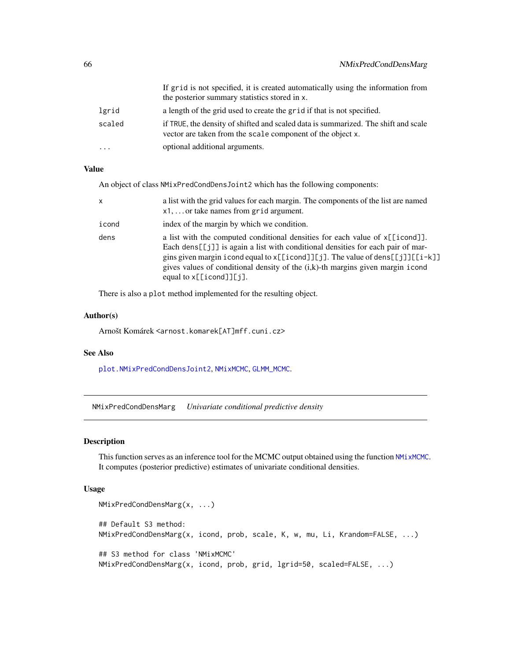|         | If grid is not specified, it is created automatically using the information from<br>the posterior summary statistics stored in x.                |
|---------|--------------------------------------------------------------------------------------------------------------------------------------------------|
| lgrid   | a length of the grid used to create the grid if that is not specified.                                                                           |
| scaled  | if TRUE, the density of shifted and scaled data is summarized. The shift and scale<br>vector are taken from the scale component of the object x. |
| $\cdot$ | optional additional arguments.                                                                                                                   |

An object of class NMixPredCondDensJoint2 which has the following components:

| X     | a list with the grid values for each margin. The components of the list are named<br>$x1, \ldots$ or take names from grid argument.                                                                                                                                                                                                                                                |
|-------|------------------------------------------------------------------------------------------------------------------------------------------------------------------------------------------------------------------------------------------------------------------------------------------------------------------------------------------------------------------------------------|
| icond | index of the margin by which we condition.                                                                                                                                                                                                                                                                                                                                         |
| dens  | a list with the computed conditional densities for each value of x[[icond]].<br>Each dens [[ $j$ ]] is again a list with conditional densities for each pair of mar-<br>gins given margin icond equal to x[[icond]][j]. The value of dens[[j]][[i-k]]<br>gives values of conditional density of the (i,k)-th margins given margin icond<br>equal to $x[\text{[icond}]\text{[j]}$ . |

There is also a plot method implemented for the resulting object.

### Author(s)

Arnošt Komárek <arnost.komarek[AT]mff.cuni.cz>

### See Also

[plot.NMixPredCondDensJoint2](#page-88-0), [NMixMCMC](#page-42-0), [GLMM\\_MCMC](#page-17-0).

<span id="page-65-0"></span>NMixPredCondDensMarg *Univariate conditional predictive density*

### Description

This function serves as an inference tool for the MCMC output obtained using the function [NMixMCMC](#page-42-0). It computes (posterior predictive) estimates of univariate conditional densities.

### Usage

```
NMixPredCondDensMarg(x, ...)
## Default S3 method:
NMixPredCondDensMarg(x, icond, prob, scale, K, w, mu, Li, Krandom=FALSE, ...)
## S3 method for class 'NMixMCMC'
NMixPredCondDensMarg(x, icond, prob, grid, lgrid=50, scaled=FALSE, ...)
```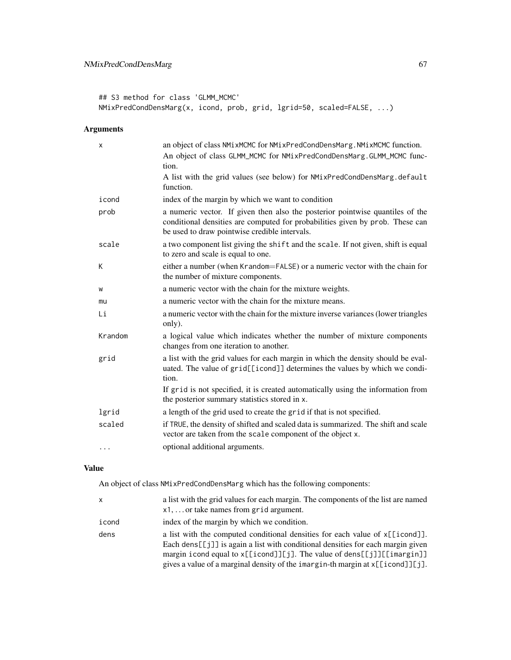# NMixPredCondDensMarg 67

## S3 method for class 'GLMM\_MCMC' NMixPredCondDensMarg(x, icond, prob, grid, lgrid=50, scaled=FALSE, ...)

# Arguments

| X       | an object of class NMixMCMC for NMixPredCondDensMarg. NMixMCMC function.<br>An object of class GLMM_MCMC for NMixPredCondDensMarg.GLMM_MCMC func-<br>tion.                                                      |
|---------|-----------------------------------------------------------------------------------------------------------------------------------------------------------------------------------------------------------------|
|         | A list with the grid values (see below) for NMixPredCondDensMarg.default<br>function.                                                                                                                           |
| icond   | index of the margin by which we want to condition                                                                                                                                                               |
| prob    | a numeric vector. If given then also the posterior pointwise quantiles of the<br>conditional densities are computed for probabilities given by prob. These can<br>be used to draw pointwise credible intervals. |
| scale   | a two component list giving the shift and the scale. If not given, shift is equal<br>to zero and scale is equal to one.                                                                                         |
| K       | either a number (when Krandom=FALSE) or a numeric vector with the chain for<br>the number of mixture components.                                                                                                |
| W       | a numeric vector with the chain for the mixture weights.                                                                                                                                                        |
| mu      | a numeric vector with the chain for the mixture means.                                                                                                                                                          |
| Li      | a numeric vector with the chain for the mixture inverse variances (lower triangles<br>only).                                                                                                                    |
| Krandom | a logical value which indicates whether the number of mixture components<br>changes from one iteration to another.                                                                                              |
| grid    | a list with the grid values for each margin in which the density should be eval-<br>uated. The value of grid[[icond]] determines the values by which we condi-<br>tion.                                         |
|         | If grid is not specified, it is created automatically using the information from<br>the posterior summary statistics stored in x.                                                                               |
| lgrid   | a length of the grid used to create the grid if that is not specified.                                                                                                                                          |
| scaled  | if TRUE, the density of shifted and scaled data is summarized. The shift and scale<br>vector are taken from the scale component of the object x.                                                                |
| .       | optional additional arguments.                                                                                                                                                                                  |

# Value

An object of class NMixPredCondDensMarg which has the following components:

| x     | a list with the grid values for each margin. The components of the list are named                                                                                                      |
|-------|----------------------------------------------------------------------------------------------------------------------------------------------------------------------------------------|
|       | $x1, \ldots$ or take names from grid argument.                                                                                                                                         |
| icond | index of the margin by which we condition.                                                                                                                                             |
| dens  | a list with the computed conditional densities for each value of $x[\lceil i \text{cond} \rceil]$ .<br>Each dens[[j]] is again a list with conditional densities for each margin given |
|       | margin i cond equal to $x[[icond]][j]$ . The value of dens $[[j]][[imargin]]$                                                                                                          |
|       | gives a value of a marginal density of the imargin-th margin at $x[\text{[icond}]][j]$ .                                                                                               |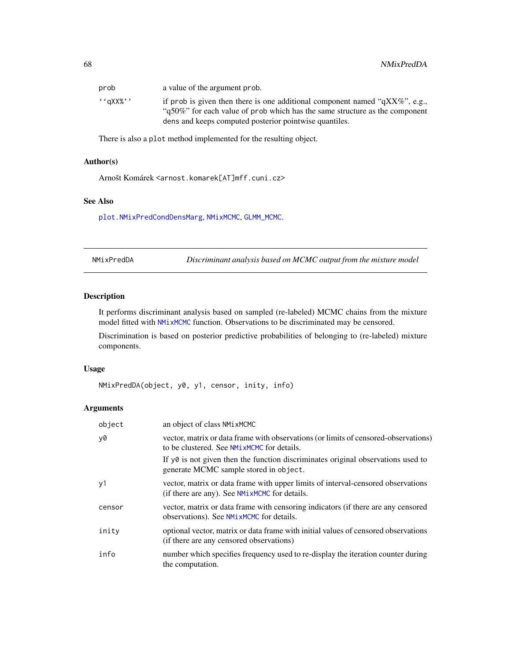| prob        | a value of the argument prob.                                                                                                                                   |
|-------------|-----------------------------------------------------------------------------------------------------------------------------------------------------------------|
| $``a$ XX%'' | if prob is given then there is one additional component named " $qXX\%$ ", e.g.,<br>"q50%" for each value of prob which has the same structure as the component |
|             | dens and keeps computed posterior pointwise quantiles.                                                                                                          |

There is also a plot method implemented for the resulting object.

### Author(s)

Arnošt Komárek <arnost.komarek[AT]mff.cuni.cz>

### See Also

[plot.NMixPredCondDensMarg](#page-89-0), [NMixMCMC](#page-42-0), [GLMM\\_MCMC](#page-17-0).

<span id="page-67-0"></span>NMixPredDA *Discriminant analysis based on MCMC output from the mixture model*

### Description

It performs discriminant analysis based on sampled (re-labeled) MCMC chains from the mixture model fitted with [NMixMCMC](#page-42-0) function. Observations to be discriminated may be censored.

Discrimination is based on posterior predictive probabilities of belonging to (re-labeled) mixture components.

#### Usage

```
NMixPredDA(object, y0, y1, censor, inity, info)
```

| object | an object of class NMixMCMC                                                                                                       |
|--------|-----------------------------------------------------------------------------------------------------------------------------------|
| y0     | vector, matrix or data frame with observations (or limits of censored-observations)<br>to be clustered. See NMixMCMC for details. |
|        | If $y\theta$ is not given then the function discriminates original observations used to<br>generate MCMC sample stored in object. |
| y1     | vector, matrix or data frame with upper limits of interval-censored observations<br>(if there are any). See NMixMCMC for details. |
| censor | vector, matrix or data frame with censoring indicators (if there are any censored<br>observations). See NMixMCMC for details.     |
| inity  | optional vector, matrix or data frame with initial values of censored observations<br>(if there are any censored observations)    |
| info   | number which specifies frequency used to re-display the iteration counter during<br>the computation.                              |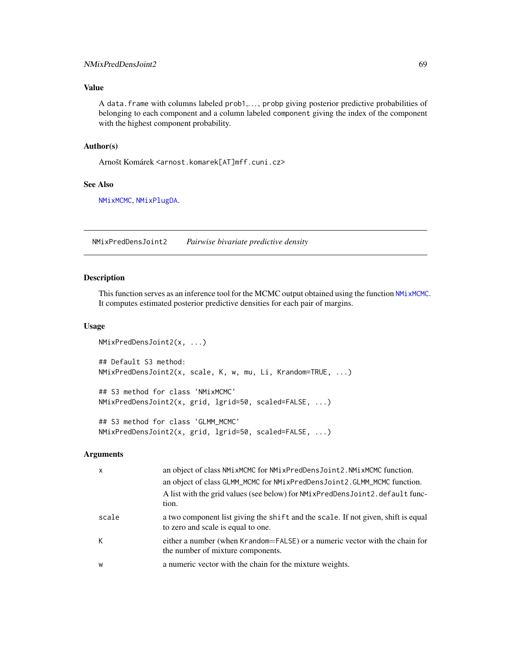### NMixPredDensJoint2 69

## Value

A data.frame with columns labeled prob1,. . . , probp giving posterior predictive probabilities of belonging to each component and a column labeled component giving the index of the component with the highest component probability.

### Author(s)

Arnošt Komárek <arnost.komarek[AT]mff.cuni.cz>

#### See Also

[NMixMCMC](#page-42-0), [NMixPlugDA](#page-57-0).

<span id="page-68-0"></span>NMixPredDensJoint2 *Pairwise bivariate predictive density*

#### Description

This function serves as an inference tool for the MCMC output obtained using the function [NMixMCMC](#page-42-0). It computes estimated posterior predictive densities for each pair of margins.

### Usage

```
NMixPredDensJoint2(x, ...)
## Default S3 method:
NMixPredDensJoint2(x, scale, K, w, mu, Li, Krandom=TRUE, ...)
## S3 method for class 'NMixMCMC'
NMixPredDensJoint2(x, grid, lgrid=50, scaled=FALSE, ...)
## S3 method for class 'GLMM_MCMC'
NMixPredDensJoint2(x, grid, lgrid=50, scaled=FALSE, ...)
```

| $\boldsymbol{\mathsf{x}}$ | an object of class NMixMCMC for NMixPredDensJoint2. NMixMCMC function.                                                  |
|---------------------------|-------------------------------------------------------------------------------------------------------------------------|
|                           | an object of class GLMM_MCMC for NMixPredDensJoint2.GLMM_MCMC function.                                                 |
|                           | A list with the grid values (see below) for NMixPredDensJoint2.default func-<br>tion.                                   |
| scale                     | a two component list giving the shift and the scale. If not given, shift is equal<br>to zero and scale is equal to one. |
| К                         | either a number (when Krandom=FALSE) or a numeric vector with the chain for<br>the number of mixture components.        |
| W                         | a numeric vector with the chain for the mixture weights.                                                                |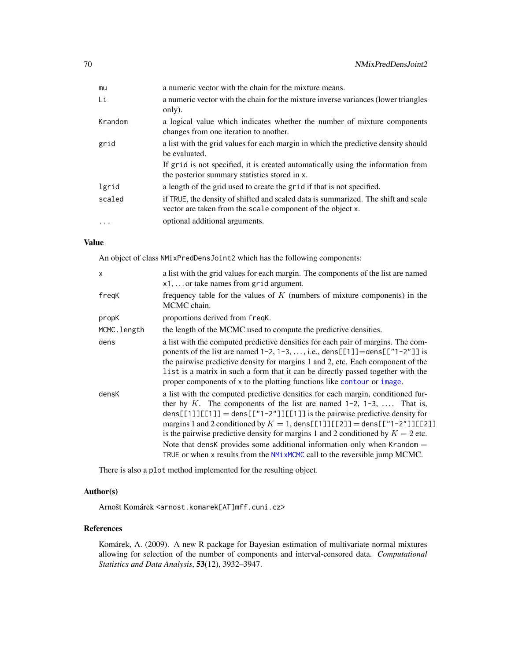| mu        | a numeric vector with the chain for the mixture means.                                                                                           |
|-----------|--------------------------------------------------------------------------------------------------------------------------------------------------|
| Li        | a numeric vector with the chain for the mixture inverse variances (lower triangles<br>only).                                                     |
| Krandom   | a logical value which indicates whether the number of mixture components<br>changes from one iteration to another.                               |
| grid      | a list with the grid values for each margin in which the predictive density should<br>be evaluated.                                              |
|           | If grid is not specified, it is created automatically using the information from<br>the posterior summary statistics stored in x.                |
| lgrid     | a length of the grid used to create the grid if that is not specified.                                                                           |
| scaled    | if TRUE, the density of shifted and scaled data is summarized. The shift and scale<br>vector are taken from the scale component of the object x. |
| $\ddotsc$ | optional additional arguments.                                                                                                                   |

An object of class NMixPredDensJoint2 which has the following components:

| $\mathsf{x}$ | a list with the grid values for each margin. The components of the list are named<br>$x1, \ldots$ or take names from grid argument.                                                                                                                                                                                                                                                                                          |
|--------------|------------------------------------------------------------------------------------------------------------------------------------------------------------------------------------------------------------------------------------------------------------------------------------------------------------------------------------------------------------------------------------------------------------------------------|
| freqK        | frequency table for the values of $K$ (numbers of mixture components) in the<br>MCMC chain.                                                                                                                                                                                                                                                                                                                                  |
| propK        | proportions derived from freqK.                                                                                                                                                                                                                                                                                                                                                                                              |
| MCMC.length  | the length of the MCMC used to compute the predictive densities.                                                                                                                                                                                                                                                                                                                                                             |
| dens         | a list with the computed predictive densities for each pair of margins. The com-<br>ponents of the list are named $1-2$ , $1-3$ , , i.e., dens [[1]]=dens [[" $1-2$ "]] is<br>the pairwise predictive density for margins 1 and 2, etc. Each component of the<br>list is a matrix in such a form that it can be directly passed together with the<br>proper components of x to the plotting functions like contour or image. |
| densK        | a list with the computed predictive densities for each margin, conditioned fur-<br>ther by K. The components of the list are named $1-2$ , $1-3$ ,  That is,<br>dens[[1]][[1]] = dens[["1-2"]][[1]] is the pairwise predictive density for<br>margins 1 and 2 conditioned by $K = 1$ , dens [[1]][[2]] = dens [["1-2"]][[2]]<br>is the pairwise predictive density for margins 1 and 2 conditioned by $K = 2$ etc.           |
|              | Note that densk provides some additional information only when Krandom $=$<br>TRUE or when x results from the NM1xMCMC call to the reversible jump MCMC.                                                                                                                                                                                                                                                                     |

There is also a plot method implemented for the resulting object.

### Author(s)

Arnošt Komárek <arnost.komarek[AT]mff.cuni.cz>

### References

Komárek, A. (2009). A new R package for Bayesian estimation of multivariate normal mixtures allowing for selection of the number of components and interval-censored data. *Computational Statistics and Data Analysis*, 53(12), 3932–3947.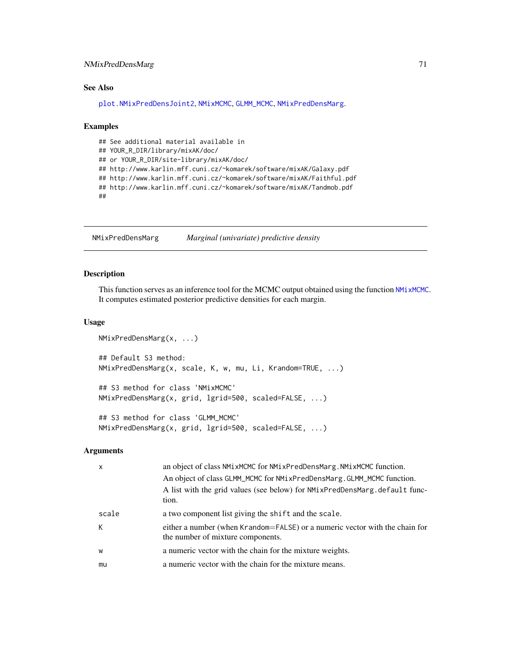### NMixPredDensMarg 71

### See Also

[plot.NMixPredDensJoint2](#page-91-0), [NMixMCMC](#page-42-0), [GLMM\\_MCMC](#page-17-0), [NMixPredDensMarg](#page-70-0).

#### Examples

```
## See additional material available in
## YOUR_R_DIR/library/mixAK/doc/
## or YOUR_R_DIR/site-library/mixAK/doc/
## http://www.karlin.mff.cuni.cz/~komarek/software/mixAK/Galaxy.pdf
## http://www.karlin.mff.cuni.cz/~komarek/software/mixAK/Faithful.pdf
## http://www.karlin.mff.cuni.cz/~komarek/software/mixAK/Tandmob.pdf
##
```
<span id="page-70-0"></span>NMixPredDensMarg *Marginal (univariate) predictive density*

### Description

This function serves as an inference tool for the MCMC output obtained using the function [NMixMCMC](#page-42-0). It computes estimated posterior predictive densities for each margin.

#### Usage

```
NMixPredDensMarg(x, ...)
## Default S3 method:
NMixPredDensMarg(x, scale, K, w, mu, Li, Krandom=TRUE, ...)
## S3 method for class 'NMixMCMC'
NMixPredDensMarg(x, grid, lgrid=500, scaled=FALSE, ...)
## S3 method for class 'GLMM_MCMC'
NMixPredDensMarg(x, grid, lgrid=500, scaled=FALSE, ...)
```

| $\mathsf{x}$ | an object of class NMixMCMC for NMixPredDensMarg. NMixMCMC function.<br>An object of class GLMM_MCMC for NMixPredDensMarg.GLMM_MCMC function. |
|--------------|-----------------------------------------------------------------------------------------------------------------------------------------------|
|              | A list with the grid values (see below) for NMixPredDensMarg.default func-<br>tion.                                                           |
| scale        | a two component list giving the shift and the scale.                                                                                          |
| К            | either a number (when Krandom=FALSE) or a numeric vector with the chain for<br>the number of mixture components.                              |
| W            | a numeric vector with the chain for the mixture weights.                                                                                      |
| mu           | a numeric vector with the chain for the mixture means.                                                                                        |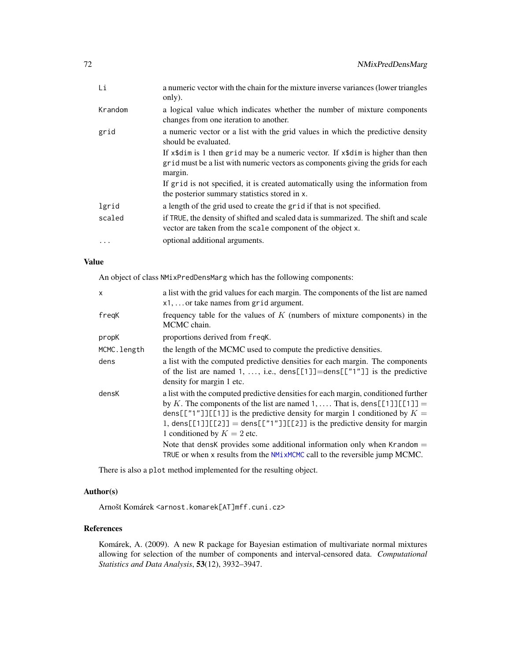| Li       | a numeric vector with the chain for the mixture inverse variances (lower triangles<br>only).                                                                                         |
|----------|--------------------------------------------------------------------------------------------------------------------------------------------------------------------------------------|
| Krandom  | a logical value which indicates whether the number of mixture components<br>changes from one iteration to another.                                                                   |
| grid     | a numeric vector or a list with the grid values in which the predictive density<br>should be evaluated.                                                                              |
|          | If $x$ \$dim is 1 then grid may be a numeric vector. If $x$ \$dim is higher than then<br>grid must be a list with numeric vectors as components giving the grids for each<br>margin. |
|          | If grid is not specified, it is created automatically using the information from<br>the posterior summary statistics stored in x.                                                    |
| lgrid    | a length of the grid used to create the grid if that is not specified.                                                                                                               |
| scaled   | if TRUE, the density of shifted and scaled data is summarized. The shift and scale<br>vector are taken from the scale component of the object x.                                     |
| $\cdots$ | optional additional arguments.                                                                                                                                                       |

An object of class NMixPredDensMarg which has the following components:

| X           | a list with the grid values for each margin. The components of the list are named<br>$x1, \ldots$ or take names from grid argument.                                                                                                                                                                                                                                                                                                          |
|-------------|----------------------------------------------------------------------------------------------------------------------------------------------------------------------------------------------------------------------------------------------------------------------------------------------------------------------------------------------------------------------------------------------------------------------------------------------|
| freqK       | frequency table for the values of $K$ (numbers of mixture components) in the<br>MCMC chain.                                                                                                                                                                                                                                                                                                                                                  |
| propK       | proportions derived from freqK.                                                                                                                                                                                                                                                                                                                                                                                                              |
| MCMC.length | the length of the MCMC used to compute the predictive densities.                                                                                                                                                                                                                                                                                                                                                                             |
| dens        | a list with the computed predictive densities for each margin. The components<br>of the list are named 1, , i.e., $dens[[1]] = dens[["1"]$ is the predictive<br>density for margin 1 etc.                                                                                                                                                                                                                                                    |
| densK       | a list with the computed predictive densities for each margin, conditioned further<br>by K. The components of the list are named 1,  That is, dens [[1]] [[1]] =<br>dens[["1"]][[1]] is the predictive density for margin 1 conditioned by $K =$<br>1, dens[[1]][[2]] = dens[["1"]][[2]] is the predictive density for margin<br>1 conditioned by $K = 2$ etc.<br>Note that densk provides some additional information only when Krandom $=$ |
|             | TRUE or when x results from the NMixMCMC call to the reversible jump MCMC.                                                                                                                                                                                                                                                                                                                                                                   |

There is also a plot method implemented for the resulting object.

### Author(s)

Arnošt Komárek <arnost.komarek[AT]mff.cuni.cz>

### References

Komárek, A. (2009). A new R package for Bayesian estimation of multivariate normal mixtures allowing for selection of the number of components and interval-censored data. *Computational Statistics and Data Analysis*, 53(12), 3932–3947.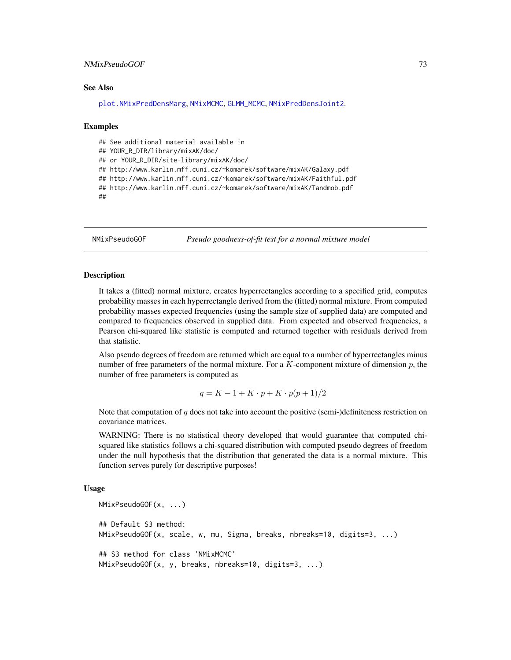## NMixPseudoGOF 73

#### See Also

[plot.NMixPredDensMarg](#page-92-0), [NMixMCMC](#page-42-0), [GLMM\\_MCMC](#page-17-0), [NMixPredDensJoint2](#page-68-0).

#### Examples

```
## See additional material available in
## YOUR_R_DIR/library/mixAK/doc/
## or YOUR_R_DIR/site-library/mixAK/doc/
## http://www.karlin.mff.cuni.cz/~komarek/software/mixAK/Galaxy.pdf
## http://www.karlin.mff.cuni.cz/~komarek/software/mixAK/Faithful.pdf
## http://www.karlin.mff.cuni.cz/~komarek/software/mixAK/Tandmob.pdf
##
```
NMixPseudoGOF *Pseudo goodness-of-fit test for a normal mixture model*

## Description

It takes a (fitted) normal mixture, creates hyperrectangles according to a specified grid, computes probability masses in each hyperrectangle derived from the (fitted) normal mixture. From computed probability masses expected frequencies (using the sample size of supplied data) are computed and compared to frequencies observed in supplied data. From expected and observed frequencies, a Pearson chi-squared like statistic is computed and returned together with residuals derived from that statistic.

Also pseudo degrees of freedom are returned which are equal to a number of hyperrectangles minus number of free parameters of the normal mixture. For a  $K$ -component mixture of dimension  $p$ , the number of free parameters is computed as

$$
q = K - 1 + K \cdot p + K \cdot p(p+1)/2
$$

Note that computation of  $q$  does not take into account the positive (semi-)definiteness restriction on covariance matrices.

WARNING: There is no statistical theory developed that would guarantee that computed chisquared like statistics follows a chi-squared distribution with computed pseudo degrees of freedom under the null hypothesis that the distribution that generated the data is a normal mixture. This function serves purely for descriptive purposes!

#### Usage

```
NMixPseudoGOF(x, ...)
## Default S3 method:
NMixPseudoGOF(x, scale, w, mu, Sigma, breaks, nbreaks=10, digits=3, ...)
## S3 method for class 'NMixMCMC'
NMixPseudoGOF(x, y, breaks, nbreaks=10, digits=3, ...)
```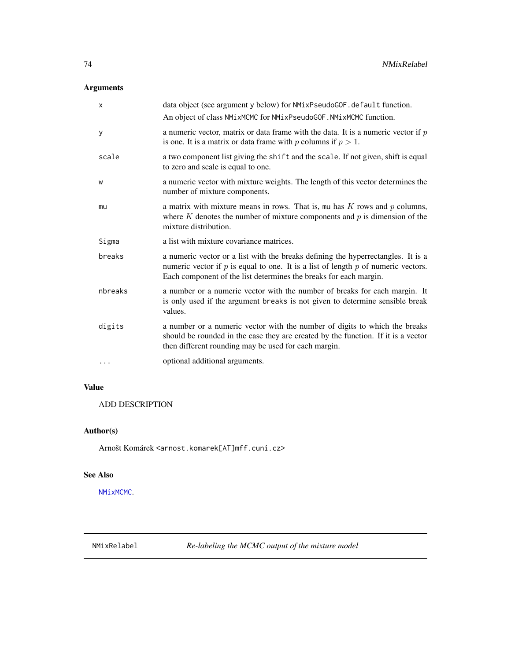# Arguments

| $\mathsf{x}$ | data object (see argument y below) for NMixPseudoGOF.default function.                                                                                                                                                                         |
|--------------|------------------------------------------------------------------------------------------------------------------------------------------------------------------------------------------------------------------------------------------------|
|              | An object of class NMixMCMC for NMixPseudoGOF. NMixMCMC function.                                                                                                                                                                              |
| У            | a numeric vector, matrix or data frame with the data. It is a numeric vector if $p$<br>is one. It is a matrix or data frame with p columns if $p > 1$ .                                                                                        |
| scale        | a two component list giving the shift and the scale. If not given, shift is equal<br>to zero and scale is equal to one.                                                                                                                        |
| W            | a numeric vector with mixture weights. The length of this vector determines the<br>number of mixture components.                                                                                                                               |
| mu           | a matrix with mixture means in rows. That is, mu has $K$ rows and $p$ columns,<br>where $K$ denotes the number of mixture components and $p$ is dimension of the<br>mixture distribution.                                                      |
| Sigma        | a list with mixture covariance matrices.                                                                                                                                                                                                       |
| breaks       | a numeric vector or a list with the breaks defining the hyperrectangles. It is a<br>numeric vector if $p$ is equal to one. It is a list of length $p$ of numeric vectors.<br>Each component of the list determines the breaks for each margin. |
| nbreaks      | a number or a numeric vector with the number of breaks for each margin. It<br>is only used if the argument breaks is not given to determine sensible break<br>values.                                                                          |
| digits       | a number or a numeric vector with the number of digits to which the breaks<br>should be rounded in the case they are created by the function. If it is a vector<br>then different rounding may be used for each margin.                        |
| $\cdots$     | optional additional arguments.                                                                                                                                                                                                                 |

# Value

ADD DESCRIPTION

# Author(s)

Arnošt Komárek <arnost.komarek[AT]mff.cuni.cz>

## See Also

[NMixMCMC](#page-42-0).

NMixRelabel *Re-labeling the MCMC output of the mixture model*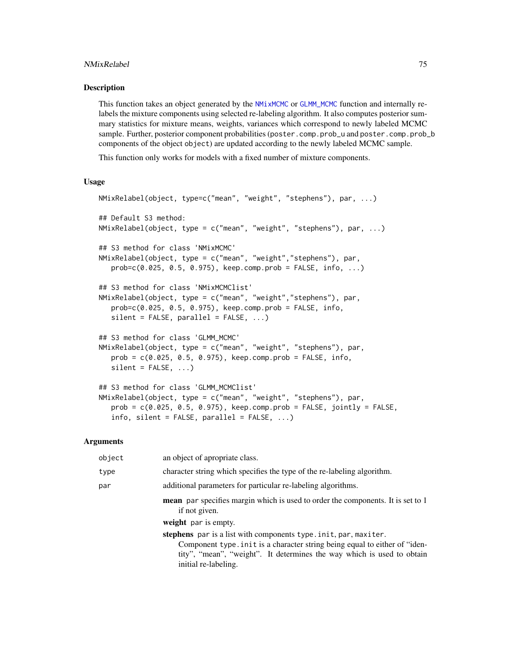#### NMixRelabel 75

#### Description

This function takes an object generated by the [NMixMCMC](#page-42-0) or [GLMM\\_MCMC](#page-17-0) function and internally relabels the mixture components using selected re-labeling algorithm. It also computes posterior summary statistics for mixture means, weights, variances which correspond to newly labeled MCMC sample. Further, posterior component probabilities (poster.comp.prob\_u and poster.comp.prob\_b components of the object object) are updated according to the newly labeled MCMC sample.

This function only works for models with a fixed number of mixture components.

#### Usage

```
NMixRelabel(object, type=c("mean", "weight", "stephens"), par, ...)
## Default S3 method:
NMixRelabel(object, type = c("mean", "weight", "stephens"), par, ...)
## S3 method for class 'NMixMCMC'
NMixRelabel(object, type = c("mean", "weight","stephens"), par,
   prob = c(0.025, 0.5, 0.975), keep.comp.prob = FALSE, info, ...)
## S3 method for class 'NMixMCMClist'
NMixRelabel(object, type = c("mean", "weight","stephens"), par,
   prob=c(0.025, 0.5, 0.975), keep.comp.prob = FALSE, info,
   silent = FALSE, parallel = FALSE, ...)## S3 method for class 'GLMM_MCMC'
NMixRelabel(object, type = c("mean", "weight", "stephens"), par,
   prob = c(0.025, 0.5, 0.975), keep.comp.prob = FALSE, info,
   silent = FALSE, ...)## S3 method for class 'GLMM_MCMClist'
NMixRelabel(object, type = c("mean", "weight", "stephens"), par,
   prob = c(0.025, 0.5, 0.975), keep.comp.prob = FALSE, jointly = FALSE,
   info, silent = FALSE, parallel = FALSE, \ldots)
```
#### Arguments

| object | an object of apropriate class.                                                                                                                                                                                                                  |
|--------|-------------------------------------------------------------------------------------------------------------------------------------------------------------------------------------------------------------------------------------------------|
| type   | character string which specifies the type of the re-labeling algorithm.                                                                                                                                                                         |
| par    | additional parameters for particular re-labeling algorithms.                                                                                                                                                                                    |
|        | mean par specifies margin which is used to order the components. It is set to 1<br>if not given.<br>weight par is empty.                                                                                                                        |
|        | stephens par is a list with components type.init, par, maxiter.<br>Component type in it is a character string being equal to either of "iden-<br>tity", "mean", "weight". It determines the way which is used to obtain<br>initial re-labeling. |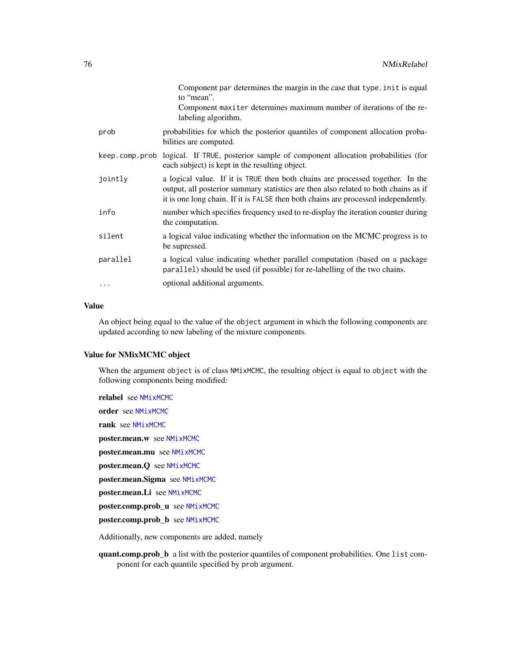|           | Component par determines the margin in the case that type. in it is equal<br>to "mean".<br>Component maxiter determines maximum number of iterations of the re-<br>labeling algorithm.                                                                      |
|-----------|-------------------------------------------------------------------------------------------------------------------------------------------------------------------------------------------------------------------------------------------------------------|
| prob      | probabilities for which the posterior quantiles of component allocation proba-<br>bilities are computed.                                                                                                                                                    |
|           | keep.comp.prob logical. If TRUE, posterior sample of component allocation probabilities (for<br>each subject) is kept in the resulting object.                                                                                                              |
| jointly   | a logical value. If it is TRUE then both chains are processed together. In the<br>output, all posterior summary statistics are then also related to both chains as if<br>it is one long chain. If it is FALSE then both chains are processed independently. |
| info      | number which specifies frequency used to re-display the iteration counter during<br>the computation.                                                                                                                                                        |
| silent    | a logical value indicating whether the information on the MCMC progress is to<br>be supressed.                                                                                                                                                              |
| parallel  | a logical value indicating whether parallel computation (based on a package<br>parallel) should be used (if possible) for re-labelling of the two chains.                                                                                                   |
| $\ddotsc$ | optional additional arguments.                                                                                                                                                                                                                              |

## Value

An object being equal to the value of the object argument in which the following components are updated according to new labeling of the mixture components.

## Value for NMixMCMC object

When the argument object is of class NMixMCMC, the resulting object is equal to object with the following components being modified:

relabel see [NMixMCMC](#page-42-0) order see [NMixMCMC](#page-42-0) rank see [NMixMCMC](#page-42-0) poster.mean.w see [NMixMCMC](#page-42-0) poster.mean.mu see [NMixMCMC](#page-42-0) poster.mean.Q see [NMixMCMC](#page-42-0) poster.mean.Sigma see [NMixMCMC](#page-42-0) poster.mean.Li see [NMixMCMC](#page-42-0) poster.comp.prob\_u see [NMixMCMC](#page-42-0) poster.comp.prob\_b see [NMixMCMC](#page-42-0)

Additionally, new components are added, namely

quant.comp.prob\_b a list with the posterior quantiles of component probabilities. One list component for each quantile specified by prob argument.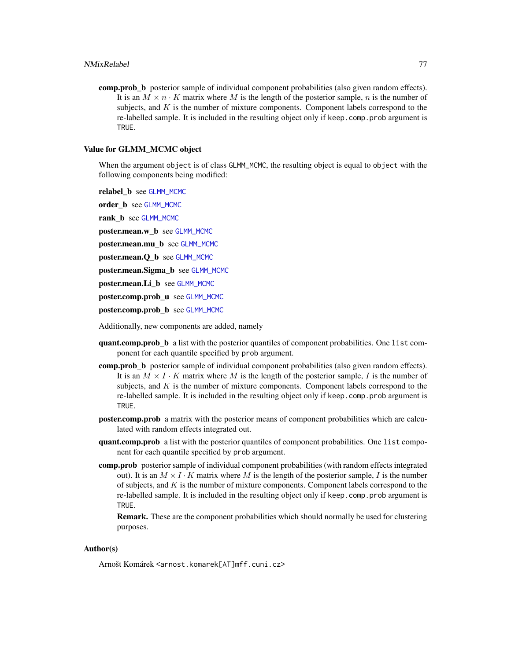comp.prob\_b posterior sample of individual component probabilities (also given random effects). It is an  $M \times n \cdot K$  matrix where M is the length of the posterior sample, n is the number of subjects, and  $K$  is the number of mixture components. Component labels correspond to the re-labelled sample. It is included in the resulting object only if keep.comp.prob argument is TRUE.

#### Value for GLMM\_MCMC object

When the argument object is of class GLMM\_MCMC, the resulting object is equal to object with the following components being modified:

relabel\_b see [GLMM\\_MCMC](#page-17-0)

order\_b see [GLMM\\_MCMC](#page-17-0)

rank\_b see [GLMM\\_MCMC](#page-17-0)

poster.mean.w\_b see [GLMM\\_MCMC](#page-17-0)

poster.mean.mu\_b see [GLMM\\_MCMC](#page-17-0)

poster.mean.Q\_b see [GLMM\\_MCMC](#page-17-0)

poster.mean.Sigma\_b see [GLMM\\_MCMC](#page-17-0)

poster.mean.Li\_b see [GLMM\\_MCMC](#page-17-0)

poster.comp.prob\_u see [GLMM\\_MCMC](#page-17-0)

poster.comp.prob\_b see [GLMM\\_MCMC](#page-17-0)

Additionally, new components are added, namely

- quant.comp.prob b a list with the posterior quantiles of component probabilities. One list component for each quantile specified by prob argument.
- comp.prob\_b posterior sample of individual component probabilities (also given random effects). It is an  $M \times I \cdot K$  matrix where M is the length of the posterior sample, I is the number of subjects, and  $K$  is the number of mixture components. Component labels correspond to the re-labelled sample. It is included in the resulting object only if keep.comp.prob argument is TRUE.
- poster.comp.prob a matrix with the posterior means of component probabilities which are calculated with random effects integrated out.
- quant.comp.prob a list with the posterior quantiles of component probabilities. One list component for each quantile specified by prob argument.
- comp.prob posterior sample of individual component probabilities (with random effects integrated out). It is an  $M \times I \cdot K$  matrix where M is the length of the posterior sample, I is the number of subjects, and  $K$  is the number of mixture components. Component labels correspond to the re-labelled sample. It is included in the resulting object only if keep.comp.prob argument is TRUE.

Remark. These are the component probabilities which should normally be used for clustering purposes.

#### Author(s)

Arnošt Komárek <arnost.komarek[AT]mff.cuni.cz>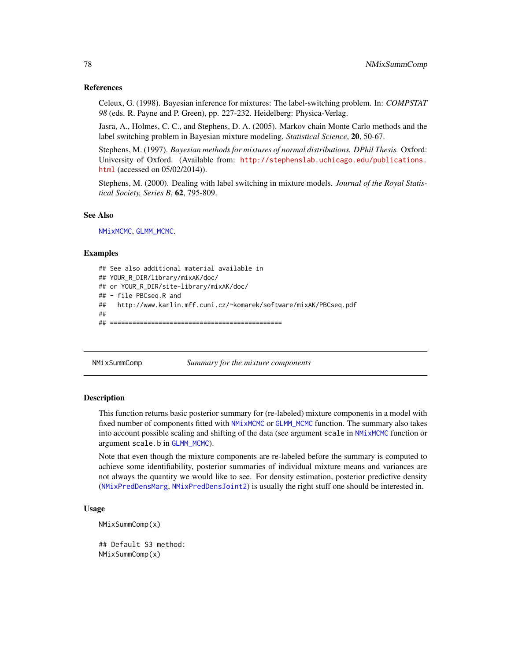#### References

Celeux, G. (1998). Bayesian inference for mixtures: The label-switching problem. In: *COMPSTAT 98* (eds. R. Payne and P. Green), pp. 227-232. Heidelberg: Physica-Verlag.

Jasra, A., Holmes, C. C., and Stephens, D. A. (2005). Markov chain Monte Carlo methods and the label switching problem in Bayesian mixture modeling. *Statistical Science*, 20, 50-67.

Stephens, M. (1997). *Bayesian methods for mixtures of normal distributions. DPhil Thesis.* Oxford: University of Oxford. (Available from: [http://stephenslab.uchicago.edu/publications.](http://stephenslab.uchicago.edu/publications.html) [html](http://stephenslab.uchicago.edu/publications.html) (accessed on 05/02/2014)).

Stephens, M. (2000). Dealing with label switching in mixture models. *Journal of the Royal Statistical Society, Series B*, 62, 795-809.

## See Also

[NMixMCMC](#page-42-0), [GLMM\\_MCMC](#page-17-0).

#### Examples

```
## See also additional material available in
## YOUR_R_DIR/library/mixAK/doc/
## or YOUR_R_DIR/site-library/mixAK/doc/
## - file PBCseq.R and
## http://www.karlin.mff.cuni.cz/~komarek/software/mixAK/PBCseq.pdf
##
## ==============================================
```
NMixSummComp *Summary for the mixture components*

#### Description

This function returns basic posterior summary for (re-labeled) mixture components in a model with fixed number of components fitted with [NMixMCMC](#page-42-0) or [GLMM\\_MCMC](#page-17-0) function. The summary also takes into account possible scaling and shifting of the data (see argument scale in [NMixMCMC](#page-42-0) function or argument scale.b in [GLMM\\_MCMC](#page-17-0)).

Note that even though the mixture components are re-labeled before the summary is computed to achieve some identifiability, posterior summaries of individual mixture means and variances are not always the quantity we would like to see. For density estimation, posterior predictive density ([NMixPredDensMarg](#page-70-0), [NMixPredDensJoint2](#page-68-0)) is usually the right stuff one should be interested in.

#### Usage

```
NMixSummComp(x)
## Default S3 method:
```
NMixSummComp(x)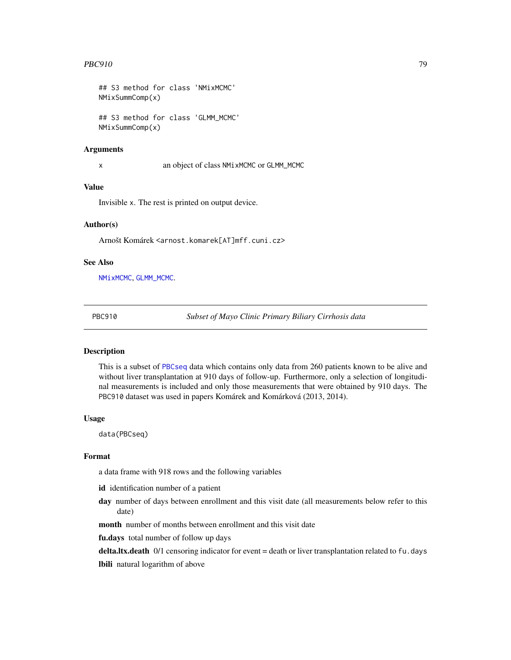#### $PBC910$   $79$

```
## S3 method for class 'NMixMCMC'
NMixSummComp(x)
## S3 method for class 'GLMM_MCMC'
NMixSummComp(x)
```
#### Arguments

x an object of class NMixMCMC or GLMM\_MCMC

## Value

Invisible x. The rest is printed on output device.

#### Author(s)

Arnošt Komárek <arnost.komarek[AT]mff.cuni.cz>

## See Also

[NMixMCMC](#page-42-0), [GLMM\\_MCMC](#page-17-0).

<span id="page-78-0"></span>

PBC910 *Subset of Mayo Clinic Primary Biliary Cirrhosis data*

## Description

This is a subset of [PBCseq](#page-79-0) data which contains only data from 260 patients known to be alive and without liver transplantation at 910 days of follow-up. Furthermore, only a selection of longitudinal measurements is included and only those measurements that were obtained by 910 days. The PBC910 dataset was used in papers Komárek and Komárková (2013, 2014).

#### Usage

data(PBCseq)

#### Format

a data frame with 918 rows and the following variables

id identification number of a patient

day number of days between enrollment and this visit date (all measurements below refer to this date)

month number of months between enrollment and this visit date

fu.days total number of follow up days

delta.ltx.death 0/1 censoring indicator for event = death or liver transplantation related to fu.days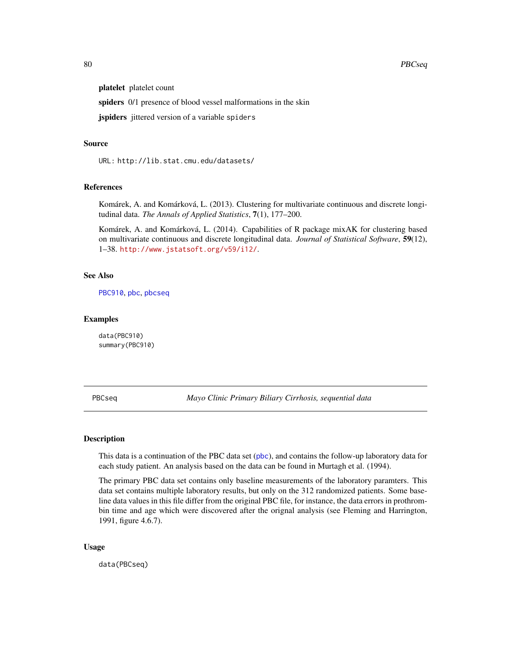platelet platelet count

spiders 0/1 presence of blood vessel malformations in the skin

jspiders jittered version of a variable spiders

#### Source

URL: http://lib.stat.cmu.edu/datasets/

## References

Komárek, A. and Komárková, L. (2013). Clustering for multivariate continuous and discrete longitudinal data. *The Annals of Applied Statistics*, 7(1), 177–200.

Komárek, A. and Komárková, L. (2014). Capabilities of R package mixAK for clustering based on multivariate continuous and discrete longitudinal data. *Journal of Statistical Software*, 59(12), 1–38. <http://www.jstatsoft.org/v59/i12/>.

## See Also

[PBC910](#page-78-0), [pbc](#page-0-0), [pbcseq](#page-0-0)

#### Examples

data(PBC910) summary(PBC910)

<span id="page-79-0"></span>PBCseq *Mayo Clinic Primary Biliary Cirrhosis, sequential data*

#### Description

This data is a continuation of the PBC data set ([pbc](#page-0-0)), and contains the follow-up laboratory data for each study patient. An analysis based on the data can be found in Murtagh et al. (1994).

The primary PBC data set contains only baseline measurements of the laboratory paramters. This data set contains multiple laboratory results, but only on the 312 randomized patients. Some baseline data values in this file differ from the original PBC file, for instance, the data errors in prothrombin time and age which were discovered after the orignal analysis (see Fleming and Harrington, 1991, figure 4.6.7).

#### Usage

data(PBCseq)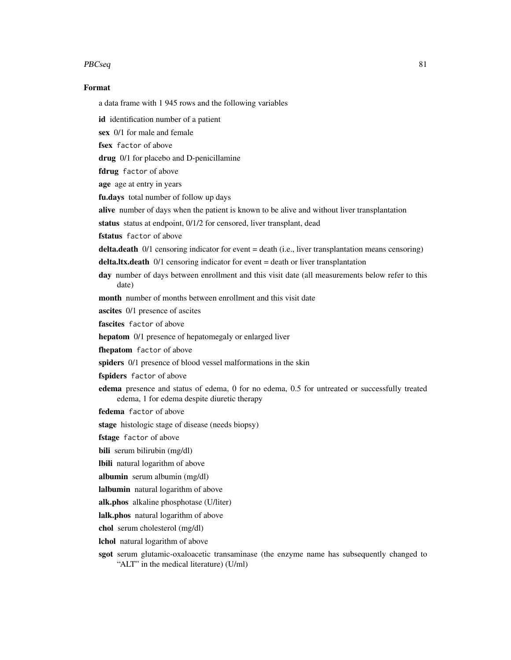#### $PBCseq$  81

#### Format

a data frame with 1 945 rows and the following variables

id identification number of a patient

sex 0/1 for male and female

fsex factor of above

drug 0/1 for placebo and D-penicillamine

fdrug factor of above

age age at entry in years

fu.days total number of follow up days

alive number of days when the patient is known to be alive and without liver transplantation

status status at endpoint, 0/1/2 for censored, liver transplant, dead

fstatus factor of above

**delta.death**  $0/1$  censoring indicator for event  $=$  death (i.e., liver transplantation means censoring)

delta.ltx.death 0/1 censoring indicator for event = death or liver transplantation

day number of days between enrollment and this visit date (all measurements below refer to this date)

month number of months between enrollment and this visit date

ascites 0/1 presence of ascites

fascites factor of above

hepatom 0/1 presence of hepatomegaly or enlarged liver

fhepatom factor of above

spiders  $0/1$  presence of blood vessel malformations in the skin

fspiders factor of above

- edema presence and status of edema, 0 for no edema, 0.5 for untreated or successfully treated edema, 1 for edema despite diuretic therapy
- fedema factor of above

stage histologic stage of disease (needs biopsy)

fstage factor of above

bili serum bilirubin (mg/dl)

lbili natural logarithm of above

albumin serum albumin (mg/dl)

lalbumin natural logarithm of above

alk.phos alkaline phosphotase (U/liter)

lalk.phos natural logarithm of above

chol serum cholesterol (mg/dl)

lchol natural logarithm of above

sgot serum glutamic-oxaloacetic transaminase (the enzyme name has subsequently changed to "ALT" in the medical literature) (U/ml)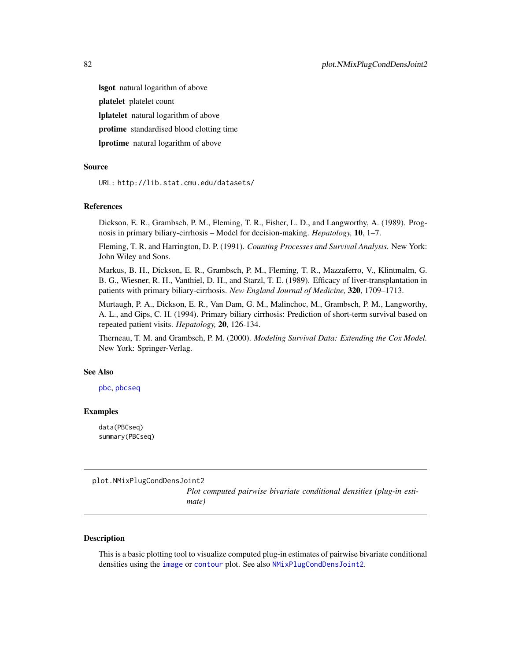lsgot natural logarithm of above platelet platelet count lplatelet natural logarithm of above protime standardised blood clotting time **lprotime** natural logarithm of above

#### Source

URL: http://lib.stat.cmu.edu/datasets/

#### References

Dickson, E. R., Grambsch, P. M., Fleming, T. R., Fisher, L. D., and Langworthy, A. (1989). Prognosis in primary biliary-cirrhosis – Model for decision-making. *Hepatology,* 10, 1–7.

Fleming, T. R. and Harrington, D. P. (1991). *Counting Processes and Survival Analysis.* New York: John Wiley and Sons.

Markus, B. H., Dickson, E. R., Grambsch, P. M., Fleming, T. R., Mazzaferro, V., Klintmalm, G. B. G., Wiesner, R. H., Vanthiel, D. H., and Starzl, T. E. (1989). Efficacy of liver-transplantation in patients with primary biliary-cirrhosis. *New England Journal of Medicine,* 320, 1709–1713.

Murtaugh, P. A., Dickson, E. R., Van Dam, G. M., Malinchoc, M., Grambsch, P. M., Langworthy, A. L., and Gips, C. H. (1994). Primary biliary cirrhosis: Prediction of short-term survival based on repeated patient visits. *Hepatology,* 20, 126-134.

Therneau, T. M. and Grambsch, P. M. (2000). *Modeling Survival Data: Extending the Cox Model.* New York: Springer-Verlag.

#### See Also

[pbc](#page-0-0), [pbcseq](#page-0-0)

## Examples

data(PBCseq) summary(PBCseq)

plot.NMixPlugCondDensJoint2

*Plot computed pairwise bivariate conditional densities (plug-in estimate)*

#### **Description**

This is a basic plotting tool to visualize computed plug-in estimates of pairwise bivariate conditional densities using the [image](#page-0-0) or [contour](#page-0-0) plot. See also [NMixPlugCondDensJoint2](#page-53-0).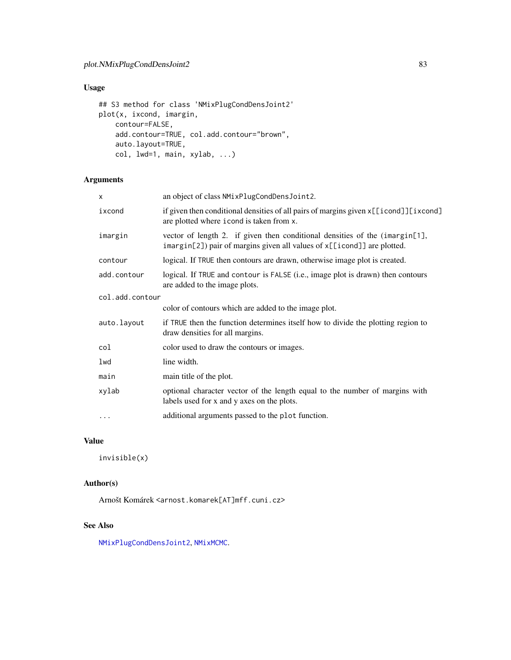# Usage

```
## S3 method for class 'NMixPlugCondDensJoint2'
plot(x, ixcond, imargin,
   contour=FALSE,
   add.contour=TRUE, col.add.contour="brown",
   auto.layout=TRUE,
   col, lwd=1, main, xylab, ...)
```
# Arguments

| x               | an object of class NMixPlugCondDensJoint2.                                                                                                             |  |
|-----------------|--------------------------------------------------------------------------------------------------------------------------------------------------------|--|
| ixcond          | if given then conditional densities of all pairs of margins given x[[icond]][ixcond]<br>are plotted where i cond is taken from x.                      |  |
| imargin         | vector of length 2. if given then conditional densities of the (imargin[1],<br>imargin[2]) pair of margins given all values of x[[icond]] are plotted. |  |
| contour         | logical. If TRUE then contours are drawn, otherwise image plot is created.                                                                             |  |
| add.contour     | logical. If TRUE and contour is FALSE (i.e., image plot is drawn) then contours<br>are added to the image plots.                                       |  |
| col.add.contour |                                                                                                                                                        |  |
|                 | color of contours which are added to the image plot.                                                                                                   |  |
| auto.layout     | if TRUE then the function determines itself how to divide the plotting region to<br>draw densities for all margins.                                    |  |
| col             | color used to draw the contours or images.                                                                                                             |  |
| lwd             | line width.                                                                                                                                            |  |
| main            | main title of the plot.                                                                                                                                |  |
| xylab           | optional character vector of the length equal to the number of margins with<br>labels used for x and y axes on the plots.                              |  |
| $\cdots$        | additional arguments passed to the plot function.                                                                                                      |  |
|                 |                                                                                                                                                        |  |

# Value

invisible(x)

## Author(s)

Arnošt Komárek <arnost.komarek[AT]mff.cuni.cz>

# See Also

[NMixPlugCondDensJoint2](#page-53-0), [NMixMCMC](#page-42-0).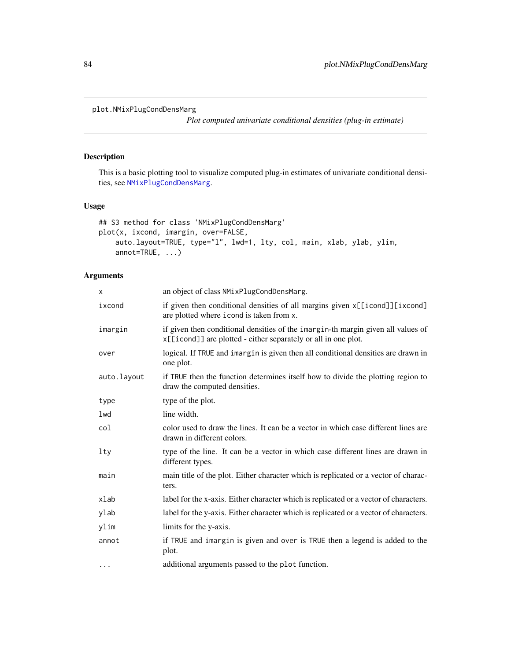```
plot.NMixPlugCondDensMarg
```
*Plot computed univariate conditional densities (plug-in estimate)*

## Description

This is a basic plotting tool to visualize computed plug-in estimates of univariate conditional densities, see [NMixPlugCondDensMarg](#page-55-0).

## Usage

```
## S3 method for class 'NMixPlugCondDensMarg'
plot(x, ixcond, imargin, over=FALSE,
   auto.layout=TRUE, type="l", lwd=1, lty, col, main, xlab, ylab, ylim,
   annot=TRUE, ...)
```
## Arguments

| X           | an object of class NMixPlugCondDensMarg.                                                                                                           |
|-------------|----------------------------------------------------------------------------------------------------------------------------------------------------|
| ixcond      | if given then conditional densities of all margins given x[[icond]][ixcond]<br>are plotted where i cond is taken from x.                           |
| imargin     | if given then conditional densities of the imargin-th margin given all values of<br>x[[icond]] are plotted - either separately or all in one plot. |
| over        | logical. If TRUE and imargin is given then all conditional densities are drawn in<br>one plot.                                                     |
| auto.layout | if TRUE then the function determines itself how to divide the plotting region to<br>draw the computed densities.                                   |
| type        | type of the plot.                                                                                                                                  |
| lwd         | line width.                                                                                                                                        |
| col         | color used to draw the lines. It can be a vector in which case different lines are<br>drawn in different colors.                                   |
| $1$ ty      | type of the line. It can be a vector in which case different lines are drawn in<br>different types.                                                |
| main        | main title of the plot. Either character which is replicated or a vector of charac-<br>ters.                                                       |
| xlab        | label for the x-axis. Either character which is replicated or a vector of characters.                                                              |
| ylab        | label for the y-axis. Either character which is replicated or a vector of characters.                                                              |
| ylim        | limits for the y-axis.                                                                                                                             |
| annot       | if TRUE and imargin is given and over is TRUE then a legend is added to the<br>plot.                                                               |
| $\cdot$     | additional arguments passed to the plot function.                                                                                                  |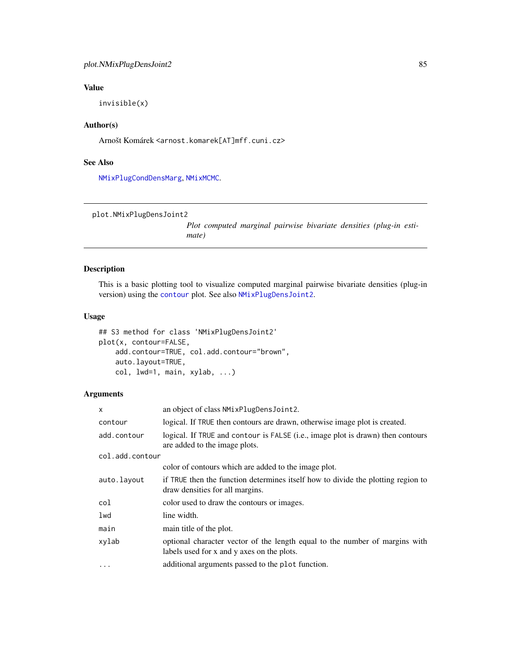# Value

invisible(x)

## Author(s)

Arnošt Komárek <arnost.komarek[AT]mff.cuni.cz>

#### See Also

[NMixPlugCondDensMarg](#page-55-0), [NMixMCMC](#page-42-0).

```
plot.NMixPlugDensJoint2
```
*Plot computed marginal pairwise bivariate densities (plug-in estimate)*

## Description

This is a basic plotting tool to visualize computed marginal pairwise bivariate densities (plug-in version) using the [contour](#page-0-0) plot. See also [NMixPlugDensJoint2](#page-57-0).

## Usage

```
## S3 method for class 'NMixPlugDensJoint2'
plot(x, contour=FALSE,
    add.contour=TRUE, col.add.contour="brown",
    auto.layout=TRUE,
   col, lwd=1, main, xylab, ...)
```
# Arguments

| X               | an object of class NMixPlugDensJoint2.                                                                                    |
|-----------------|---------------------------------------------------------------------------------------------------------------------------|
| contour         | logical. If TRUE then contours are drawn, otherwise image plot is created.                                                |
| add.contour     | logical. If TRUE and contour is FALSE (i.e., image plot is drawn) then contours<br>are added to the image plots.          |
| col.add.contour |                                                                                                                           |
|                 | color of contours which are added to the image plot.                                                                      |
| auto.layout     | if TRUE then the function determines itself how to divide the plotting region to<br>draw densities for all margins.       |
| col             | color used to draw the contours or images.                                                                                |
| lwd             | line width.                                                                                                               |
| main            | main title of the plot.                                                                                                   |
| xylab           | optional character vector of the length equal to the number of margins with<br>labels used for x and y axes on the plots. |
|                 | additional arguments passed to the plot function.                                                                         |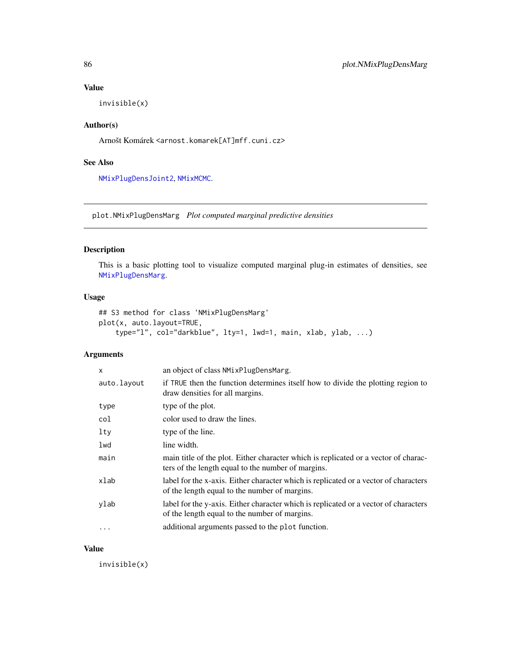## Value

invisible(x)

# Author(s)

Arnošt Komárek <arnost.komarek[AT]mff.cuni.cz>

## See Also

[NMixPlugDensJoint2](#page-57-0), [NMixMCMC](#page-42-0).

plot.NMixPlugDensMarg *Plot computed marginal predictive densities*

## Description

This is a basic plotting tool to visualize computed marginal plug-in estimates of densities, see [NMixPlugDensMarg](#page-59-0).

#### Usage

```
## S3 method for class 'NMixPlugDensMarg'
plot(x, auto.layout=TRUE,
    type="l", col="darkblue", lty=1, lwd=1, main, xlab, ylab, ...)
```
## Arguments

| X           | an object of class NMixPlugDensMarg.                                                                                                      |
|-------------|-------------------------------------------------------------------------------------------------------------------------------------------|
| auto.layout | if TRUE then the function determines itself how to divide the plotting region to<br>draw densities for all margins.                       |
| type        | type of the plot.                                                                                                                         |
| col         | color used to draw the lines.                                                                                                             |
| lty         | type of the line.                                                                                                                         |
| lwd         | line width.                                                                                                                               |
| main        | main title of the plot. Either character which is replicated or a vector of charac-<br>ters of the length equal to the number of margins. |
| xlab        | label for the x-axis. Either character which is replicated or a vector of characters<br>of the length equal to the number of margins.     |
| ylab        | label for the y-axis. Either character which is replicated or a vector of characters<br>of the length equal to the number of margins.     |
| $\cdots$    | additional arguments passed to the plot function.                                                                                         |

#### Value

invisible(x)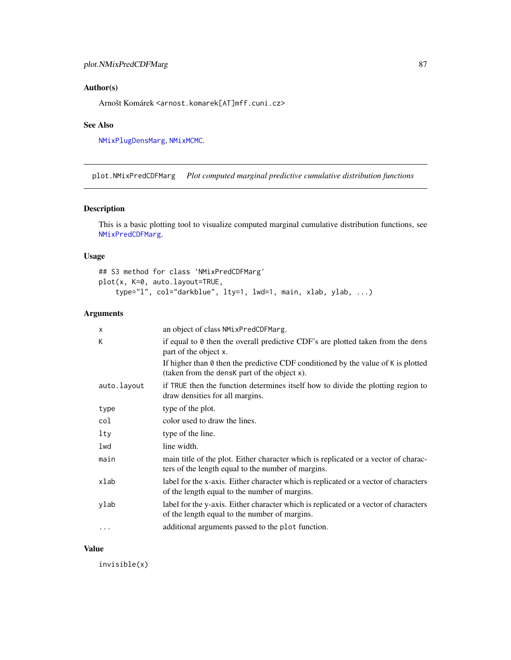## Author(s)

Arnošt Komárek <arnost.komarek[AT]mff.cuni.cz>

## See Also

[NMixPlugDensMarg](#page-59-0), [NMixMCMC](#page-42-0).

plot.NMixPredCDFMarg *Plot computed marginal predictive cumulative distribution functions*

## Description

This is a basic plotting tool to visualize computed marginal cumulative distribution functions, see [NMixPredCDFMarg](#page-60-0).

## Usage

## S3 method for class 'NMixPredCDFMarg' plot(x, K=0, auto.layout=TRUE, type="l", col="darkblue", lty=1, lwd=1, main, xlab, ylab, ...)

## Arguments

| $\mathsf{x}$ | an object of class NMixPredCDFMarg.                                                                                                       |
|--------------|-------------------------------------------------------------------------------------------------------------------------------------------|
| К            | if equal to $\theta$ then the overall predictive CDF's are plotted taken from the dens<br>part of the object x.                           |
|              | If higher than $\theta$ then the predictive CDF conditioned by the value of K is plotted<br>(taken from the densk part of the object x).  |
| auto.layout  | if TRUE then the function determines itself how to divide the plotting region to<br>draw densities for all margins.                       |
| type         | type of the plot.                                                                                                                         |
| col          | color used to draw the lines.                                                                                                             |
| lty          | type of the line.                                                                                                                         |
| lwd          | line width.                                                                                                                               |
| main         | main title of the plot. Either character which is replicated or a vector of charac-<br>ters of the length equal to the number of margins. |
| xlab         | label for the x-axis. Either character which is replicated or a vector of characters<br>of the length equal to the number of margins.     |
| ylab         | label for the y-axis. Either character which is replicated or a vector of characters<br>of the length equal to the number of margins.     |
| $\cdot$      | additional arguments passed to the plot function.                                                                                         |

#### Value

invisible(x)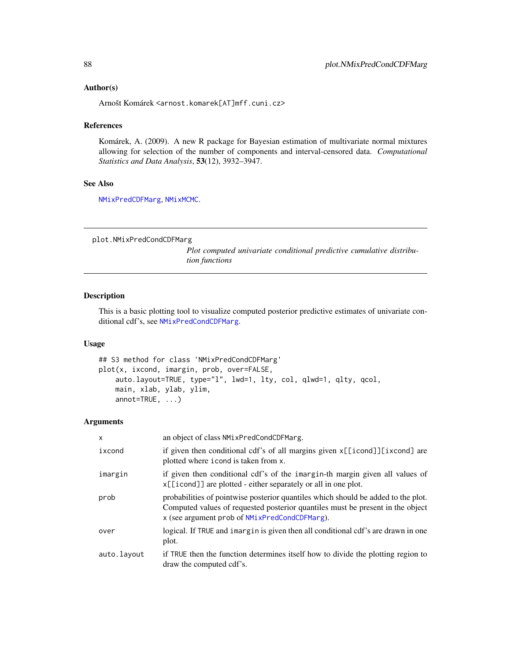#### Author(s)

Arnošt Komárek <arnost.komarek[AT]mff.cuni.cz>

#### References

Komárek, A. (2009). A new R package for Bayesian estimation of multivariate normal mixtures allowing for selection of the number of components and interval-censored data. *Computational Statistics and Data Analysis*, 53(12), 3932–3947.

# See Also

[NMixPredCDFMarg](#page-60-0), [NMixMCMC](#page-42-0).

plot.NMixPredCondCDFMarg

*Plot computed univariate conditional predictive cumulative distribution functions*

## Description

This is a basic plotting tool to visualize computed posterior predictive estimates of univariate conditional cdf's, see [NMixPredCondCDFMarg](#page-62-0).

## Usage

```
## S3 method for class 'NMixPredCondCDFMarg'
plot(x, ixcond, imargin, prob, over=FALSE,
   auto.layout=TRUE, type="l", lwd=1, lty, col, qlwd=1, qlty, qcol,
   main, xlab, ylab, ylim,
   annot=TRUE, ...)
```
#### Arguments

| $\mathsf{x}$ | an object of class NMixPredCondCDFMarg.                                                                                                                                                                              |
|--------------|----------------------------------------------------------------------------------------------------------------------------------------------------------------------------------------------------------------------|
| ixcond       | if given then conditional cdf's of all margins given x[[icond]][ixcond] are<br>plotted where i cond is taken from x.                                                                                                 |
| imargin      | if given then conditional cdf's of the imargin-th margin given all values of<br>x[[icond]] are plotted - either separately or all in one plot.                                                                       |
| prob         | probabilities of pointwise posterior quantiles which should be added to the plot.<br>Computed values of requested posterior quantiles must be present in the object<br>x (see argument prob of NMixPredCondCDFMarg). |
| over         | logical. If TRUE and imargin is given then all conditional cdf's are drawn in one<br>plot.                                                                                                                           |
| auto.layout  | if TRUE then the function determines itself how to divide the plotting region to<br>draw the computed cdf's.                                                                                                         |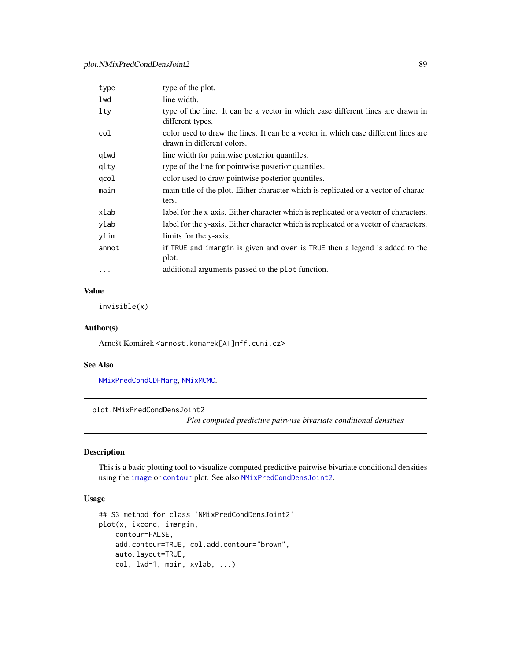| type     | type of the plot.                                                                                                |
|----------|------------------------------------------------------------------------------------------------------------------|
| lwd      | line width.                                                                                                      |
| lty      | type of the line. It can be a vector in which case different lines are drawn in<br>different types.              |
| col      | color used to draw the lines. It can be a vector in which case different lines are<br>drawn in different colors. |
| qlwd     | line width for pointwise posterior quantiles.                                                                    |
| qlty     | type of the line for pointwise posterior quantiles.                                                              |
| qcol     | color used to draw pointwise posterior quantiles.                                                                |
| main     | main title of the plot. Either character which is replicated or a vector of charac-<br>ters.                     |
| xlab     | label for the x-axis. Either character which is replicated or a vector of characters.                            |
| ylab     | label for the y-axis. Either character which is replicated or a vector of characters.                            |
| ylim     | limits for the y-axis.                                                                                           |
| annot    | if TRUE and imargin is given and over is TRUE then a legend is added to the<br>plot.                             |
| $\cdots$ | additional arguments passed to the plot function.                                                                |

# Value

invisible(x)

#### Author(s)

Arnošt Komárek <arnost.komarek[AT]mff.cuni.cz>

#### See Also

[NMixPredCondCDFMarg](#page-62-0), [NMixMCMC](#page-42-0).

```
plot.NMixPredCondDensJoint2
```
*Plot computed predictive pairwise bivariate conditional densities*

## Description

This is a basic plotting tool to visualize computed predictive pairwise bivariate conditional densities using the [image](#page-0-0) or [contour](#page-0-0) plot. See also [NMixPredCondDensJoint2](#page-64-0).

# Usage

```
## S3 method for class 'NMixPredCondDensJoint2'
plot(x, ixcond, imargin,
   contour=FALSE,
   add.contour=TRUE, col.add.contour="brown",
   auto.layout=TRUE,
    col, lwd=1, main, xylab, ...)
```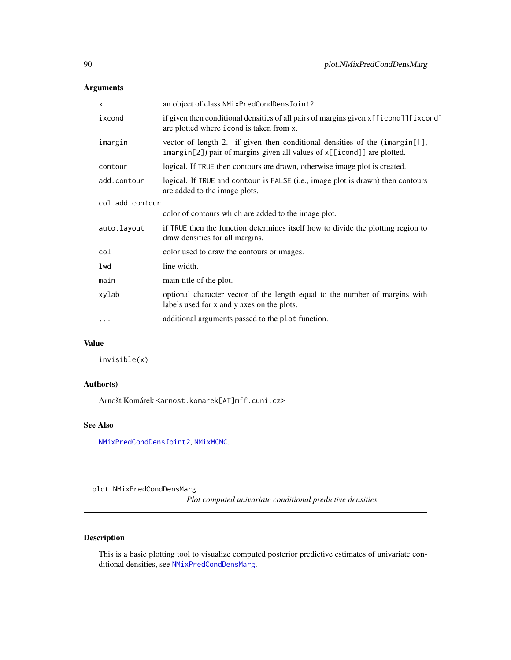## Arguments

| X               | an object of class NMixPredCondDensJoint2.                                                                                                             |  |
|-----------------|--------------------------------------------------------------------------------------------------------------------------------------------------------|--|
| ixcond          | if given then conditional densities of all pairs of margins given x[[icond]][ixcond]<br>are plotted where i cond is taken from x.                      |  |
| imargin         | vector of length 2. if given then conditional densities of the (imargin[1],<br>imargin[2]) pair of margins given all values of x[[icond]] are plotted. |  |
| contour         | logical. If TRUE then contours are drawn, otherwise image plot is created.                                                                             |  |
| add.contour     | logical. If TRUE and contour is FALSE (i.e., image plot is drawn) then contours<br>are added to the image plots.                                       |  |
| col.add.contour |                                                                                                                                                        |  |
|                 | color of contours which are added to the image plot.                                                                                                   |  |
| auto.layout     | if TRUE then the function determines itself how to divide the plotting region to<br>draw densities for all margins.                                    |  |
| col             | color used to draw the contours or images.                                                                                                             |  |
| lwd             | line width.                                                                                                                                            |  |
| main            | main title of the plot.                                                                                                                                |  |
| xylab           | optional character vector of the length equal to the number of margins with<br>labels used for x and y axes on the plots.                              |  |
| $\cdots$        | additional arguments passed to the plot function.                                                                                                      |  |
|                 |                                                                                                                                                        |  |

# Value

invisible(x)

## Author(s)

Arnošt Komárek <arnost.komarek[AT]mff.cuni.cz>

# See Also

[NMixPredCondDensJoint2](#page-64-0), [NMixMCMC](#page-42-0).

plot.NMixPredCondDensMarg

*Plot computed univariate conditional predictive densities*

# Description

This is a basic plotting tool to visualize computed posterior predictive estimates of univariate conditional densities, see [NMixPredCondDensMarg](#page-65-0).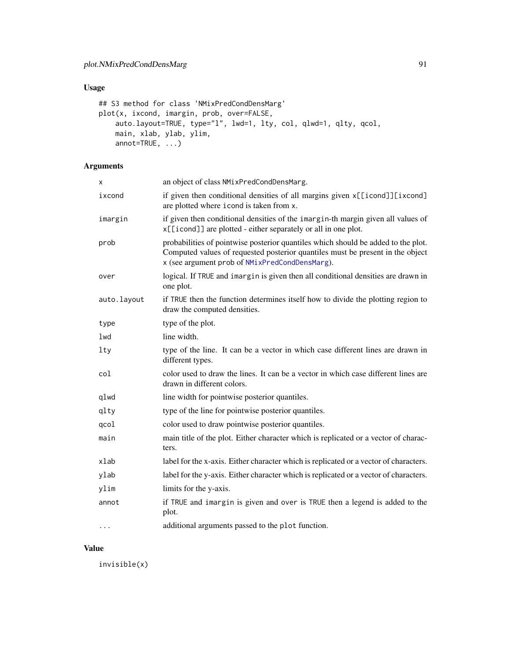# Usage

```
## S3 method for class 'NMixPredCondDensMarg'
plot(x, ixcond, imargin, prob, over=FALSE,
    auto.layout=TRUE, type="l", lwd=1, lty, col, qlwd=1, qlty, qcol,
   main, xlab, ylab, ylim,
   annot=TRUE, ...)
```
# Arguments

| Χ           | an object of class NMixPredCondDensMarg.                                                                                                                                                                              |
|-------------|-----------------------------------------------------------------------------------------------------------------------------------------------------------------------------------------------------------------------|
| ixcond      | if given then conditional densities of all margins given x[[icond]][ixcond]<br>are plotted where i cond is taken from x.                                                                                              |
| imargin     | if given then conditional densities of the imargin-th margin given all values of<br>x[[icond]] are plotted - either separately or all in one plot.                                                                    |
| prob        | probabilities of pointwise posterior quantiles which should be added to the plot.<br>Computed values of requested posterior quantiles must be present in the object<br>x (see argument prob of NMixPredCondDensMarg). |
| over        | logical. If TRUE and imargin is given then all conditional densities are drawn in<br>one plot.                                                                                                                        |
| auto.layout | if TRUE then the function determines itself how to divide the plotting region to<br>draw the computed densities.                                                                                                      |
| type        | type of the plot.                                                                                                                                                                                                     |
| lwd         | line width.                                                                                                                                                                                                           |
| lty         | type of the line. It can be a vector in which case different lines are drawn in<br>different types.                                                                                                                   |
| col         | color used to draw the lines. It can be a vector in which case different lines are<br>drawn in different colors.                                                                                                      |
| qlwd        | line width for pointwise posterior quantiles.                                                                                                                                                                         |
| qlty        | type of the line for pointwise posterior quantiles.                                                                                                                                                                   |
| qcol        | color used to draw pointwise posterior quantiles.                                                                                                                                                                     |
| main        | main title of the plot. Either character which is replicated or a vector of charac-<br>ters.                                                                                                                          |
| xlab        | label for the x-axis. Either character which is replicated or a vector of characters.                                                                                                                                 |
| ylab        | label for the y-axis. Either character which is replicated or a vector of characters.                                                                                                                                 |
| ylim        | limits for the y-axis.                                                                                                                                                                                                |
| annot       | if TRUE and imargin is given and over is TRUE then a legend is added to the<br>plot.                                                                                                                                  |
| $\cdots$    | additional arguments passed to the plot function.                                                                                                                                                                     |

## Value

invisible(x)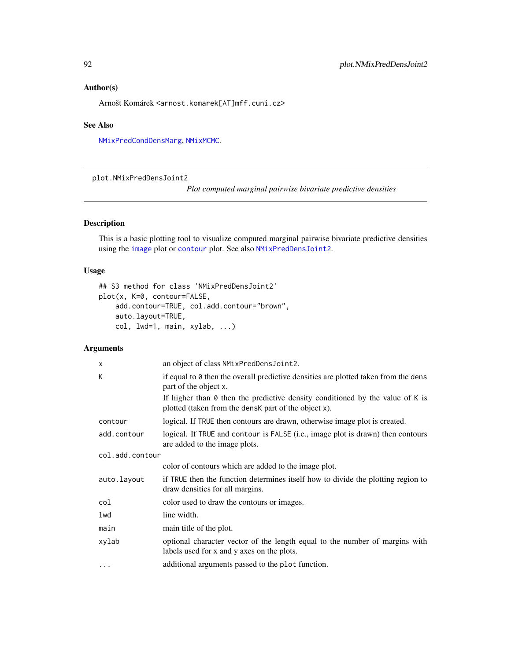## Author(s)

Arnošt Komárek <arnost.komarek[AT]mff.cuni.cz>

#### See Also

[NMixPredCondDensMarg](#page-65-0), [NMixMCMC](#page-42-0).

plot.NMixPredDensJoint2

*Plot computed marginal pairwise bivariate predictive densities*

## Description

This is a basic plotting tool to visualize computed marginal pairwise bivariate predictive densities using the [image](#page-0-0) plot or [contour](#page-0-0) plot. See also [NMixPredDensJoint2](#page-68-0).

## Usage

```
## S3 method for class 'NMixPredDensJoint2'
plot(x, K=0, contour=FALSE,
    add.contour=TRUE, col.add.contour="brown",
    auto.layout=TRUE,
   col, lwd=1, main, xylab, ...)
```
## Arguments

| X               | an object of class NMixPredDensJoint2.                                                                                                       |  |
|-----------------|----------------------------------------------------------------------------------------------------------------------------------------------|--|
| К               | if equal to $\theta$ then the overall predictive densities are plotted taken from the dens<br>part of the object x.                          |  |
|                 | If higher than $\theta$ then the predictive density conditioned by the value of K is<br>plotted (taken from the densk part of the object x). |  |
| contour         | logical. If TRUE then contours are drawn, otherwise image plot is created.                                                                   |  |
| add.contour     | logical. If TRUE and contour is FALSE (i.e., image plot is drawn) then contours<br>are added to the image plots.                             |  |
| col.add.contour |                                                                                                                                              |  |
|                 | color of contours which are added to the image plot.                                                                                         |  |
| auto.layout     | if TRUE then the function determines itself how to divide the plotting region to<br>draw densities for all margins.                          |  |
| col             | color used to draw the contours or images.                                                                                                   |  |
| lwd             | line width.                                                                                                                                  |  |
| main            | main title of the plot.                                                                                                                      |  |
| xylab           | optional character vector of the length equal to the number of margins with<br>labels used for x and y axes on the plots.                    |  |
| $\cdots$        | additional arguments passed to the plot function.                                                                                            |  |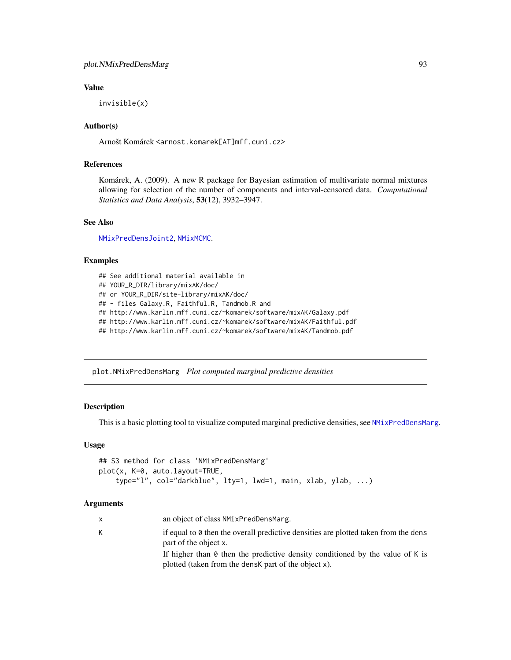## Value

invisible(x)

## Author(s)

Arnošt Komárek <arnost.komarek[AT]mff.cuni.cz>

## References

Komárek, A. (2009). A new R package for Bayesian estimation of multivariate normal mixtures allowing for selection of the number of components and interval-censored data. *Computational Statistics and Data Analysis*, 53(12), 3932–3947.

#### See Also

[NMixPredDensJoint2](#page-68-0), [NMixMCMC](#page-42-0).

## Examples

```
## See additional material available in
## YOUR_R_DIR/library/mixAK/doc/
## or YOUR_R_DIR/site-library/mixAK/doc/
## - files Galaxy.R, Faithful.R, Tandmob.R and
## http://www.karlin.mff.cuni.cz/~komarek/software/mixAK/Galaxy.pdf
## http://www.karlin.mff.cuni.cz/~komarek/software/mixAK/Faithful.pdf
## http://www.karlin.mff.cuni.cz/~komarek/software/mixAK/Tandmob.pdf
```
<span id="page-92-0"></span>plot.NMixPredDensMarg *Plot computed marginal predictive densities*

## **Description**

This is a basic plotting tool to visualize computed marginal predictive densities, see [NMixPredDensMarg](#page-70-0).

# Usage

```
## S3 method for class 'NMixPredDensMarg'
plot(x, K=0, auto.layout=TRUE,
    type="l", col="darkblue", lty=1, lwd=1, main, xlab, ylab, ...)
```
#### Arguments

| $\mathsf{X}$ | an object of class NMixPredDensMarg.                                                                                                         |
|--------------|----------------------------------------------------------------------------------------------------------------------------------------------|
| K            | if equal to $\theta$ then the overall predictive densities are plotted taken from the dens<br>part of the object x.                          |
|              | If higher than $\theta$ then the predictive density conditioned by the value of K is<br>plotted (taken from the densk part of the object x). |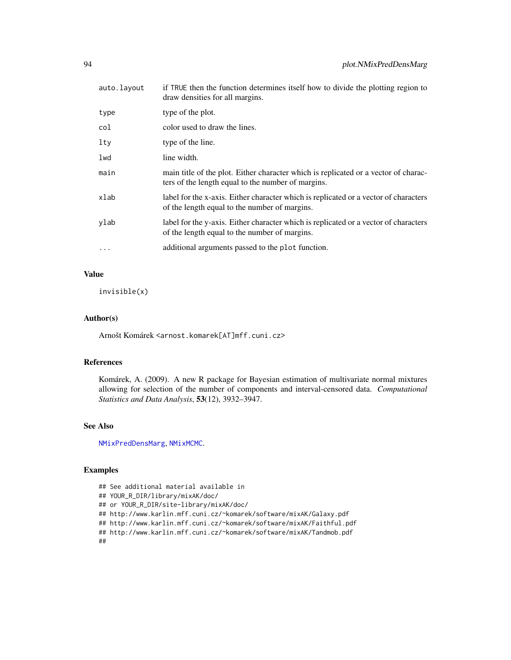| auto.layout | if TRUE then the function determines itself how to divide the plotting region to<br>draw densities for all margins.                       |
|-------------|-------------------------------------------------------------------------------------------------------------------------------------------|
| type        | type of the plot.                                                                                                                         |
| col         | color used to draw the lines.                                                                                                             |
| lty         | type of the line.                                                                                                                         |
| lwd         | line width.                                                                                                                               |
| main        | main title of the plot. Either character which is replicated or a vector of charac-<br>ters of the length equal to the number of margins. |
| xlab        | label for the x-axis. Either character which is replicated or a vector of characters<br>of the length equal to the number of margins.     |
| vlab        | label for the y-axis. Either character which is replicated or a vector of characters<br>of the length equal to the number of margins.     |
| $\ddots$    | additional arguments passed to the plot function.                                                                                         |

## Value

invisible(x)

## Author(s)

Arnošt Komárek <arnost.komarek[AT]mff.cuni.cz>

## References

Komárek, A. (2009). A new R package for Bayesian estimation of multivariate normal mixtures allowing for selection of the number of components and interval-censored data. *Computational Statistics and Data Analysis*, 53(12), 3932–3947.

# See Also

[NMixPredDensMarg](#page-70-0), [NMixMCMC](#page-42-0).

## Examples

```
## See additional material available in
## YOUR_R_DIR/library/mixAK/doc/
## or YOUR_R_DIR/site-library/mixAK/doc/
## http://www.karlin.mff.cuni.cz/~komarek/software/mixAK/Galaxy.pdf
## http://www.karlin.mff.cuni.cz/~komarek/software/mixAK/Faithful.pdf
## http://www.karlin.mff.cuni.cz/~komarek/software/mixAK/Tandmob.pdf
##
```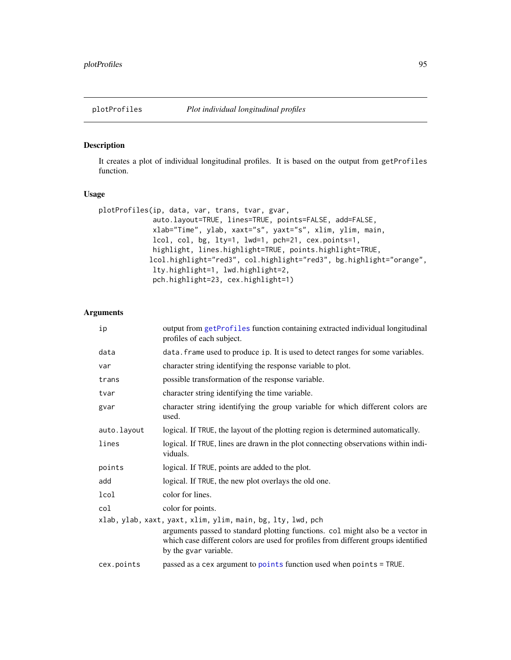## Description

It creates a plot of individual longitudinal profiles. It is based on the output from getProfiles function.

## Usage

```
plotProfiles(ip, data, var, trans, tvar, gvar,
             auto.layout=TRUE, lines=TRUE, points=FALSE, add=FALSE,
             xlab="Time", ylab, xaxt="s", yaxt="s", xlim, ylim, main,
             lcol, col, bg, lty=1, lwd=1, pch=21, cex.points=1,
             highlight, lines.highlight=TRUE, points.highlight=TRUE,
            lcol.highlight="red3", col.highlight="red3", bg.highlight="orange",
             lty.highlight=1, lwd.highlight=2,
             pch.highlight=23, cex.highlight=1)
```
## Arguments

| ip                                                          | output from getProfiles function containing extracted individual longitudinal<br>profiles of each subject.                                                                                    |  |
|-------------------------------------------------------------|-----------------------------------------------------------------------------------------------------------------------------------------------------------------------------------------------|--|
| data                                                        | data. frame used to produce ip. It is used to detect ranges for some variables.                                                                                                               |  |
| var                                                         | character string identifying the response variable to plot.                                                                                                                                   |  |
| trans                                                       | possible transformation of the response variable.                                                                                                                                             |  |
| tvar                                                        | character string identifying the time variable.                                                                                                                                               |  |
| gvar                                                        | character string identifying the group variable for which different colors are<br>used.                                                                                                       |  |
| auto.layout                                                 | logical. If TRUE, the layout of the plotting region is determined automatically.                                                                                                              |  |
| lines                                                       | logical. If TRUE, lines are drawn in the plot connecting observations within indi-<br>viduals.                                                                                                |  |
| points                                                      | logical. If TRUE, points are added to the plot.                                                                                                                                               |  |
| add                                                         | logical. If TRUE, the new plot overlays the old one.                                                                                                                                          |  |
| lcol                                                        | color for lines.                                                                                                                                                                              |  |
| col                                                         | color for points.                                                                                                                                                                             |  |
| xlab, ylab, xaxt, yaxt, xlim, ylim, main, bg, lty, lwd, pch |                                                                                                                                                                                               |  |
|                                                             | arguments passed to standard plotting functions. col might also be a vector in<br>which case different colors are used for profiles from different groups identified<br>by the gvar variable. |  |
| cex.points                                                  | passed as a cex argument to points function used when points = TRUE.                                                                                                                          |  |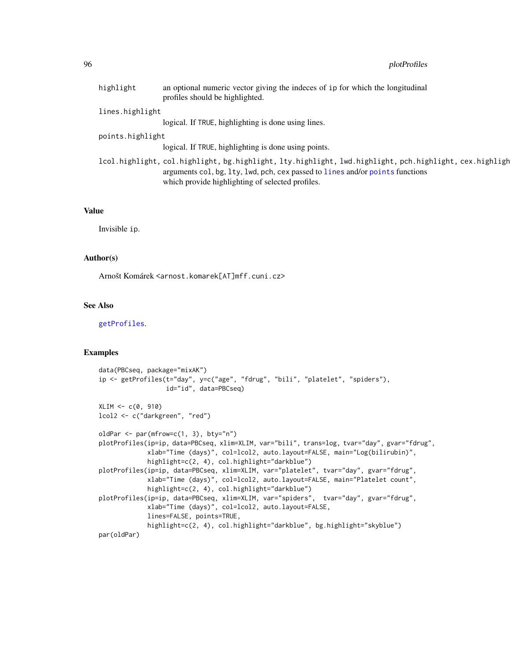| highlight        | an optional numeric vector giving the indeces of ip for which the longitudinal<br>profiles should be highlighted.                                                                                                                           |  |
|------------------|---------------------------------------------------------------------------------------------------------------------------------------------------------------------------------------------------------------------------------------------|--|
| lines.highlight  |                                                                                                                                                                                                                                             |  |
|                  | logical. If TRUE, highlighting is done using lines.                                                                                                                                                                                         |  |
| points.highlight |                                                                                                                                                                                                                                             |  |
|                  | logical. If TRUE, highlighting is done using points.                                                                                                                                                                                        |  |
|                  | lcol.highlight, col.highlight, bg.highlight, lty.highlight, lwd.highlight, pch.highlight, cex.highligh<br>arguments col, bg, lty, lwd, pch, cex passed to lines and/or points functions<br>which provide highlighting of selected profiles. |  |

#### Value

Invisible ip.

## Author(s)

Arnošt Komárek <arnost.komarek[AT]mff.cuni.cz>

## See Also

[getProfiles](#page-13-0).

## Examples

```
data(PBCseq, package="mixAK")
ip <- getProfiles(t="day", y=c("age", "fdrug", "bili", "platelet", "spiders"),
                  id="id", data=PBCseq)
XLIM < -c(0, 910)lcol2 <- c("darkgreen", "red")
oldPar \leq par(mfrow=c(1, 3), bty="n")
plotProfiles(ip=ip, data=PBCseq, xlim=XLIM, var="bili", trans=log, tvar="day", gvar="fdrug",
             xlab="Time (days)", col=lcol2, auto.layout=FALSE, main="Log(bilirubin)",
             highlight=c(2, 4), col.highlight="darkblue")
plotProfiles(ip=ip, data=PBCseq, xlim=XLIM, var="platelet", tvar="day", gvar="fdrug",
             xlab="Time (days)", col=lcol2, auto.layout=FALSE, main="Platelet count",
             highlight=c(2, 4), col.highlight="darkblue")
plotProfiles(ip=ip, data=PBCseq, xlim=XLIM, var="spiders", tvar="day", gvar="fdrug",
             xlab="Time (days)", col=lcol2, auto.layout=FALSE,
             lines=FALSE, points=TRUE,
             highlight=c(2, 4), col.highlight="darkblue", bg.highlight="skyblue")
par(oldPar)
```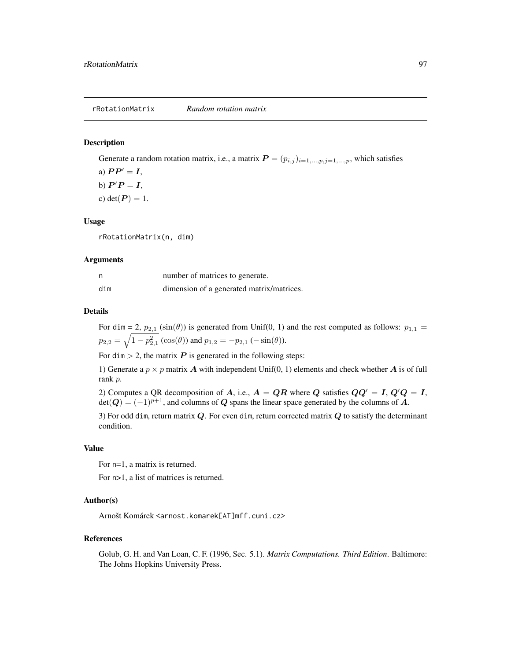#### Description

Generate a random rotation matrix, i.e., a matrix  $P = (p_{i,j})_{i=1,\dots,p,j=1,\dots,p}$ , which satisfies

a)  $PP' = I$ ,

b)  $P'P = I$ ,

c) det $(P) = 1$ .

#### Usage

rRotationMatrix(n, dim)

#### Arguments

| n   | number of matrices to generate.           |
|-----|-------------------------------------------|
| dim | dimension of a generated matrix/matrices. |

#### Details

For dim = 2,  $p_{2,1}$  (sin( $\theta$ )) is generated from Unif(0, 1) and the rest computed as follows:  $p_{1,1}$  =  $p_{2,2} = \sqrt{1-p_{2,1}^2} (\cos(\theta))$  and  $p_{1,2} = -p_{2,1} (-\sin(\theta)).$ 

For dim  $> 2$ , the matrix P is generated in the following steps:

1) Generate a  $p \times p$  matrix A with independent Unif(0, 1) elements and check whether A is of full rank p.

2) Computes a QR decomposition of A, i.e.,  $A = QR$  where Q satisfies  $QQ' = I$ ,  $Q'Q = I$ ,  $\det(Q) = (-1)^{p+1}$ , and columns of Q spans the linear space generated by the columns of A.

3) For odd dim, return matrix  $Q$ . For even dim, return corrected matrix  $Q$  to satisfy the determinant condition.

#### Value

For n=1, a matrix is returned.

For n>1, a list of matrices is returned.

#### Author(s)

Arnošt Komárek <arnost.komarek[AT]mff.cuni.cz>

#### References

Golub, G. H. and Van Loan, C. F. (1996, Sec. 5.1). *Matrix Computations. Third Edition*. Baltimore: The Johns Hopkins University Press.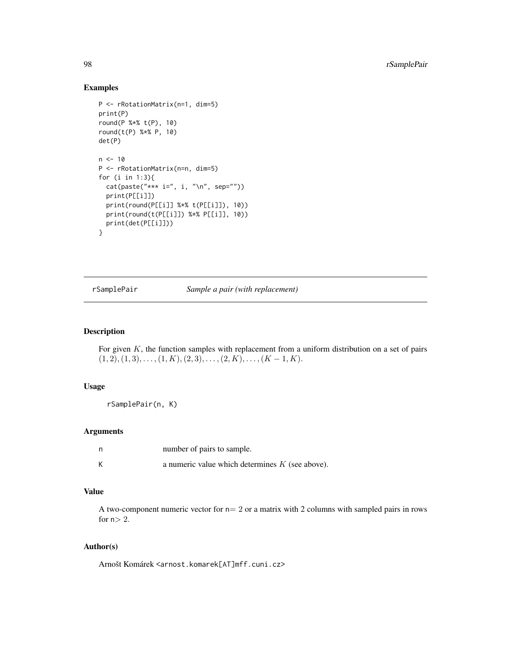## Examples

```
P <- rRotationMatrix(n=1, dim=5)
print(P)
round(P %*% t(P), 10)
round(t(P) %*% P, 10)
det(P)
n < -10P <- rRotationMatrix(n=n, dim=5)
for (i in 1:3){
  cat(paste("*** i=", i, "\\n", sep=""))print(P[[i]])
  print(round(P[[i]] %*% t(P[[i]]), 10))
  print(round(t(P[[i]]) %*% P[[i]], 10))
  print(det(P[[i]]))
}
```
rSamplePair *Sample a pair (with replacement)*

## Description

For given  $K$ , the function samples with replacement from a uniform distribution on a set of pairs  $(1, 2), (1, 3), \ldots, (1, K), (2, 3), \ldots, (2, K), \ldots, (K-1, K).$ 

#### Usage

```
rSamplePair(n, K)
```
## Arguments

| - n | number of pairs to sample.                        |
|-----|---------------------------------------------------|
| K   | a numeric value which determines $K$ (see above). |

## Value

A two-component numeric vector for  $n=2$  or a matrix with 2 columns with sampled pairs in rows for  $n>2$ .

## Author(s)

Arnošt Komárek <arnost.komarek[AT]mff.cuni.cz>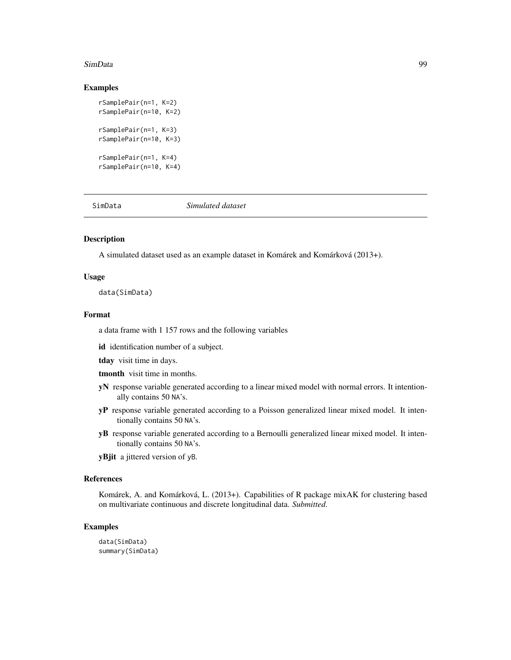#### SimData 99

#### Examples

```
rSamplePair(n=1, K=2)
rSamplePair(n=10, K=2)
rSamplePair(n=1, K=3)
rSamplePair(n=10, K=3)
rSamplePair(n=1, K=4)
rSamplePair(n=10, K=4)
```
SimData *Simulated dataset*

## Description

A simulated dataset used as an example dataset in Komárek and Komárková (2013+).

#### Usage

data(SimData)

## Format

a data frame with 1 157 rows and the following variables

id identification number of a subject.

tday visit time in days.

tmonth visit time in months.

- yN response variable generated according to a linear mixed model with normal errors. It intentionally contains 50 NA's.
- yP response variable generated according to a Poisson generalized linear mixed model. It intentionally contains 50 NA's.
- yB response variable generated according to a Bernoulli generalized linear mixed model. It intentionally contains 50 NA's.

yBjit a jittered version of yB.

#### References

Komárek, A. and Komárková, L. (2013+). Capabilities of R package mixAK for clustering based on multivariate continuous and discrete longitudinal data. *Submitted*.

## Examples

data(SimData) summary(SimData)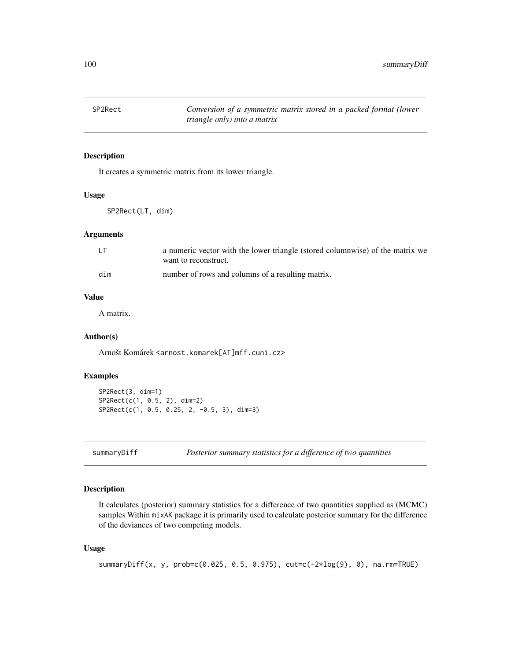100 summaryDiff

## Description

It creates a symmetric matrix from its lower triangle.

#### Usage

SP2Rect(LT, dim)

## Arguments

| LT  | a numeric vector with the lower triangle (stored columnwise) of the matrix we |
|-----|-------------------------------------------------------------------------------|
|     | want to reconstruct.                                                          |
| dim | number of rows and columns of a resulting matrix.                             |

## Value

A matrix.

## Author(s)

Arnošt Komárek <arnost.komarek[AT]mff.cuni.cz>

## Examples

```
SP2Rect(3, dim=1)
SP2Rect(c(1, 0.5, 2), dim=2)
SP2Rect(c(1, 0.5, 0.25, 2, -0.5, 3), dim=3)
```

```
summaryDiff Posterior summary statistics for a difference of two quantities
```
## Description

It calculates (posterior) summary statistics for a difference of two quantities supplied as (MCMC) samples Within mixAK package it is primarily used to calculate posterior summary for the difference of the deviances of two competing models.

#### Usage

```
summaryDiff(x, y, prob=c(0.025, 0.5, 0.975), cut=c(-2*log(9), 0), na.rm=TRUE)
```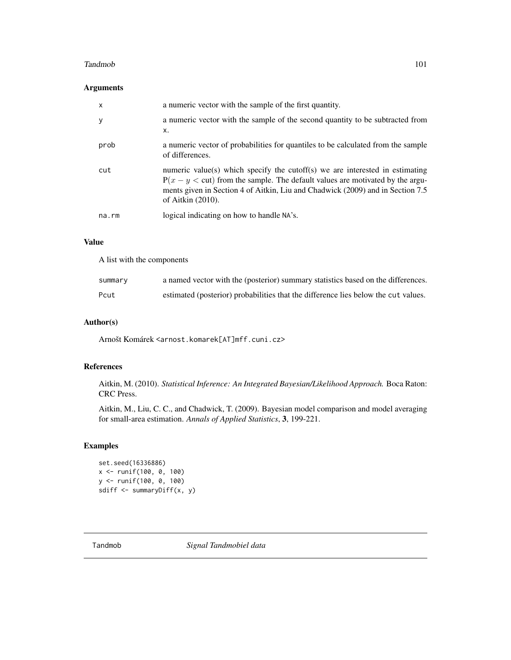#### Tandmob 101

## Arguments

| $\times$    | a numeric vector with the sample of the first quantity.                                                                                                                                                                                                                |
|-------------|------------------------------------------------------------------------------------------------------------------------------------------------------------------------------------------------------------------------------------------------------------------------|
| y           | a numeric vector with the sample of the second quantity to be subtracted from<br>x.                                                                                                                                                                                    |
| prob        | a numeric vector of probabilities for quantiles to be calculated from the sample<br>of differences.                                                                                                                                                                    |
| cut         | numeric value(s) which specify the cutoff(s) we are interested in estimating<br>$P(x - y <$ cut) from the sample. The default values are motivated by the argu-<br>ments given in Section 4 of Aitkin, Liu and Chadwick (2009) and in Section 7.5<br>of Aitkin (2010). |
| $na$ . $rm$ | logical indicating on how to handle NA's.                                                                                                                                                                                                                              |

## Value

A list with the components

| summary | a named vector with the (posterior) summary statistics based on the differences.   |
|---------|------------------------------------------------------------------------------------|
| Pcut    | estimated (posterior) probabilities that the difference lies below the cut values. |

# Author(s)

Arnošt Komárek <arnost.komarek[AT]mff.cuni.cz>

# References

Aitkin, M. (2010). *Statistical Inference: An Integrated Bayesian/Likelihood Approach.* Boca Raton: CRC Press.

Aitkin, M., Liu, C. C., and Chadwick, T. (2009). Bayesian model comparison and model averaging for small-area estimation. *Annals of Applied Statistics*, 3, 199-221.

# Examples

set.seed(16336886) x <- runif(100, 0, 100) y <- runif(100, 0, 100) sdiff <- summaryDiff(x, y)

<span id="page-100-0"></span>Tandmob *Signal Tandmobiel data*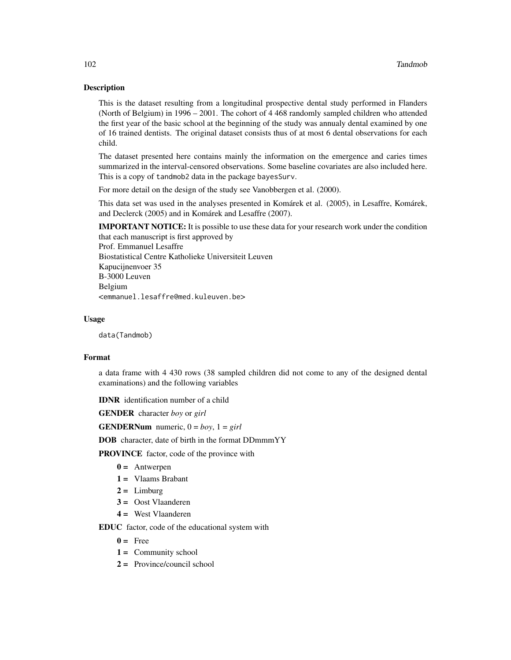## Description

This is the dataset resulting from a longitudinal prospective dental study performed in Flanders (North of Belgium) in 1996 – 2001. The cohort of 4 468 randomly sampled children who attended the first year of the basic school at the beginning of the study was annualy dental examined by one of 16 trained dentists. The original dataset consists thus of at most 6 dental observations for each child.

The dataset presented here contains mainly the information on the emergence and caries times summarized in the interval-censored observations. Some baseline covariates are also included here. This is a copy of tandmob2 data in the package bayesSurv.

For more detail on the design of the study see Vanobbergen et al. (2000).

This data set was used in the analyses presented in Komárek et al. (2005), in Lesaffre, Komárek, and Declerck (2005) and in Komárek and Lesaffre (2007).

**IMPORTANT NOTICE:** It is possible to use these data for your research work under the condition that each manuscript is first approved by Prof. Emmanuel Lesaffre Biostatistical Centre Katholieke Universiteit Leuven Kapucijnenvoer 35 B-3000 Leuven Belgium

<emmanuel.lesaffre@med.kuleuven.be>

## Usage

data(Tandmob)

## Format

a data frame with 4 430 rows (38 sampled children did not come to any of the designed dental examinations) and the following variables

IDNR identification number of a child

GENDER character *boy* or *girl*

**GENDERNum** numeric,  $0 = boy$ ,  $1 = girl$ 

DOB character, date of birth in the format DDmmmYY

PROVINCE factor, code of the province with

- $0 =$  Antwerpen
- 1 = Vlaams Brabant
- $2 =$  Limburg
- 3 = Oost Vlaanderen
- 4 = West Vlaanderen

EDUC factor, code of the educational system with

- $0 = \text{Free}$
- $1 =$  Community school
- 2 = Province/council school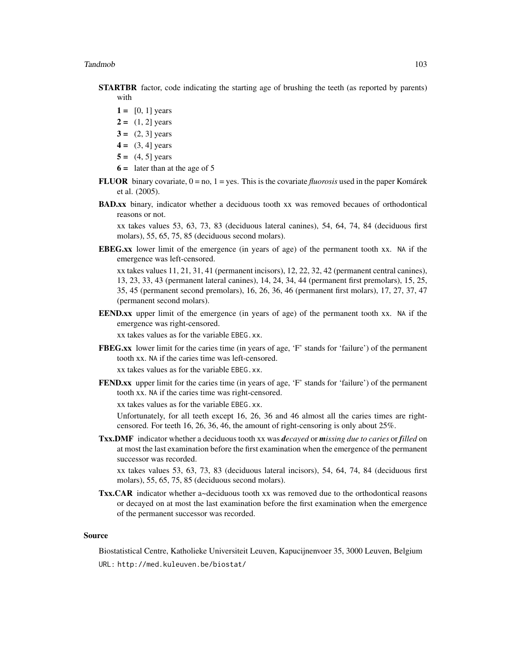- **STARTBR** factor, code indicating the starting age of brushing the teeth (as reported by parents) with
	- $1 = [0, 1]$  years
	- $2 = (1, 2]$  years
	- $3 = (2, 3)$  years
	- $4 = (3, 4]$  years
	- $5 = (4, 5]$  years
	- $6 =$  later than at the age of 5
- **FLUOR** binary covariate,  $0 = no$ ,  $1 = yes$ . This is the covariate *fluorosis* used in the paper Komárek et al. (2005).
- BAD.xx binary, indicator whether a deciduous tooth xx was removed becaues of orthodontical reasons or not.

xx takes values 53, 63, 73, 83 (deciduous lateral canines), 54, 64, 74, 84 (deciduous first molars), 55, 65, 75, 85 (deciduous second molars).

EBEG.xx lower limit of the emergence (in years of age) of the permanent tooth xx. NA if the emergence was left-censored.

xx takes values 11, 21, 31, 41 (permanent incisors), 12, 22, 32, 42 (permanent central canines), 13, 23, 33, 43 (permanent lateral canines), 14, 24, 34, 44 (permanent first premolars), 15, 25, 35, 45 (permanent second premolars), 16, 26, 36, 46 (permanent first molars), 17, 27, 37, 47 (permanent second molars).

EEND.xx upper limit of the emergence (in years of age) of the permanent tooth xx. NA if the emergence was right-censored.

xx takes values as for the variable EBEG.xx.

FBEG.xx lower limit for the caries time (in years of age, 'F' stands for 'failure') of the permanent tooth xx. NA if the caries time was left-censored.

xx takes values as for the variable EBEG.xx.

FEND.xx upper limit for the caries time (in years of age, 'F' stands for 'failure') of the permanent tooth xx. NA if the caries time was right-censored.

xx takes values as for the variable EBEG.xx.

Unfortunately, for all teeth except 16, 26, 36 and 46 almost all the caries times are rightcensored. For teeth 16, 26, 36, 46, the amount of right-censoring is only about 25%.

Txx.DMF indicator whether a deciduous tooth xx was *decayed* or *missing due to caries* or *filled* on at most the last examination before the first examination when the emergence of the permanent successor was recorded.

xx takes values 53, 63, 73, 83 (deciduous lateral incisors), 54, 64, 74, 84 (deciduous first molars), 55, 65, 75, 85 (deciduous second molars).

Txx.CAR indicator whether a~deciduous tooth xx was removed due to the orthodontical reasons or decayed on at most the last examination before the first examination when the emergence of the permanent successor was recorded.

## Source

Biostatistical Centre, Katholieke Universiteit Leuven, Kapucijnenvoer 35, 3000 Leuven, Belgium URL: http://med.kuleuven.be/biostat/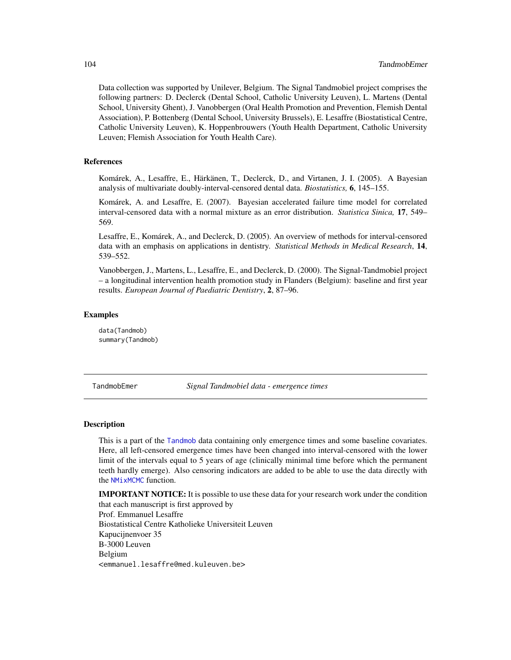Data collection was supported by Unilever, Belgium. The Signal Tandmobiel project comprises the following partners: D. Declerck (Dental School, Catholic University Leuven), L. Martens (Dental School, University Ghent), J. Vanobbergen (Oral Health Promotion and Prevention, Flemish Dental Association), P. Bottenberg (Dental School, University Brussels), E. Lesaffre (Biostatistical Centre, Catholic University Leuven), K. Hoppenbrouwers (Youth Health Department, Catholic University Leuven; Flemish Association for Youth Health Care).

#### References

Komárek, A., Lesaffre, E., Härkänen, T., Declerck, D., and Virtanen, J. I. (2005). A Bayesian analysis of multivariate doubly-interval-censored dental data. *Biostatistics,* 6, 145–155.

Komárek, A. and Lesaffre, E. (2007). Bayesian accelerated failure time model for correlated interval-censored data with a normal mixture as an error distribution. *Statistica Sinica,* 17, 549– 569.

Lesaffre, E., Komárek, A., and Declerck, D. (2005). An overview of methods for interval-censored data with an emphasis on applications in dentistry. *Statistical Methods in Medical Research*, 14, 539–552.

Vanobbergen, J., Martens, L., Lesaffre, E., and Declerck, D. (2000). The Signal-Tandmobiel project – a longitudinal intervention health promotion study in Flanders (Belgium): baseline and first year results. *European Journal of Paediatric Dentistry*, 2, 87–96.

## Examples

data(Tandmob) summary(Tandmob)

TandmobEmer *Signal Tandmobiel data - emergence times*

#### Description

This is a part of the [Tandmob](#page-100-0) data containing only emergence times and some baseline covariates. Here, all left-censored emergence times have been changed into interval-censored with the lower limit of the intervals equal to 5 years of age (clinically minimal time before which the permanent teeth hardly emerge). Also censoring indicators are added to be able to use the data directly with the [NMixMCMC](#page-42-0) function.

**IMPORTANT NOTICE:** It is possible to use these data for your research work under the condition that each manuscript is first approved by Prof. Emmanuel Lesaffre Biostatistical Centre Katholieke Universiteit Leuven Kapucijnenvoer 35 B-3000 Leuven Belgium <emmanuel.lesaffre@med.kuleuven.be>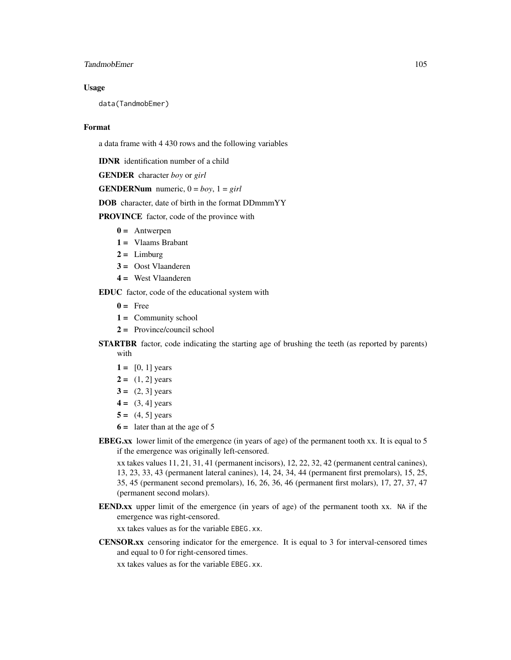## TandmobEmer 105

#### Usage

data(TandmobEmer)

#### Format

a data frame with 4 430 rows and the following variables

IDNR identification number of a child

GENDER character *boy* or *girl*

**GENDERNum** numeric,  $0 = boy$ ,  $1 = girl$ 

DOB character, date of birth in the format DDmmmYY

PROVINCE factor, code of the province with

- $0 =$  Antwerpen
- 1 = Vlaams Brabant
- $2 =$  Limburg
- 3 = Oost Vlaanderen
- $4 =$  West Vlaanderen

EDUC factor, code of the educational system with

- $0 = \text{Free}$
- $1 =$  Community school
- 2 = Province/council school
- **STARTBR** factor, code indicating the starting age of brushing the teeth (as reported by parents) with
	- $1 = [0, 1]$  years
	- $2 = (1, 2]$  years
	- $3 = (2, 3]$  years
	- $4 = (3, 4]$  years
	- $5 = (4, 5]$  years
	- $6 =$  later than at the age of 5
- EBEG.xx lower limit of the emergence (in years of age) of the permanent tooth xx. It is equal to 5 if the emergence was originally left-censored.

xx takes values 11, 21, 31, 41 (permanent incisors), 12, 22, 32, 42 (permanent central canines), 13, 23, 33, 43 (permanent lateral canines), 14, 24, 34, 44 (permanent first premolars), 15, 25, 35, 45 (permanent second premolars), 16, 26, 36, 46 (permanent first molars), 17, 27, 37, 47 (permanent second molars).

EEND.xx upper limit of the emergence (in years of age) of the permanent tooth xx. NA if the emergence was right-censored.

xx takes values as for the variable EBEG.xx.

CENSOR.xx censoring indicator for the emergence. It is equal to 3 for interval-censored times and equal to 0 for right-censored times.

xx takes values as for the variable EBEG.xx.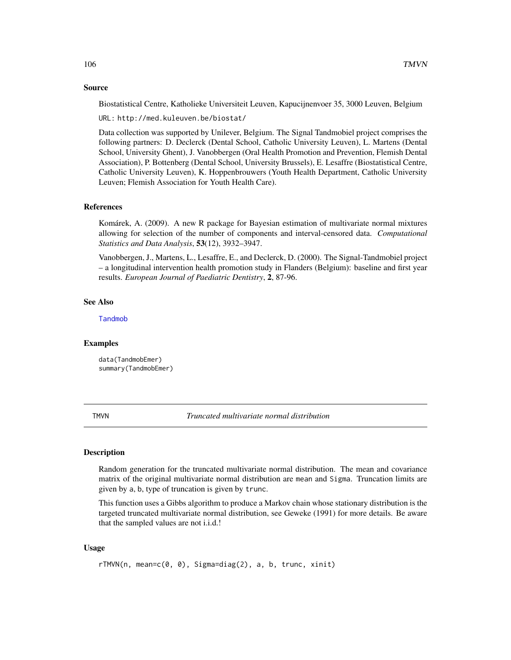#### Source

Biostatistical Centre, Katholieke Universiteit Leuven, Kapucijnenvoer 35, 3000 Leuven, Belgium

URL: http://med.kuleuven.be/biostat/

Data collection was supported by Unilever, Belgium. The Signal Tandmobiel project comprises the following partners: D. Declerck (Dental School, Catholic University Leuven), L. Martens (Dental School, University Ghent), J. Vanobbergen (Oral Health Promotion and Prevention, Flemish Dental Association), P. Bottenberg (Dental School, University Brussels), E. Lesaffre (Biostatistical Centre, Catholic University Leuven), K. Hoppenbrouwers (Youth Health Department, Catholic University Leuven; Flemish Association for Youth Health Care).

#### References

Komárek, A. (2009). A new R package for Bayesian estimation of multivariate normal mixtures allowing for selection of the number of components and interval-censored data. *Computational Statistics and Data Analysis*, 53(12), 3932–3947.

Vanobbergen, J., Martens, L., Lesaffre, E., and Declerck, D. (2000). The Signal-Tandmobiel project – a longitudinal intervention health promotion study in Flanders (Belgium): baseline and first year results. *European Journal of Paediatric Dentistry*, 2, 87-96.

## See Also

[Tandmob](#page-100-0)

#### Examples

data(TandmobEmer) summary(TandmobEmer)

TMVN *Truncated multivariate normal distribution*

#### Description

Random generation for the truncated multivariate normal distribution. The mean and covariance matrix of the original multivariate normal distribution are mean and Sigma. Truncation limits are given by a, b, type of truncation is given by trunc.

This function uses a Gibbs algorithm to produce a Markov chain whose stationary distribution is the targeted truncated multivariate normal distribution, see Geweke (1991) for more details. Be aware that the sampled values are not i.i.d.!

## Usage

```
rTMVN(n, mean=c(0, 0), Sigma=diag(2), a, b, trunc, xinit)
```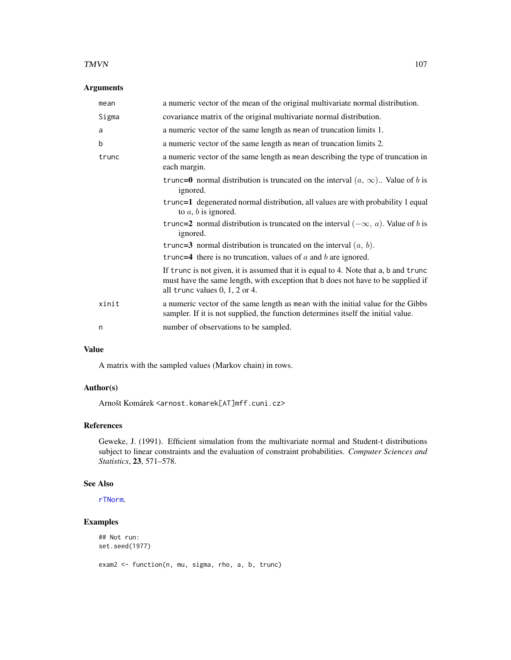#### $T M V N$  107

# Arguments

| mean  | a numeric vector of the mean of the original multivariate normal distribution.                                                                                                                               |
|-------|--------------------------------------------------------------------------------------------------------------------------------------------------------------------------------------------------------------|
| Sigma | covariance matrix of the original multivariate normal distribution.                                                                                                                                          |
| a     | a numeric vector of the same length as mean of truncation limits 1.                                                                                                                                          |
| b     | a numeric vector of the same length as mean of truncation limits 2.                                                                                                                                          |
| trunc | a numeric vector of the same length as mean describing the type of truncation in<br>each margin.                                                                                                             |
|       | trunc=0 normal distribution is truncated on the interval $(a, \infty)$ . Value of b is<br>ignored.                                                                                                           |
|       | trunc=1 degenerated normal distribution, all values are with probability 1 equal<br>to $a, b$ is ignored.                                                                                                    |
|       | trunc=2 normal distribution is truncated on the interval $(-\infty, a)$ . Value of b is<br>ignored.                                                                                                          |
|       | trunc=3 normal distribution is truncated on the interval $(a, b)$ .                                                                                                                                          |
|       | trunc=4 there is no truncation, values of $a$ and $b$ are ignored.                                                                                                                                           |
|       | If trunc is not given, it is assumed that it is equal to 4. Note that a, b and trunc<br>must have the same length, with exception that b does not have to be supplied if<br>all trunc values $0, 1, 2$ or 4. |
| xinit | a numeric vector of the same length as mean with the initial value for the Gibbs<br>sampler. If it is not supplied, the function determines itself the initial value.                                        |
| n     | number of observations to be sampled.                                                                                                                                                                        |
|       |                                                                                                                                                                                                              |

# Value

A matrix with the sampled values (Markov chain) in rows.

## Author(s)

Arnošt Komárek <arnost.komarek[AT]mff.cuni.cz>

# References

Geweke, J. (1991). Efficient simulation from the multivariate normal and Student-t distributions subject to linear constraints and the evaluation of constraint probabilities. *Computer Sciences and Statistics*, 23, 571–578.

## See Also

[rTNorm](#page-107-0).

## Examples

```
## Not run:
set.seed(1977)
exam2 <- function(n, mu, sigma, rho, a, b, trunc)
```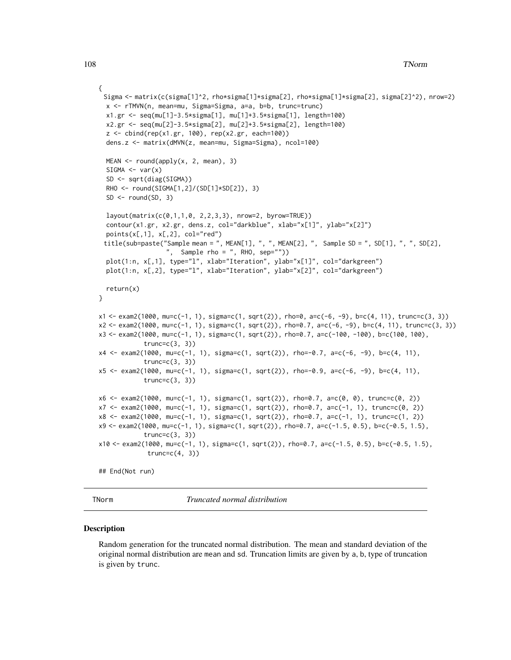#### 108 TNorm

```
{
 Sigma <- matrix(c(sigma[1]^2, rho*sigma[1]*sigma[2], rho*sigma[1]*sigma[2], sigma[2]^2), nrow=2)
  x <- rTMVN(n, mean=mu, Sigma=Sigma, a=a, b=b, trunc=trunc)
  x1.gr <- seq(mu[1]-3.5*sigma[1], mu[1]+3.5*sigma[1], length=100)
  x2.gr <- seq(mu[2]-3.5*sigma[2], mu[2]+3.5*sigma[2], length=100)
  z <- cbind(rep(x1.gr, 100), rep(x2.gr, each=100))
  dens.z <- matrix(dMVN(z, mean=mu, Sigma=Sigma), ncol=100)
  MEAN < - round(apply(x, 2, mean), 3)
  SIGMA \leftarrow var(x)SD <- sqrt(diag(SIGMA))
  RHO <- round(SIGMA[1,2]/(SD[1]*SD[2]), 3)
  SD < - round(SD, 3)
  layout(matrix(c(0,1,1,0, 2,2,3,3), nrow=2, byrow=TRUE))
  contour(x1.gr, x2.gr, dens.z, col="darkblue", xlab="x[1]", ylab="x[2]")
  points(x[, 1], x[, 2], col="red")title(sub=paste("Sample mean = ", MEAN[1], ", ", MEAN[2], ", Sample SD = ", SD[1], ", ", SD[2],
                   ", Sample rho = ", RHO, sep="")plot(1:n, x[,1], type="l", xlab="Iteration", ylab="x[1]", col="darkgreen")
  plot(1:n, x[,2], type="l", xlab="Iteration", ylab="x[2]", col="darkgreen")
  return(x)
}
x1 <- exam2(1000, mu=c(-1, 1), sigma=c(1, sqrt(2)), rho=0, a=c(-6, -9), b=c(4, 11), trunc=c(3, 3))
x2 <- exam2(1000, mu=c(-1, 1), sigma=c(1, sqrt(2)), rho=0.7, a=c(-6, -9), b=c(4, 11), trunc=c(3, 3))
x3 <- exam2(1000, mu=c(-1, 1), sigma=c(1, sqrt(2)), rho=0.7, a=c(-100, -100), b=c(100, 100),
            trunc=c(3, 3)x4 <- exam2(1000, mu=c(-1, 1), sigma=c(1, sqrt(2)), rho=-0.7, a=c(-6, -9), b=c(4, 11),
            trunc=c(3, 3)x5 <- exam2(1000, mu=c(-1, 1), sigma=c(1, sqrt(2)), rho=-0.9, a=c(-6, -9), b=c(4, 11),
             trunc=c(3, 3)x6 \leq -\exp(1000, \text{ mu=c}(-1, 1), \text{ sigma=c}(1, \text{sqrt}(2)), \text{rho=0.7}, \text{a=c}(0, 0), \text{trunc=c}(0, 2))x7 \le - exam2(1000, mu=c(-1, 1), sigma=c(1, sqrt(2)), rho=0.7, a=c(-1, 1), trunc=c(0, 2))
x8 <- exam2(1000, mu=c(-1, 1), sigma=c(1, sqrt(2)), rho=0.7, a=c(-1, 1), trunc=c(1, 2))
x9 \leftarrow \text{exam2}(1000, \text{mu=c}(-1, 1), \text{sigma=c}(1, \text{sqrt}(2)), \text{rho=0.7}, \text{a=c}(-1.5, 0.5), \text{b=c}(-0.5, 1.5),
             trunc=c(3, 3))
x10 <- exam2(1000, mu=c(-1, 1), sigma=c(1, sqrt(2)), rho=0.7, a=c(-1.5, 0.5), b=c(-0.5, 1.5),
              trunc=c(4, 3)## End(Not run)
```
TNorm *Truncated normal distribution*

#### <span id="page-107-0"></span>Description

Random generation for the truncated normal distribution. The mean and standard deviation of the original normal distribution are mean and sd. Truncation limits are given by a, b, type of truncation is given by trunc.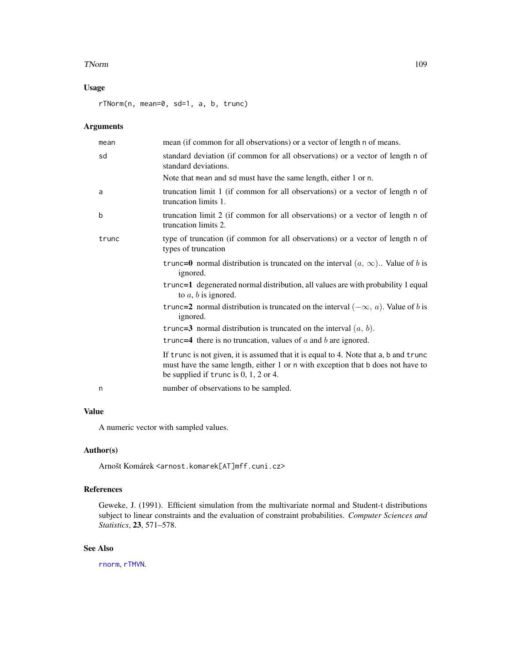#### <span id="page-108-0"></span>TNorm 109

# Usage

rTNorm(n, mean=0, sd=1, a, b, trunc)

## Arguments

| mean  | mean (if common for all observations) or a vector of length n of means.                                                                                                                                            |
|-------|--------------------------------------------------------------------------------------------------------------------------------------------------------------------------------------------------------------------|
| sd    | standard deviation (if common for all observations) or a vector of length n of<br>standard deviations.                                                                                                             |
|       | Note that mean and sd must have the same length, either 1 or n.                                                                                                                                                    |
| a     | truncation limit 1 (if common for all observations) or a vector of length n of<br>truncation limits 1.                                                                                                             |
| b     | truncation limit 2 (if common for all observations) or a vector of length n of<br>truncation limits 2.                                                                                                             |
| trunc | type of truncation (if common for all observations) or a vector of length n of<br>types of truncation                                                                                                              |
|       | trunc=0 normal distribution is truncated on the interval $(a, \infty)$ . Value of b is<br>ignored.                                                                                                                 |
|       | trunc=1 degenerated normal distribution, all values are with probability 1 equal<br>to $a, b$ is ignored.                                                                                                          |
|       | trunc=2 normal distribution is truncated on the interval $(-\infty, a)$ . Value of b is<br>ignored.                                                                                                                |
|       | trunc=3 normal distribution is truncated on the interval $(a, b)$ .                                                                                                                                                |
|       | trunc=4 there is no truncation, values of $a$ and $b$ are ignored.                                                                                                                                                 |
|       | If trunc is not given, it is assumed that it is equal to 4. Note that a, b and trunc<br>must have the same length, either 1 or n with exception that b does not have to<br>be supplied if trunc is $0, 1, 2$ or 4. |
| n     | number of observations to be sampled.                                                                                                                                                                              |
|       |                                                                                                                                                                                                                    |

# Value

A numeric vector with sampled values.

## Author(s)

Arnošt Komárek <arnost.komarek[AT]mff.cuni.cz>

## References

Geweke, J. (1991). Efficient simulation from the multivariate normal and Student-t distributions subject to linear constraints and the evaluation of constraint probabilities. *Computer Sciences and Statistics*, 23, 571–578.

## See Also

[rnorm](#page-0-0), [rTMVN](#page-105-0).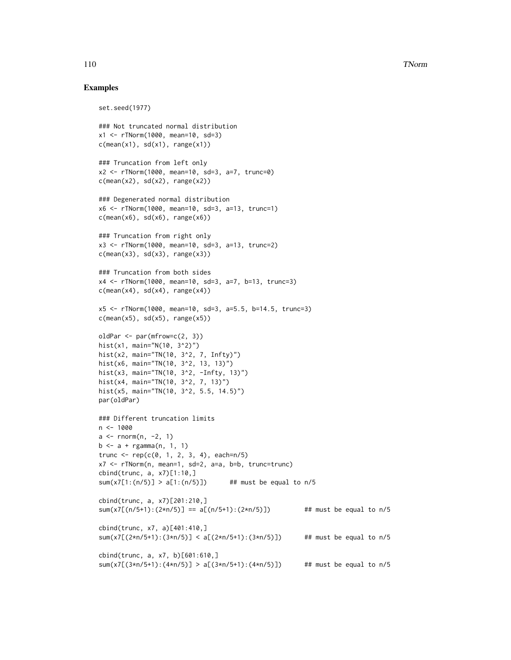#### 110 TNorm The Term of the United States of the United States of the United States of the United States of the U

#### Examples

```
set.seed(1977)
### Not truncated normal distribution
x1 <- rTNorm(1000, mean=10, sd=3)
c(mean(x1), sd(x1), range(x1))### Truncation from left only
x2 <- rTNorm(1000, mean=10, sd=3, a=7, trunc=0)
c(mean(x2), sd(x2), range(x2))### Degenerated normal distribution
x6 <- rTNorm(1000, mean=10, sd=3, a=13, trunc=1)
c(mean(x6), sd(x6), range(x6))### Truncation from right only
x3 <- rTNorm(1000, mean=10, sd=3, a=13, trunc=2)
c(mean(x3), sd(x3), range(x3))### Truncation from both sides
x4 <- rTNorm(1000, mean=10, sd=3, a=7, b=13, trunc=3)
c(mean(x4), sd(x4), range(x4))x5 <- rTNorm(1000, mean=10, sd=3, a=5.5, b=14.5, trunc=3)
c(mean(x5), sd(x5), range(x5))oldPar <- par(mfrow=c(2, 3))
hist(x1, main="N(10, 3^2)")
hist(x2, main="TN(10, 3^2, 7, Infty)")
hist(x6, main="TN(10, 3^2, 13, 13)")
hist(x3, main="TN(10, 3^2, -Infty, 13)")
hist(x4, main="TN(10, 3^2, 7, 13)")
hist(x5, main="TN(10, 3^2, 5.5, 14.5)")
par(oldPar)
### Different truncation limits
n < -1000a \leq -rnorm(n, -2, 1)b \le -a + \text{rgamma}(n, 1, 1)trunc <- rep(c(0, 1, 2, 3, 4), each=n/5)x7 <- rTNorm(n, mean=1, sd=2, a=a, b=b, trunc=trunc)
cbind(trunc, a, x7)[1:10,]
sum(x7[1:(n/5)] > a[1:(n/5)]) ## must be equal to n/5cbind(trunc, a, x7)[201:210,]
sum(x7[(n/5+1):(2*n/5)] == a[(n/5+1):(2*n/5)]) ## must be equal to n/5
cbind(trunc, x7, a)[401:410,]
sum(x7[(2*n/5+1):(3*n/5)] < a[(2*n/5+1):(3*n/5)]) ## must be equal to n/5
cbind(trunc, a, x7, b)[601:610,]
sum(x7[(3*n/5+1):(4*n/5)] > a[(3*n/5+1):(4*n/5)]) ## must be equal to n/5
```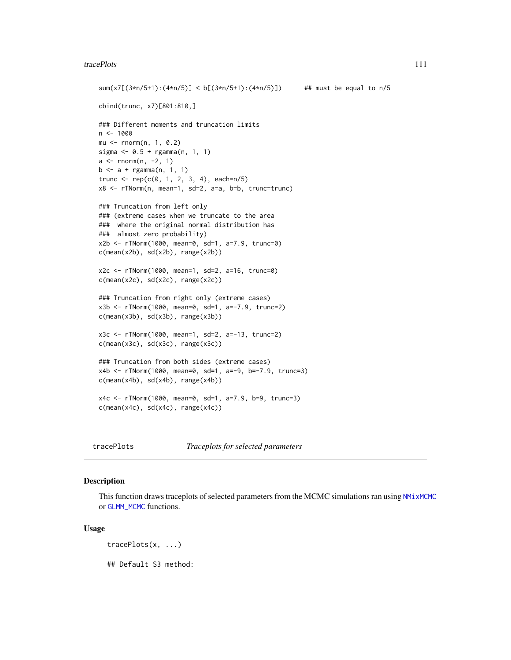#### <span id="page-110-0"></span>tracePlots 111

```
sum(x7[(3*n/5+1):(4*n/5)] < b[(3*n/5+1):(4*n/5)]) ## must be equal to n/5
cbind(trunc, x7)[801:810,]
### Different moments and truncation limits
n < -1000mu <- rnorm(n, 1, 0.2)
sigma <- 0.5 + rgamma(n, 1, 1)
a \leftarrow \text{norm}(n, -2, 1)b \le -a + \text{rgamma}(n, 1, 1)trunc <- rep(c(0, 1, 2, 3, 4), each=n/5)x8 <- rTNorm(n, mean=1, sd=2, a=a, b=b, trunc=trunc)
### Truncation from left only
### (extreme cases when we truncate to the area
### where the original normal distribution has
### almost zero probability)
x2b <- rTNorm(1000, mean=0, sd=1, a=7.9, trunc=0)
c(mean(x2b), sd(x2b), range(x2b))
x2c <- rTNorm(1000, mean=1, sd=2, a=16, trunc=0)
c(mean(x2c), sd(x2c), range(x2c))
### Truncation from right only (extreme cases)
x3b <- rTNorm(1000, mean=0, sd=1, a=-7.9, trunc=2)
c(mean(x3b), sd(x3b), range(x3b))
x3c <- rTNorm(1000, mean=1, sd=2, a=-13, trunc=2)
c(mean(x3c), sd(x3c), range(x3c))
### Truncation from both sides (extreme cases)
x4b <- rTNorm(1000, mean=0, sd=1, a=-9, b=-7.9, trunc=3)
c(mean(x4b), sd(x4b), range(x4b))x4c <- rTNorm(1000, mean=0, sd=1, a=7.9, b=9, trunc=3)
c(mean(x4c), sd(x4c), range(x4c))
```
tracePlots *Traceplots for selected parameters*

## Description

This function draws traceplots of selected parameters from the MCMC simulations ran using NM<sub>I</sub> xMCMC or [GLMM\\_MCMC](#page-17-0) functions.

#### Usage

tracePlots(x, ...)

## Default S3 method: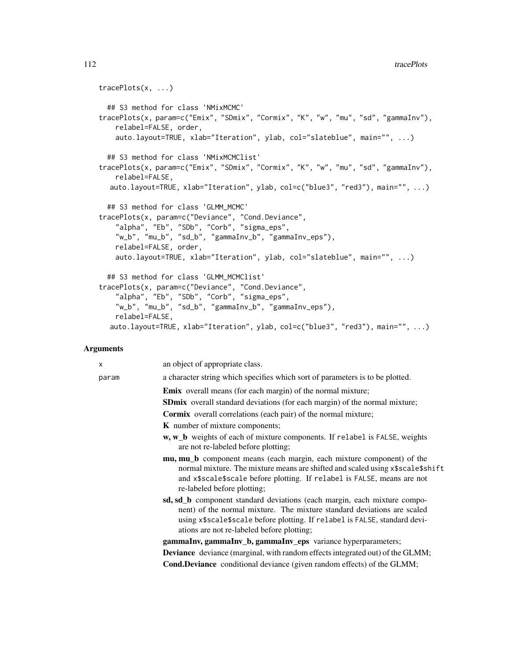```
tracePlots(x, ...)
  ## S3 method for class 'NMixMCMC'
tracePlots(x, param=c("Emix", "SDmix", "Cormix", "K", "w", "mu", "sd", "gammaInv"),
    relabel=FALSE, order,
    auto.layout=TRUE, xlab="Iteration", ylab, col="slateblue", main="", ...)
  ## S3 method for class 'NMixMCMClist'
tracePlots(x, param=c("Emix", "SDmix", "Cormix", "K", "w", "mu", "sd", "gammaInv"),
    relabel=FALSE,
  auto.layout=TRUE, xlab="Iteration", ylab, col=c("blue3", "red3"), main="", ...)
  ## S3 method for class 'GLMM_MCMC'
tracePlots(x, param=c("Deviance", "Cond.Deviance",
    "alpha", "Eb", "SDb", "Corb", "sigma_eps",
    "w_b", "mu_b", "sd_b", "gammaInv_b", "gammaInv_eps"),
    relabel=FALSE, order,
    auto.layout=TRUE, xlab="Iteration", ylab, col="slateblue", main="", ...)
  ## S3 method for class 'GLMM_MCMClist'
tracePlots(x, param=c("Deviance", "Cond.Deviance",
    "alpha", "Eb", "SDb", "Corb", "sigma_eps",
    "w_b", "mu_b", "sd_b", "gammaInv_b", "gammaInv_eps"),
    relabel=FALSE,
  auto.layout=TRUE, xlab="Iteration", ylab, col=c("blue3", "red3"), main="", ...)
```
#### Arguments

| X     | an object of appropriate class.                                                                                                                                                                                                                                                 |
|-------|---------------------------------------------------------------------------------------------------------------------------------------------------------------------------------------------------------------------------------------------------------------------------------|
| param | a character string which specifies which sort of parameters is to be plotted.                                                                                                                                                                                                   |
|       | <b>Emix</b> overall means (for each margin) of the normal mixture;                                                                                                                                                                                                              |
|       | <b>SDmix</b> overall standard deviations (for each margin) of the normal mixture;                                                                                                                                                                                               |
|       | <b>Cormix</b> overall correlations (each pair) of the normal mixture;                                                                                                                                                                                                           |
|       | <b>K</b> number of mixture components;                                                                                                                                                                                                                                          |
|       | <b>w</b> , <b>w_b</b> weights of each of mixture components. If relabel is FALSE, weights<br>are not re-labeled before plotting;                                                                                                                                                |
|       | mu, mu_b component means (each margin, each mixture component) of the<br>normal mixture. The mixture means are shifted and scaled using x\$scale\$shift<br>and x\$scale\$scale before plotting. If relabel is FALSE, means are not<br>re-labeled before plotting;               |
|       | sd, sd_b component standard deviations (each margin, each mixture compo-<br>nent) of the normal mixture. The mixture standard deviations are scaled<br>using x\$scale\$scale before plotting. If relabel is FALSE, standard devi-<br>ations are not re-labeled before plotting; |
|       | gammaInv, gammaInv_b, gammaInv_eps variance hyperparameters;                                                                                                                                                                                                                    |
|       | <b>Deviance</b> deviance (marginal, with random effects integrated out) of the GLMM;                                                                                                                                                                                            |
|       | <b>Cond.Deviance</b> conditional deviance (given random effects) of the GLMM;                                                                                                                                                                                                   |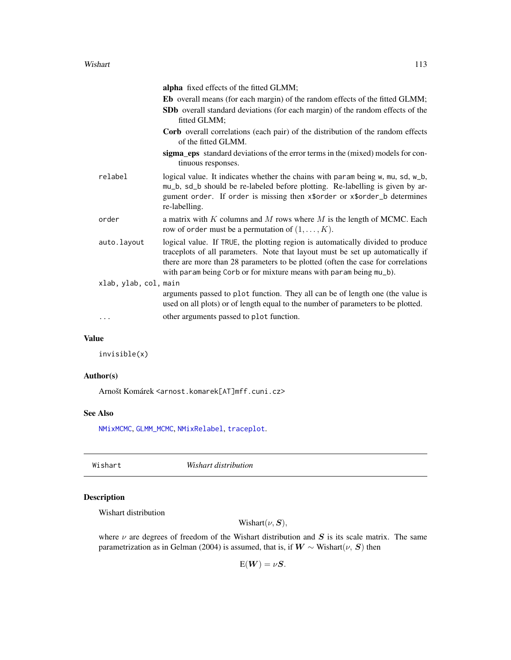<span id="page-112-0"></span>

|                       | alpha fixed effects of the fitted GLMM;                                                                                                                                                                                                                                                                                     |
|-----------------------|-----------------------------------------------------------------------------------------------------------------------------------------------------------------------------------------------------------------------------------------------------------------------------------------------------------------------------|
|                       | <b>Eb</b> overall means (for each margin) of the random effects of the fitted GLMM;                                                                                                                                                                                                                                         |
|                       | <b>SDb</b> overall standard deviations (for each margin) of the random effects of the<br>fitted GLMM;                                                                                                                                                                                                                       |
|                       | <b>Corb</b> overall correlations (each pair) of the distribution of the random effects<br>of the fitted GLMM.                                                                                                                                                                                                               |
|                       | sigma_eps standard deviations of the error terms in the (mixed) models for con-<br>tinuous responses.                                                                                                                                                                                                                       |
| relabel               | logical value. It indicates whether the chains with param being w, mu, sd, w_b,<br>mu_b, sd_b should be re-labeled before plotting. Re-labelling is given by ar-<br>gument order. If order is missing then x\$order or x\$order_b determines<br>re-labelling.                                                               |
| order                 | a matrix with $K$ columns and $M$ rows where $M$ is the length of MCMC. Each<br>row of order must be a permutation of $(1, \ldots, K)$ .                                                                                                                                                                                    |
| auto.layout           | logical value. If TRUE, the plotting region is automatically divided to produce<br>traceplots of all parameters. Note that layout must be set up automatically if<br>there are more than 28 parameters to be plotted (often the case for correlations<br>with param being Corb or for mixture means with param being mu_b). |
| xlab, ylab, col, main |                                                                                                                                                                                                                                                                                                                             |
|                       | arguments passed to plot function. They all can be of length one (the value is<br>used on all plots) or of length equal to the number of parameters to be plotted.                                                                                                                                                          |
| .                     | other arguments passed to plot function.                                                                                                                                                                                                                                                                                    |

## Value

invisible(x)

## Author(s)

Arnošt Komárek <arnost.komarek[AT]mff.cuni.cz>

#### See Also

[NMixMCMC](#page-42-0), [GLMM\\_MCMC](#page-17-0), [NMixRelabel](#page-73-0), [traceplot](#page-0-0).

Wishart *Wishart distribution*

# Description

Wishart distribution

Wishart $(\nu, S)$ ,

where  $\nu$  are degrees of freedom of the Wishart distribution and  $S$  is its scale matrix. The same parametrization as in Gelman (2004) is assumed, that is, if  $W \sim$  Wishart( $\nu$ , S) then

 $E(W) = \nu S.$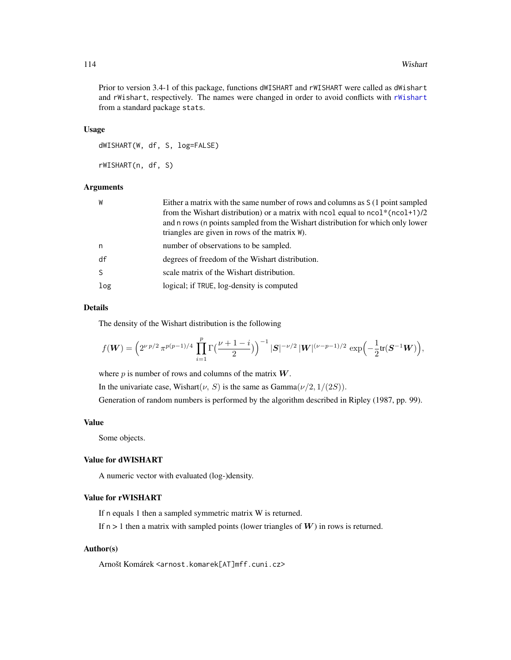#### <span id="page-113-0"></span>114 Wishart

Prior to version 3.4-1 of this package, functions dWISHART and rWISHART were called as dWishart and rWishart, respectively. The names were changed in order to avoid conflicts with [rWishart](#page-0-0) from a standard package stats.

#### Usage

dWISHART(W, df, S, log=FALSE) rWISHART(n, df, S)

## Arguments

| W            | Either a matrix with the same number of rows and columns as S (1 point sampled<br>from the Wishart distribution) or a matrix with ncol equal to $ncol^*(ncol+1)/2$<br>and n rows (n points sampled from the Wishart distribution for which only lower<br>triangles are given in rows of the matrix W). |
|--------------|--------------------------------------------------------------------------------------------------------------------------------------------------------------------------------------------------------------------------------------------------------------------------------------------------------|
| n            | number of observations to be sampled.                                                                                                                                                                                                                                                                  |
| df           | degrees of freedom of the Wishart distribution.                                                                                                                                                                                                                                                        |
| <sub>S</sub> | scale matrix of the Wishart distribution.                                                                                                                                                                                                                                                              |
| log          | logical; if TRUE, log-density is computed                                                                                                                                                                                                                                                              |

## Details

The density of the Wishart distribution is the following

$$
f(\mathbf{W}) = \left(2^{\nu p/2} \pi^{p(p-1)/4} \prod_{i=1}^p \Gamma\left(\frac{\nu+1-i}{2}\right)\right)^{-1} |\mathbf{S}|^{-\nu/2} |\mathbf{W}|^{(\nu-p-1)/2} \exp\left(-\frac{1}{2} \text{tr}(\mathbf{S}^{-1} \mathbf{W})\right),
$$

where  $p$  is number of rows and columns of the matrix  $W$ .

In the univariate case, Wishart( $\nu$ , S) is the same as Gamma $(\nu/2, 1/(2S))$ .

Generation of random numbers is performed by the algorithm described in Ripley (1987, pp. 99).

#### Value

Some objects.

## Value for dWISHART

A numeric vector with evaluated (log-)density.

# Value for rWISHART

If n equals 1 then a sampled symmetric matrix W is returned.

If  $n > 1$  then a matrix with sampled points (lower triangles of  $W$ ) in rows is returned.

## Author(s)

Arnošt Komárek <arnost.komarek[AT]mff.cuni.cz>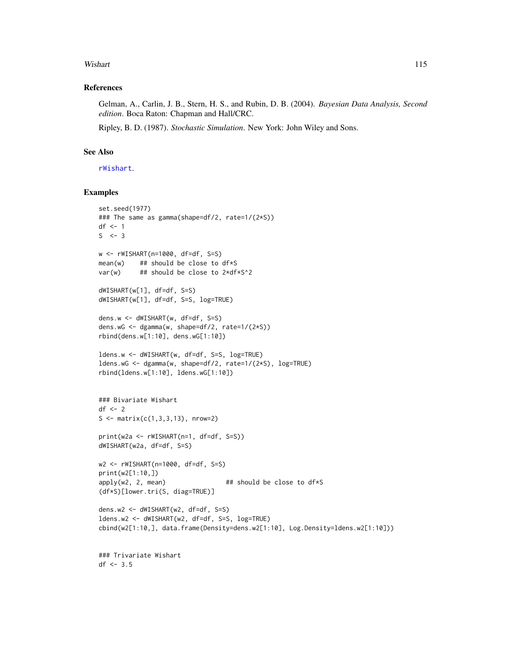#### <span id="page-114-0"></span>Wishart 115

#### References

Gelman, A., Carlin, J. B., Stern, H. S., and Rubin, D. B. (2004). *Bayesian Data Analysis, Second edition*. Boca Raton: Chapman and Hall/CRC.

Ripley, B. D. (1987). *Stochastic Simulation*. New York: John Wiley and Sons.

## See Also

[rWishart](#page-0-0).

## Examples

```
set.seed(1977)
### The same as gamma(shape=df/2, rate=1/(2*S))
df \leftarrow 1S \leq -3w <- rWISHART(n=1000, df=df, S=S)
mean(w) # should be close to df*S
var(w) # # should be close to 2*df*S^2dWISHART(w[1], df=df, S=S)
dWISHART(w[1], df=df, S=S, log=TRUE)
dens.w <- dWISHART(w, df=df, S=S)
dens.wG <- dgamma(w, shape=df/2, rate=1/(2*S))
rbind(dens.w[1:10], dens.wG[1:10])
ldens.w <- dWISHART(w, df=df, S=S, log=TRUE)
ldens.wG <- dgamma(w, shape=df/2, rate=1/(2*S), log=TRUE)
rbind(ldens.w[1:10], ldens.wG[1:10])
### Bivariate Wishart
df \leftarrow 2S <- matrix(c(1, 3, 3, 13), nrow=2)print(w2a <- rWISHART(n=1, df=df, S=S))
dWISHART(w2a, df=df, S=S)
w2 <- rWISHART(n=1000, df=df, S=S)
print(w2[1:10,])
apply(w2, 2, mean) ## should be close to df*S
(df*S)[lower.tri(S, diag=TRUE)]
dens.w2 <- dWISHART(w2, df=df, S=S)
ldens.w2 <- dWISHART(w2, df=df, S=S, log=TRUE)
cbind(w2[1:10,], data.frame(Density=dens.w2[1:10], Log.Density=ldens.w2[1:10]))
```

```
### Trivariate Wishart
df <- 3.5
```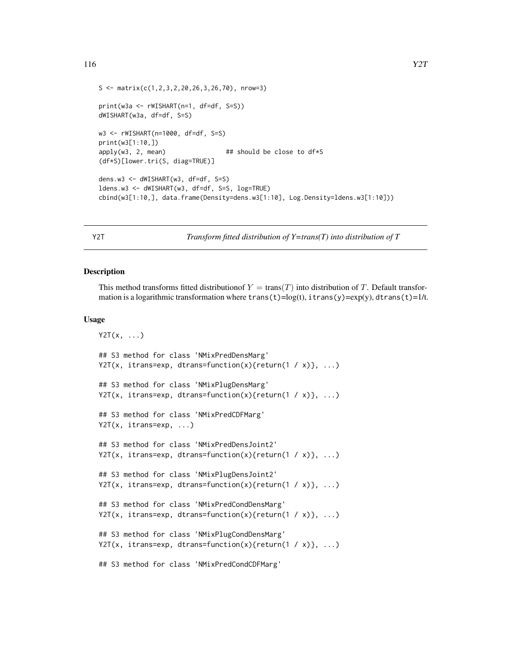```
116 Y2T
```

```
S \leftarrow \text{matrix}(c(1, 2, 3, 2, 20, 26, 3, 26, 70), \text{nrow=3})print(w3a <- rWISHART(n=1, df=df, S=S))
dWISHART(w3a, df=df, S=S)
w3 <- rWISHART(n=1000, df=df, S=S)
print(w3[1:10,])
apply(w3, 2, mean) ## should be close to df*S
(df*S)[lower.tri(S, diag=TRUE)]
dens.w3 <- dWISHART(w3, df=df, S=S)
ldens.w3 <- dWISHART(w3, df=df, S=S, log=TRUE)
cbind(w3[1:10,], data.frame(Density=dens.w3[1:10], Log.Density=ldens.w3[1:10]))
```
Y2T *Transform fitted distribution of Y=trans(T) into distribution of T*

#### **Description**

This method transforms fitted distribution  $Y = \text{trans}(T)$  into distribution of T. Default transformation is a logarithmic transformation where  $trans(t)=log(t)$ , itrans(y)=exp(y), dtrans(t)=1/t.

## Usage

```
YZT(x, \ldots)## S3 method for class 'NMixPredDensMarg'
Y2T(x, itrans=exp, dtrans=function(x){return(1 / x)}, ...)
## S3 method for class 'NMixPlugDensMarg'
Y2T(x, itrans=exp, dtrans=function(x){return(1 / x)}, ...)
## S3 method for class 'NMixPredCDFMarg'
Y2T(x, itrans=exp, ...)
## S3 method for class 'NMixPredDensJoint2'
Y2T(x, itrans=exp, dtrans=function(x){return(1 / x)}, ...)
## S3 method for class 'NMixPlugDensJoint2'
Y2T(x, itrans=exp, dtrans=function(x){return(1 / x)}, ...)
## S3 method for class 'NMixPredCondDensMarg'
Y2T(x, itrans=exp, dtrans=function(x){return(1 / x)}, ...)
## S3 method for class 'NMixPlugCondDensMarg'
Y2T(x, itrans=exp, dtrans=function(x){return(1 / x)}, ...)
## S3 method for class 'NMixPredCondCDFMarg'
```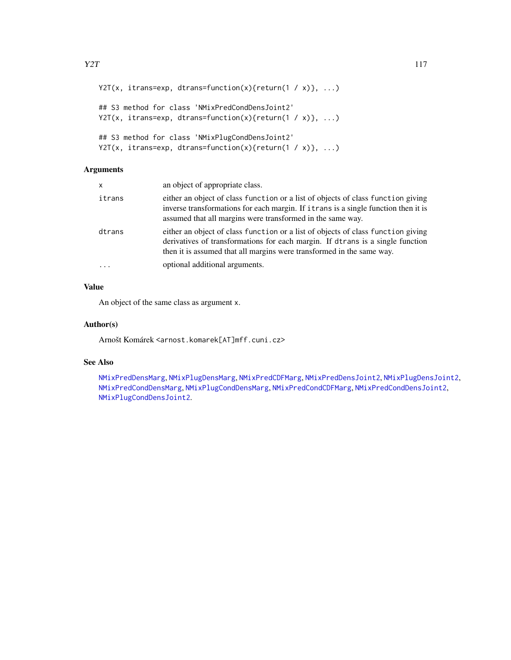```
Y2T(x, itrans=exp, dtrans=function(x){return(1 / x)}, ...)
## S3 method for class 'NMixPredCondDensJoint2'
Y2T(x, itrans=exp, dtrans=function(x){return(1 / x)}, ...)
## S3 method for class 'NMixPlugCondDensJoint2'
Y2T(x, itrans=exp, dtrans=function(x){return(1 / x)}, ...)
```
# Arguments

| x      | an object of appropriate class.                                                                                                                                                                                                             |
|--------|---------------------------------------------------------------------------------------------------------------------------------------------------------------------------------------------------------------------------------------------|
| itrans | either an object of class function or a list of objects of class function giving<br>inverse transformations for each margin. If it rans is a single function then it is<br>assumed that all margins were transformed in the same way.       |
| dtrans | either an object of class function or a list of objects of class function giving<br>derivatives of transformations for each margin. If dtrans is a single function<br>then it is assumed that all margins were transformed in the same way. |
|        | optional additional arguments.                                                                                                                                                                                                              |

## Value

An object of the same class as argument x.

## Author(s)

Arnošt Komárek <arnost.komarek[AT]mff.cuni.cz>

## See Also

[NMixPredDensMarg](#page-70-0), [NMixPlugDensMarg](#page-59-0), [NMixPredCDFMarg](#page-60-0), [NMixPredDensJoint2](#page-68-0), [NMixPlugDensJoint2](#page-57-0), [NMixPredCondDensMarg](#page-65-0), [NMixPlugCondDensMarg](#page-55-0), [NMixPredCondCDFMarg](#page-62-0), [NMixPredCondDensJoint2](#page-64-0), [NMixPlugCondDensJoint2](#page-53-0).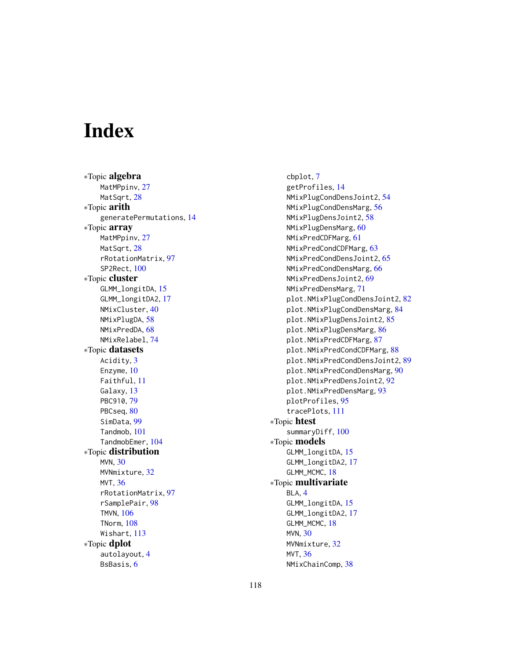# **Index**

∗Topic algebra MatMPpinv, [27](#page-26-0) MatSqrt, [28](#page-27-0) ∗Topic arith generatePermutations, [14](#page-13-0) ∗Topic array MatMPpinv, [27](#page-26-0) MatSqrt, [28](#page-27-0) rRotationMatrix, [97](#page-96-0) SP2Rect, [100](#page-99-0) ∗Topic cluster GLMM\_longitDA, [15](#page-14-0) GLMM\_longitDA2, [17](#page-16-0) NMixCluster, [40](#page-39-0) NMixPlugDA, [58](#page-57-1) NMixPredDA, [68](#page-67-0) NMixRelabel, [74](#page-73-1) ∗Topic datasets Acidity, [3](#page-2-0) Enzyme, [10](#page-9-0) Faithful, [11](#page-10-0) Galaxy, [13](#page-12-0) PBC910, [79](#page-78-0) PBCseq, [80](#page-79-0) SimData, [99](#page-98-0) Tandmob, [101](#page-100-0) TandmobEmer, [104](#page-103-0) ∗Topic distribution MVN, [30](#page-29-0) MVNmixture, [32](#page-31-0) MVT, [36](#page-35-0) rRotationMatrix, [97](#page-96-0) rSamplePair, [98](#page-97-0) TMVN, [106](#page-105-1) TNorm, [108](#page-107-0) Wishart, [113](#page-112-0) ∗Topic dplot autolayout, [4](#page-3-0) BsBasis, [6](#page-5-0)

cbplot, [7](#page-6-0) getProfiles, [14](#page-13-0) NMixPlugCondDensJoint2, [54](#page-53-1) NMixPlugCondDensMarg, [56](#page-55-1) NMixPlugDensJoint2, [58](#page-57-1) NMixPlugDensMarg, [60](#page-59-1) NMixPredCDFMarg, [61](#page-60-1) NMixPredCondCDFMarg, [63](#page-62-1) NMixPredCondDensJoint2, [65](#page-64-1) NMixPredCondDensMarg, [66](#page-65-1) NMixPredDensJoint2, [69](#page-68-1) NMixPredDensMarg, [71](#page-70-1) plot.NMixPlugCondDensJoint2, [82](#page-81-0) plot.NMixPlugCondDensMarg, [84](#page-83-0) plot.NMixPlugDensJoint2, [85](#page-84-0) plot.NMixPlugDensMarg, [86](#page-85-0) plot.NMixPredCDFMarg, [87](#page-86-0) plot.NMixPredCondCDFMarg, [88](#page-87-0) plot.NMixPredCondDensJoint2, [89](#page-88-0) plot.NMixPredCondDensMarg, [90](#page-89-0) plot.NMixPredDensJoint2, [92](#page-91-0) plot.NMixPredDensMarg, [93](#page-92-0) plotProfiles, [95](#page-94-0) tracePlots, [111](#page-110-0) ∗Topic htest summaryDiff, [100](#page-99-0) ∗Topic models GLMM\_longitDA, [15](#page-14-0) GLMM\_longitDA2, [17](#page-16-0) GLMM\_MCMC, [18](#page-17-1) ∗Topic multivariate BLA, [4](#page-3-0) GLMM\_longitDA, [15](#page-14-0) GLMM\_longitDA2, [17](#page-16-0) GLMM\_MCMC, [18](#page-17-1) MVN, [30](#page-29-0) MVNmixture, [32](#page-31-0) MVT, [36](#page-35-0) NMixChainComp, [38](#page-37-0)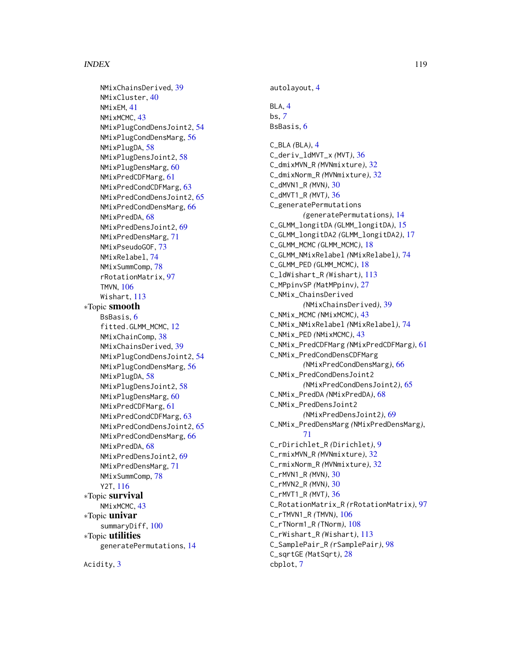#### INDEX 119

NMixChainsDerived, [39](#page-38-0) NMixCluster, [40](#page-39-0) NMixEM, [41](#page-40-0) NMixMCMC, [43](#page-42-1) NMixPlugCondDensJoint2, [54](#page-53-1) NMixPlugCondDensMarg, [56](#page-55-1) NMixPlugDA, [58](#page-57-1) NMixPlugDensJoint2, [58](#page-57-1) NMixPlugDensMarg, [60](#page-59-1) NMixPredCDFMarg, [61](#page-60-1) NMixPredCondCDFMarg, [63](#page-62-1) NMixPredCondDensJoint2, [65](#page-64-1) NMixPredCondDensMarg, [66](#page-65-1) NMixPredDA, [68](#page-67-0) NMixPredDensJoint2, [69](#page-68-1) NMixPredDensMarg, [71](#page-70-1) NMixPseudoGOF, [73](#page-72-0) NMixRelabel, [74](#page-73-1) NMixSummComp, [78](#page-77-0) rRotationMatrix, [97](#page-96-0) TMVN, [106](#page-105-1) Wishart, [113](#page-112-0) ∗Topic smooth BsBasis, [6](#page-5-0) fitted.GLMM\_MCMC, [12](#page-11-0) NMixChainComp, [38](#page-37-0) NMixChainsDerived, [39](#page-38-0) NMixPlugCondDensJoint2, [54](#page-53-1) NMixPlugCondDensMarg, [56](#page-55-1) NMixPlugDA, [58](#page-57-1) NMixPlugDensJoint2, [58](#page-57-1) NMixPlugDensMarg, [60](#page-59-1) NMixPredCDFMarg, [61](#page-60-1) NMixPredCondCDFMarg, [63](#page-62-1) NMixPredCondDensJoint2, [65](#page-64-1) NMixPredCondDensMarg, [66](#page-65-1) NMixPredDA, [68](#page-67-0) NMixPredDensJoint2, [69](#page-68-1) NMixPredDensMarg, [71](#page-70-1) NMixSummComp, [78](#page-77-0) Y2T, [116](#page-115-0) ∗Topic survival NMixMCMC, [43](#page-42-1) ∗Topic univar summaryDiff, [100](#page-99-0) ∗Topic utilities generatePermutations, [14](#page-13-0)

Acidity, [3](#page-2-0)

autolayout, [4](#page-3-0) BLA, [4](#page-3-0) bs, *[7](#page-6-0)* BsBasis, [6](#page-5-0) C\_BLA *(*BLA*)*, [4](#page-3-0) C\_deriv\_ldMVT\_x *(*MVT*)*, [36](#page-35-0) C\_dmixMVN\_R *(*MVNmixture*)*, [32](#page-31-0) C\_dmixNorm\_R *(*MVNmixture*)*, [32](#page-31-0) C\_dMVN1\_R *(*MVN*)*, [30](#page-29-0) C\_dMVT1\_R *(*MVT*)*, [36](#page-35-0) C\_generatePermutations *(*generatePermutations*)*, [14](#page-13-0) C\_GLMM\_longitDA *(*GLMM\_longitDA*)*, [15](#page-14-0) C\_GLMM\_longitDA2 *(*GLMM\_longitDA2*)*, [17](#page-16-0) C\_GLMM\_MCMC *(*GLMM\_MCMC*)*, [18](#page-17-1) C\_GLMM\_NMixRelabel *(*NMixRelabel*)*, [74](#page-73-1) C\_GLMM\_PED *(*GLMM\_MCMC*)*, [18](#page-17-1) C\_ldWishart\_R *(*Wishart*)*, [113](#page-112-0) C\_MPpinvSP *(*MatMPpinv*)*, [27](#page-26-0) C\_NMix\_ChainsDerived *(*NMixChainsDerived*)*, [39](#page-38-0) C\_NMix\_MCMC *(*NMixMCMC*)*, [43](#page-42-1) C\_NMix\_NMixRelabel *(*NMixRelabel*)*, [74](#page-73-1) C\_NMix\_PED *(*NMixMCMC*)*, [43](#page-42-1) C\_NMix\_PredCDFMarg *(*NMixPredCDFMarg*)*, [61](#page-60-1) C\_NMix\_PredCondDensCDFMarg *(*NMixPredCondDensMarg*)*, [66](#page-65-1) C\_NMix\_PredCondDensJoint2 *(*NMixPredCondDensJoint2*)*, [65](#page-64-1) C\_NMix\_PredDA *(*NMixPredDA*)*, [68](#page-67-0) C\_NMix\_PredDensJoint2 *(*NMixPredDensJoint2*)*, [69](#page-68-1) C\_NMix\_PredDensMarg *(*NMixPredDensMarg*)*, [71](#page-70-1) C\_rDirichlet\_R *(*Dirichlet*)*, [9](#page-8-0) C\_rmixMVN\_R *(*MVNmixture*)*, [32](#page-31-0) C\_rmixNorm\_R *(*MVNmixture*)*, [32](#page-31-0) C\_rMVN1\_R *(*MVN*)*, [30](#page-29-0) C\_rMVN2\_R *(*MVN*)*, [30](#page-29-0) C\_rMVT1\_R *(*MVT*)*, [36](#page-35-0) C\_RotationMatrix\_R *(*rRotationMatrix*)*, [97](#page-96-0) C\_rTMVN1\_R *(*TMVN*)*, [106](#page-105-1) C\_rTNorm1\_R *(*TNorm*)*, [108](#page-107-0) C\_rWishart\_R *(*Wishart*)*, [113](#page-112-0) C\_SamplePair\_R *(*rSamplePair*)*, [98](#page-97-0) C\_sqrtGE *(*MatSqrt*)*, [28](#page-27-0) cbplot, [7](#page-6-0)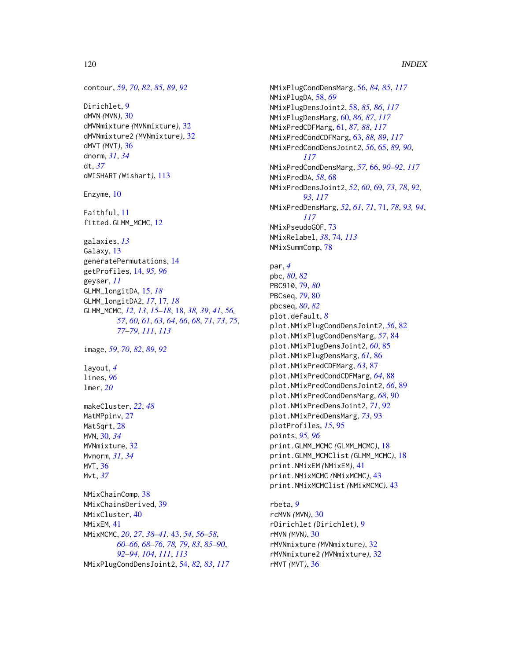```
contour, 59, 70, 82, 85, 89, 92
```
Dirichlet, [9](#page-8-0) dMVN *(*MVN*)*, [30](#page-29-0) dMVNmixture *(*MVNmixture*)*, [32](#page-31-0) dMVNmixture2 *(*MVNmixture*)*, [32](#page-31-0) dMVT *(*MVT*)*, [36](#page-35-0) dnorm, *[31](#page-30-0)*, *[34](#page-33-0)* dt, *[37](#page-36-0)* dWISHART *(*Wishart*)*, [113](#page-112-0)

Enzyme, [10](#page-9-0)

Faithful, [11](#page-10-0) fitted.GLMM\_MCMC, [12](#page-11-0)

galaxies, *[13](#page-12-0)* Galaxy, [13](#page-12-0) generatePermutations, [14](#page-13-0) getProfiles, [14,](#page-13-0) *[95,](#page-94-0) [96](#page-95-0)* geyser, *[11](#page-10-0)* GLMM\_longitDA, [15,](#page-14-0) *[18](#page-17-1)* GLMM\_longitDA2, *[17](#page-16-0)*, [17,](#page-16-0) *[18](#page-17-1)* GLMM\_MCMC, *[12,](#page-11-0) [13](#page-12-0)*, *[15](#page-14-0)[–18](#page-17-1)*, [18,](#page-17-1) *[38,](#page-37-0) [39](#page-38-0)*, *[41](#page-40-0)*, *[56,](#page-55-1) [57](#page-56-0)*, *[60,](#page-59-1) [61](#page-60-1)*, *[63,](#page-62-1) [64](#page-63-0)*, *[66](#page-65-1)*, *[68](#page-67-0)*, *[71](#page-70-1)*, *[73](#page-72-0)*, *[75](#page-74-0)*, *[77](#page-76-0)[–79](#page-78-0)*, *[111](#page-110-0)*, *[113](#page-112-0)*

image, *[59](#page-58-0)*, *[70](#page-69-0)*, *[82](#page-81-0)*, *[89](#page-88-0)*, *[92](#page-91-0)*

layout, *[4](#page-3-0)* lines, *[96](#page-95-0)* lmer, *[20](#page-19-0)*

makeCluster, *[22](#page-21-0)*, *[48](#page-47-0)* MatMPpinv, [27](#page-26-0) MatSqrt, [28](#page-27-0) MVN, [30,](#page-29-0) *[34](#page-33-0)* MVNmixture, [32](#page-31-0) Mvnorm, *[31](#page-30-0)*, *[34](#page-33-0)* MVT, [36](#page-35-0) Mvt, *[37](#page-36-0)*

NMixChainComp, [38](#page-37-0) NMixChainsDerived, [39](#page-38-0) NMixCluster, [40](#page-39-0) NMixEM, [41](#page-40-0) NMixMCMC, *[20](#page-19-0)*, *[27](#page-26-0)*, *[38](#page-37-0)[–41](#page-40-0)*, [43,](#page-42-1) *[54](#page-53-1)*, *[56–](#page-55-1)[58](#page-57-1)*, *[60](#page-59-1)[–66](#page-65-1)*, *[68](#page-67-0)[–76](#page-75-0)*, *[78,](#page-77-0) [79](#page-78-0)*, *[83](#page-82-0)*, *[85–](#page-84-0)[90](#page-89-0)*, *[92](#page-91-0)[–94](#page-93-0)*, *[104](#page-103-0)*, *[111](#page-110-0)*, *[113](#page-112-0)* NMixPlugCondDensJoint2, [54,](#page-53-1) *[82,](#page-81-0) [83](#page-82-0)*, *[117](#page-116-0)* NMixPlugCondDensMarg, [56,](#page-55-1) *[84,](#page-83-0) [85](#page-84-0)*, *[117](#page-116-0)* NMixPlugDA, [58,](#page-57-1) *[69](#page-68-1)* NMixPlugDensJoint2, [58,](#page-57-1) *[85,](#page-84-0) [86](#page-85-0)*, *[117](#page-116-0)* NMixPlugDensMarg, [60,](#page-59-1) *[86,](#page-85-0) [87](#page-86-0)*, *[117](#page-116-0)* NMixPredCDFMarg, [61,](#page-60-1) *[87,](#page-86-0) [88](#page-87-0)*, *[117](#page-116-0)* NMixPredCondCDFMarg, [63,](#page-62-1) *[88,](#page-87-0) [89](#page-88-0)*, *[117](#page-116-0)* NMixPredCondDensJoint2, *[56](#page-55-1)*, [65,](#page-64-1) *[89,](#page-88-0) [90](#page-89-0)*, *[117](#page-116-0)* NMixPredCondDensMarg, *[57](#page-56-0)*, [66,](#page-65-1) *[90](#page-89-0)[–92](#page-91-0)*, *[117](#page-116-0)* NMixPredDA, *[58](#page-57-1)*, [68](#page-67-0) NMixPredDensJoint2, *[52](#page-51-0)*, *[60](#page-59-1)*, [69,](#page-68-1) *[73](#page-72-0)*, *[78](#page-77-0)*, *[92,](#page-91-0) [93](#page-92-0)*, *[117](#page-116-0)* NMixPredDensMarg, *[52](#page-51-0)*, *[61](#page-60-1)*, *[71](#page-70-1)*, [71,](#page-70-1) *[78](#page-77-0)*, *[93,](#page-92-0) [94](#page-93-0)*, *[117](#page-116-0)* NMixPseudoGOF, [73](#page-72-0) NMixRelabel, *[38](#page-37-0)*, [74,](#page-73-1) *[113](#page-112-0)* NMixSummComp, [78](#page-77-0) par, *[4](#page-3-0)* pbc, *[80](#page-79-0)*, *[82](#page-81-0)* PBC910, [79,](#page-78-0) *[80](#page-79-0)* PBCseq, *[79](#page-78-0)*, [80](#page-79-0) pbcseq, *[80](#page-79-0)*, *[82](#page-81-0)* plot.default, *[8](#page-7-0)* plot.NMixPlugCondDensJoint2, *[56](#page-55-1)*, [82](#page-81-0) plot.NMixPlugCondDensMarg, *[57](#page-56-0)*, [84](#page-83-0) plot.NMixPlugDensJoint2, *[60](#page-59-1)*, [85](#page-84-0) plot.NMixPlugDensMarg, *[61](#page-60-1)*, [86](#page-85-0) plot.NMixPredCDFMarg, *[63](#page-62-1)*, [87](#page-86-0) plot.NMixPredCondCDFMarg, *[64](#page-63-0)*, [88](#page-87-0) plot.NMixPredCondDensJoint2, *[66](#page-65-1)*, [89](#page-88-0) plot.NMixPredCondDensMarg, *[68](#page-67-0)*, [90](#page-89-0) plot.NMixPredDensJoint2, *[71](#page-70-1)*, [92](#page-91-0) plot.NMixPredDensMarg, *[73](#page-72-0)*, [93](#page-92-0) plotProfiles, *[15](#page-14-0)*, [95](#page-94-0) points, *[95,](#page-94-0) [96](#page-95-0)* print.GLMM\_MCMC *(*GLMM\_MCMC*)*, [18](#page-17-1) print.GLMM\_MCMClist *(*GLMM\_MCMC*)*, [18](#page-17-1) print.NMixEM *(*NMixEM*)*, [41](#page-40-0) print.NMixMCMC *(*NMixMCMC*)*, [43](#page-42-1) print.NMixMCMClist *(*NMixMCMC*)*, [43](#page-42-1)

rbeta, *[9](#page-8-0)* rcMVN *(*MVN*)*, [30](#page-29-0) rDirichlet *(*Dirichlet*)*, [9](#page-8-0) rMVN *(*MVN*)*, [30](#page-29-0) rMVNmixture *(*MVNmixture*)*, [32](#page-31-0) rMVNmixture2 *(*MVNmixture*)*, [32](#page-31-0) rMVT *(*MVT*)*, [36](#page-35-0)